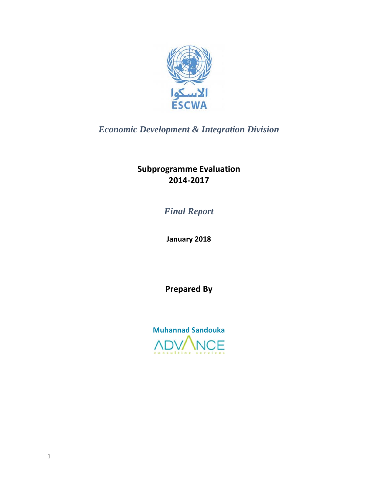

*Economic Development & Integration Division* 

**Subprogramme Evaluation 2014‐2017**

*Final Report*

**January 2018**

**Prepared By**

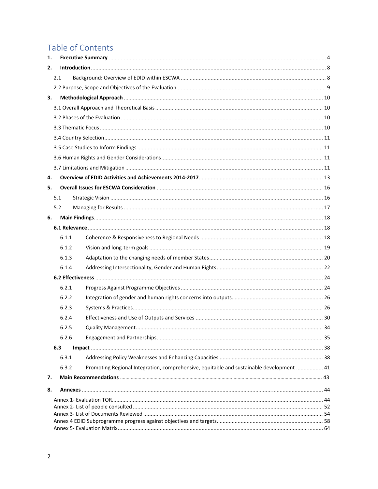## Table of Contents

| 1. |     |       |                                                                                          |  |  |  |  |
|----|-----|-------|------------------------------------------------------------------------------------------|--|--|--|--|
| 2. |     |       |                                                                                          |  |  |  |  |
|    | 2.1 |       |                                                                                          |  |  |  |  |
|    |     |       |                                                                                          |  |  |  |  |
| 3. |     |       |                                                                                          |  |  |  |  |
|    |     |       |                                                                                          |  |  |  |  |
|    |     |       |                                                                                          |  |  |  |  |
|    |     |       |                                                                                          |  |  |  |  |
|    |     |       |                                                                                          |  |  |  |  |
|    |     |       |                                                                                          |  |  |  |  |
|    |     |       |                                                                                          |  |  |  |  |
|    |     |       |                                                                                          |  |  |  |  |
| 4. |     |       |                                                                                          |  |  |  |  |
| 5. |     |       |                                                                                          |  |  |  |  |
|    | 5.1 |       |                                                                                          |  |  |  |  |
|    | 5.2 |       |                                                                                          |  |  |  |  |
| 6. |     |       |                                                                                          |  |  |  |  |
|    |     |       |                                                                                          |  |  |  |  |
|    |     | 6.1.1 |                                                                                          |  |  |  |  |
|    |     | 6.1.2 |                                                                                          |  |  |  |  |
|    |     | 6.1.3 |                                                                                          |  |  |  |  |
|    |     | 6.1.4 |                                                                                          |  |  |  |  |
|    |     |       |                                                                                          |  |  |  |  |
|    |     | 6.2.1 |                                                                                          |  |  |  |  |
|    |     | 6.2.2 |                                                                                          |  |  |  |  |
|    |     | 6.2.3 |                                                                                          |  |  |  |  |
|    |     | 6.2.4 |                                                                                          |  |  |  |  |
|    |     | 6.2.5 |                                                                                          |  |  |  |  |
|    |     | 6.2.6 |                                                                                          |  |  |  |  |
|    | 6.3 |       |                                                                                          |  |  |  |  |
|    |     | 6.3.1 |                                                                                          |  |  |  |  |
|    |     | 6.3.2 | Promoting Regional Integration, comprehensive, equitable and sustainable development  41 |  |  |  |  |
| 7. |     |       |                                                                                          |  |  |  |  |
| 8. |     |       |                                                                                          |  |  |  |  |
|    |     |       |                                                                                          |  |  |  |  |
|    |     |       |                                                                                          |  |  |  |  |
|    |     |       |                                                                                          |  |  |  |  |
|    |     |       |                                                                                          |  |  |  |  |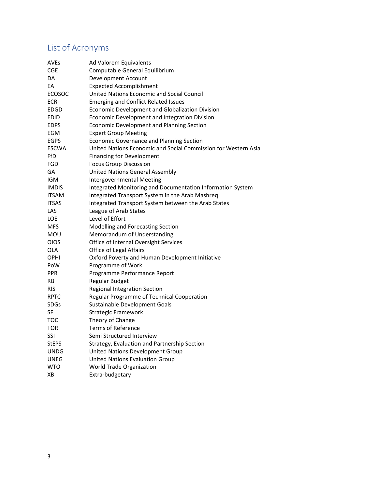# List of Acronyms

| <b>AVEs</b>   | Ad Valorem Equivalents                                         |
|---------------|----------------------------------------------------------------|
| <b>CGE</b>    | Computable General Equilibrium                                 |
| DA            | Development Account                                            |
| EA            | <b>Expected Accomplishment</b>                                 |
| <b>ECOSOC</b> | United Nations Economic and Social Council                     |
| <b>ECRI</b>   | <b>Emerging and Conflict Related Issues</b>                    |
| EDGD          | Economic Development and Globalization Division                |
| <b>EDID</b>   | Economic Development and Integration Division                  |
| <b>EDPS</b>   | Economic Development and Planning Section                      |
| EGM           | <b>Expert Group Meeting</b>                                    |
| <b>EGPS</b>   | <b>Economic Governance and Planning Section</b>                |
| <b>ESCWA</b>  | United Nations Economic and Social Commission for Western Asia |
| FfD           | <b>Financing for Development</b>                               |
| FGD           | <b>Focus Group Discussion</b>                                  |
| GA            | <b>United Nations General Assembly</b>                         |
| <b>IGM</b>    | Intergovernmental Meeting                                      |
| <b>IMDIS</b>  | Integrated Monitoring and Documentation Information System     |
| <b>ITSAM</b>  | Integrated Transport System in the Arab Mashreq                |
| <b>ITSAS</b>  | Integrated Transport System between the Arab States            |
| LAS           | League of Arab States                                          |
| <b>LOE</b>    | Level of Effort                                                |
| <b>MFS</b>    | Modelling and Forecasting Section                              |
| MOU           | Memorandum of Understanding                                    |
| <b>OIOS</b>   | Office of Internal Oversight Services                          |
| <b>OLA</b>    | <b>Office of Legal Affairs</b>                                 |
| OPHI          | Oxford Poverty and Human Development Initiative                |
| PoW           | Programme of Work                                              |
| <b>PPR</b>    | Programme Performance Report                                   |
| RB            | Regular Budget                                                 |
| RIS           | Regional Integration Section                                   |
| <b>RPTC</b>   | Regular Programme of Technical Cooperation                     |
| SDGs          | Sustainable Development Goals                                  |
| SF            | <b>Strategic Framework</b>                                     |
| тос           | Theory of Change                                               |
| TOR           | <b>Terms of Reference</b>                                      |
| <b>SSI</b>    | Semi Structured Interview                                      |
| <b>StEPS</b>  | Strategy, Evaluation and Partnership Section                   |
| <b>UNDG</b>   | United Nations Development Group                               |
| <b>UNEG</b>   | <b>United Nations Evaluation Group</b>                         |
| <b>WTO</b>    | World Trade Organization                                       |
| XB            | Extra-budgetary                                                |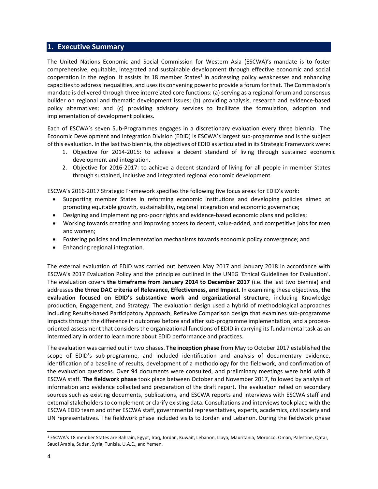## **1. Executive Summary**

The United Nations Economic and Social Commission for Western Asia (ESCWA)'s mandate is to foster comprehensive, equitable, integrated and sustainable development through effective economic and social cooperation in the region. It assists its 18 member States<sup>1</sup> in addressing policy weaknesses and enhancing capacities to address inequalities, and uses its convening power to provide a forum for that. The Commission's mandate is delivered through three interrelated core functions: (a) serving as a regional forum and consensus builder on regional and thematic development issues; (b) providing analysis, research and evidence‐based policy alternatives; and (c) providing advisory services to facilitate the formulation, adoption and implementation of development policies.

Each of ESCWA's seven Sub‐Programmes engages in a discretionary evaluation every three biennia. The Economic Development and Integration Division (EDID) is ESCWA's largest sub‐programme and is the subject of this evaluation. In the last two biennia, the objectives of EDID as articulated in its Strategic Framework were:

- 1. Objective for 2014‐2015: to achieve a decent standard of living through sustained economic development and integration.
- 2. Objective for 2016‐2017: to achieve a decent standard of living for all people in member States through sustained, inclusive and integrated regional economic development.

ESCWA's 2016‐2017 Strategic Framework specifies the following five focus areas for EDID's work:

- Supporting member States in reforming economic institutions and developing policies aimed at promoting equitable growth, sustainability, regional integration and economic governance;
- Designing and implementing pro‐poor rights and evidence‐based economic plans and policies;
- Working towards creating and improving access to decent, value-added, and competitive jobs for men and women;
- Fostering policies and implementation mechanisms towards economic policy convergence; and
- Enhancing regional integration.

The external evaluation of EDID was carried out between May 2017 and January 2018 in accordance with ESCWA's 2017 Evaluation Policy and the principles outlined in the UNEG 'Ethical Guidelines for Evaluation'. The evaluation covers **the timeframe from January 2014 to December 2017** (i.e. the last two biennia) and addresses **the three DAC criteria of Relevance, Effectiveness, and Impact**. In examining these objectives, **the evaluation focused on EDID's substantive work and organizational structure**, including Knowledge production, Engagement, and Strategy. The evaluation design used a hybrid of methodological approaches including Results‐based Participatory Approach, Reflexive Comparison design that examines sub‐programme impacts through the difference in outcomes before and after sub-programme implementation, and a processoriented assessment that considers the organizational functions of EDID in carrying its fundamental task as an intermediary in order to learn more about EDID performance and practices.

The evaluation was carried out in two phases. **The inception phase** from May to October 2017 established the scope of EDID's sub-programme, and included identification and analysis of documentary evidence, identification of a baseline of results, development of a methodology for the fieldwork, and confirmation of the evaluation questions. Over 94 documents were consulted, and preliminary meetings were held with 8 ESCWA staff. **The fieldwork phase** took place between October and November 2017, followed by analysis of information and evidence collected and preparation of the draft report. The evaluation relied on secondary sources such as existing documents, publications, and ESCWA reports and interviews with ESCWA staff and external stakeholders to complement or clarify existing data. Consultations and interviewstook place with the ESCWA EDID team and other ESCWA staff, governmental representatives, experts, academics, civil society and UN representatives. The fieldwork phase included visits to Jordan and Lebanon. During the fieldwork phase

<sup>1</sup> ESCWA's 18 member States are Bahrain, Egypt, Iraq, Jordan, Kuwait, Lebanon, Libya, Mauritania, Morocco, Oman, Palestine, Qatar, Saudi Arabia, Sudan, Syria, Tunisia, U.A.E., and Yemen.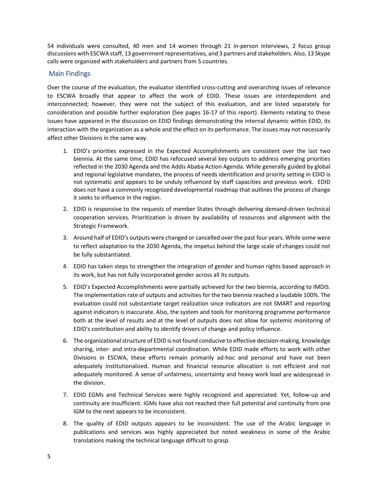54 individuals were consulted, 40 men and 14 women through 21 in-person interviews, 2 focus group discussions with ESCWA staff, 13 government representatives, and 3 partners and stakeholders. Also, 13 Skype calls were organized with stakeholders and partners from 5 countries.

## Main Findings

Over the course of the evaluation, the evaluator identified cross-cutting and overarching issues of relevance to ESCWA broadly that appear to affect the work of EDID. These issues are interdependent and interconnected; however, they were not the subject of this evaluation, and are listed separately for consideration and possible further exploration (See pages 16‐17 of this report). Elements relating to these issues have appeared in the discussion on EDID findings demonstrating the internal dynamic within EDID, its interaction with the organization as a whole and the effect on its performance. The issues may not necessarily affect other Divisions in the same way.

- 1. EDID's priorities expressed in the Expected Accomplishments are consistent over the last two biennia. At the same time, EDID has refocused several key outputs to address emerging priorities reflected in the 2030 Agenda and the Addis Ababa Action Agenda. While generally guided by global and regional legislative mandates, the process of needs identification and priority setting in EDID is not systematic and appears to be unduly influenced by staff capacities and previous work. EDID does not have a commonly recognized developmental roadmap that outlines the process of change it seeks to influence in the region.
- 2. EDID is responsive to the requests of member States through delivering demand‐driven technical cooperation services. Prioritization is driven by availability of resources and alignment with the Strategic Framework.
- 3. Around half of EDID's outputs were changed or cancelled over the past four years. While some were to reflect adaptation to the 2030 Agenda, the impetus behind the large scale of changes could not be fully substantiated.
- 4. EDID has taken steps to strengthen the integration of gender and human rights based approach in its work, but has not fully incorporated gender across all its outputs.
- 5. EDID's Expected Accomplishments were partially achieved for the two biennia, according to IMDIS. The implementation rate of outputs and activities for the two biennia reached a laudable 100%. The evaluation could not substantiate target realization since indicators are not SMART and reporting against indicators is inaccurate. Also, the system and tools for monitoring programme performance both at the level of results and at the level of outputs does not allow for systemic monitoring of EDID's contribution and ability to identify drivers of change and policy influence.
- 6. The organizational structure of EDID is not found conducive to effective decision-making, knowledge sharing, inter‐ and intra‐departmental coordination. While EDID made efforts to work with other Divisions in ESCWA, these efforts remain primarily ad‐hoc and personal and have not been adequately institutionalized. Human and financial resource allocation is not efficient and not adequately monitored. A sense of unfairness, uncertainty and heavy work load are widespread in the division.
- 7. EDID EGMs and Technical Services were highly recognized and appreciated. Yet, follow‐up and continuity are insufficient. IGMs have also not reached their full potential and continuity from one IGM to the next appears to be inconsistent.
- 8. The quality of EDID outputs appears to be inconsistent. The use of the Arabic language in publications and services was highly appreciated but noted weakness in some of the Arabic translations making the technical language difficult to grasp.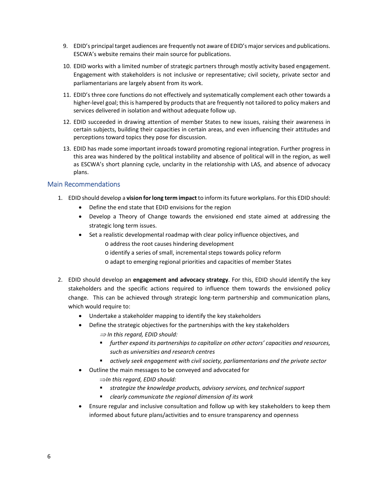- 9. EDID's principal target audiences are frequently not aware of EDID's major services and publications. ESCWA's website remains their main source for publications.
- 10. EDID works with a limited number of strategic partners through mostly activity based engagement. Engagement with stakeholders is not inclusive or representative; civil society, private sector and parliamentarians are largely absent from its work.
- 11. EDID's three core functions do not effectively and systematically complement each other towards a higher-level goal; this is hampered by products that are frequently not tailored to policy makers and services delivered in isolation and without adequate follow up.
- 12. EDID succeeded in drawing attention of member States to new issues, raising their awareness in certain subjects, building their capacities in certain areas, and even influencing their attitudes and perceptions toward topics they pose for discussion.
- 13. EDID has made some important inroads toward promoting regional integration. Further progress in this area was hindered by the political instability and absence of political will in the region, as well as ESCWA's short planning cycle, unclarity in the relationship with LAS, and absence of advocacy plans.

#### Main Recommendations

- 1. EDID should develop a **vision forlong term impact** to inform itsfuture workplans. Forthis EDID should:
	- Define the end state that EDID envisions for the region
	- Develop a Theory of Change towards the envisioned end state aimed at addressing the strategic long term issues.
	- Set a realistic developmental roadmap with clear policy influence objectives, and
		- o address the root causes hindering development
		- o identify a series of small, incremental steps towards policy reform
		- o adapt to emerging regional priorities and capacities of member States
- 2. EDID should develop an **engagement and advocacy strategy**. For this, EDID should identify the key stakeholders and the specific actions required to influence them towards the envisioned policy change. This can be achieved through strategic long-term partnership and communication plans, which would require to:
	- Undertake a stakeholder mapping to identify the key stakeholders
	- Define the strategic objectives for the partnerships with the key stakeholders
		- *In this regard, EDID should:*
		- *further expand its partnerships to capitalize on other actors' capacities and resources, such as universities and research centres*
		- *actively seek engagement with civil society, parliamentarians and the private sector*
	- Outline the main messages to be conveyed and advocated for
		- *In this regard, EDID should:*
		- *strategize the knowledge products, advisory services, and technical support*
		- *clearly communicate the regional dimension of its work*
	- Ensure regular and inclusive consultation and follow up with key stakeholders to keep them informed about future plans/activities and to ensure transparency and openness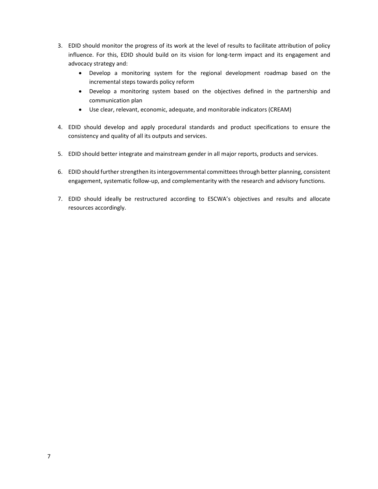- 3. EDID should monitor the progress of its work at the level of results to facilitate attribution of policy influence. For this, EDID should build on its vision for long-term impact and its engagement and advocacy strategy and:
	- Develop a monitoring system for the regional development roadmap based on the incremental steps towards policy reform
	- Develop a monitoring system based on the objectives defined in the partnership and communication plan
	- Use clear, relevant, economic, adequate, and monitorable indicators (CREAM)
- 4. EDID should develop and apply procedural standards and product specifications to ensure the consistency and quality of all its outputs and services.
- 5. EDID should better integrate and mainstream gender in all major reports, products and services.
- 6. EDID should further strengthen its intergovernmental committees through better planning, consistent engagement, systematic follow-up, and complementarity with the research and advisory functions.
- 7. EDID should ideally be restructured according to ESCWA's objectives and results and allocate resources accordingly.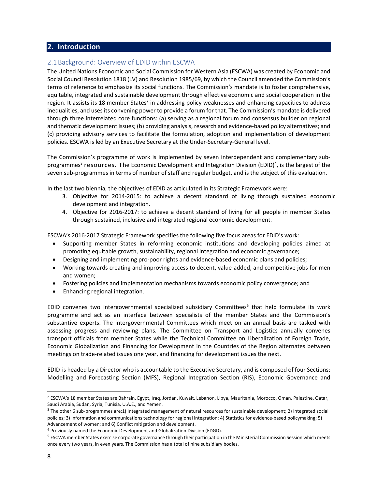## **2. Introduction**

## 2.1Background: Overview of EDID within ESCWA

The United Nations Economic and Social Commission for Western Asia (ESCWA) was created by Economic and Social Council Resolution 1818 (LV) and Resolution 1985/69, by which the Council amended the Commission's terms of reference to emphasize its social functions. The Commission's mandate is to foster comprehensive, equitable, integrated and sustainable development through effective economic and social cooperation in the region. It assists its 18 member States<sup>2</sup> in addressing policy weaknesses and enhancing capacities to address inequalities, and uses its convening power to provide a forum for that. The Commission's mandate is delivered through three interrelated core functions: (a) serving as a regional forum and consensus builder on regional and thematic development issues; (b) providing analysis, research and evidence‐based policy alternatives; and (c) providing advisory services to facilitate the formulation, adoption and implementation of development policies. ESCWA is led by an Executive Secretary at the Under‐Secretary‐General level.

The Commission's programme of work is implemented by seven interdependent and complementary sub‐ programmes<sup>3</sup> resources. The Economic Development and Integration Division (EDID)<sup>4</sup>, is the largest of the seven sub-programmes in terms of number of staff and regular budget, and is the subject of this evaluation.

In the last two biennia, the objectives of EDID as articulated in its Strategic Framework were:

- 3. Objective for 2014‐2015: to achieve a decent standard of living through sustained economic development and integration.
- 4. Objective for 2016‐2017: to achieve a decent standard of living for all people in member States through sustained, inclusive and integrated regional economic development.

ESCWA's 2016‐2017 Strategic Framework specifies the following five focus areas for EDID's work:

- Supporting member States in reforming economic institutions and developing policies aimed at promoting equitable growth, sustainability, regional integration and economic governance;
- Designing and implementing pro-poor rights and evidence-based economic plans and policies;
- Working towards creating and improving access to decent, value-added, and competitive jobs for men and women;
- Fostering policies and implementation mechanisms towards economic policy convergence; and
- Enhancing regional integration.

EDID convenes two intergovernmental specialized subsidiary Committees<sup>5</sup> that help formulate its work programme and act as an interface between specialists of the member States and the Commission's substantive experts. The intergovernmental Committees which meet on an annual basis are tasked with assessing progress and reviewing plans. The Committee on Transport and Logistics annually convenes transport officials from member States while the Technical Committee on Liberalization of Foreign Trade, Economic Globalization and Financing for Development in the Countries of the Region alternates between meetings on trade‐related issues one year, and financing for development issues the next.

EDID is headed by a Director who is accountable to the Executive Secretary, and is composed of four Sections: Modelling and Forecasting Section (MFS), Regional Integration Section (RIS), Economic Governance and

<sup>2</sup> ESCWA's 18 member States are Bahrain, Egypt, Iraq, Jordan, Kuwait, Lebanon, Libya, Mauritania, Morocco, Oman, Palestine, Qatar, Saudi Arabia, Sudan, Syria, Tunisia, U.A.E., and Yemen.

<sup>3</sup> The other 6 sub‐programmes are:1) Integrated management of natural resources for sustainable development; 2) Integrated social policies; 3) Information and communications technology for regional integration; 4) Statistics for evidence-based policymaking; 5) Advancement of women; and 6) Conflict mitigation and development.

<sup>4</sup> Previously named the Economic Development and Globalization Division (EDGD).

<sup>5</sup> ESCWA member States exercise corporate governance through their participation in the Ministerial Commission Session which meets once every two years, in even years. The Commission has a total of nine subsidiary bodies.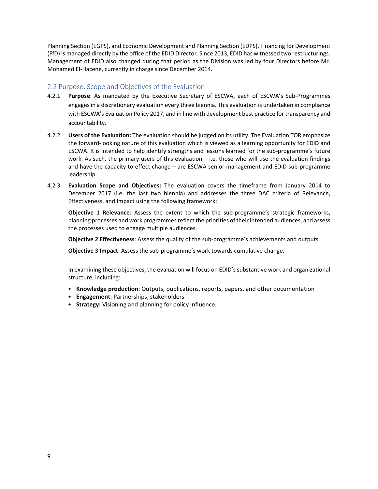Planning Section (EGPS), and Economic Development and Planning Section (EDPS). Financing for Development (FfD) is managed directly by the office of the EDID Director. Since 2013, EDID has witnessed two restructurings. Management of EDID also changed during that period as the Division was led by four Directors before Mr. Mohamed El‐Hacene, currently in charge since December 2014.

## 2.2 Purpose, Scope and Objectives of the Evaluation

- 4.2.1 **Purpose**: As mandated by the Executive Secretary of ESCWA, each of ESCWA's Sub‐Programmes engages in a discretionary evaluation every three biennia. This evaluation is undertaken in compliance with ESCWA's Evaluation Policy 2017, and in line with development best practice for transparency and accountability.
- 4.2.2 **Users of the Evaluation:** The evaluation should be judged on its utility. The Evaluation TOR emphasize the forward‐looking nature of this evaluation which is viewed as a learning opportunity for EDID and ESCWA. It is intended to help identify strengths and lessons learned for the sub‐programme's future work. As such, the primary users of this evaluation – i.e. those who will use the evaluation findings and have the capacity to effect change – are ESCWA senior management and EDID sub‐programme leadership.
- 4.2.3 **Evaluation Scope and Objectives:** The evaluation covers the timeframe from January 2014 to December 2017 (i.e. the last two biennia) and addresses the three DAC criteria of Relevance, Effectiveness, and Impact using the following framework:

**Objective 1 Relevance**: Assess the extent to which the sub‐programme's strategic frameworks, planning processes and work programmes reflect the priorities of their intended audiences, and assess the processes used to engage multiple audiences.

**Objective 2 Effectiveness**: Assess the quality of the sub‐programme's achievements and outputs.

**Objective 3 Impact**: Assess the sub‐programme's work towards cumulative change.

In examining these objectives, the evaluation will focus on EDID's substantive work and organizational structure, including:

- **Knowledge production**: Outputs, publications, reports, papers, and other documentation
- **Engagement**: Partnerships, stakeholders
- **Strategy:** Visioning and planning for policy influence.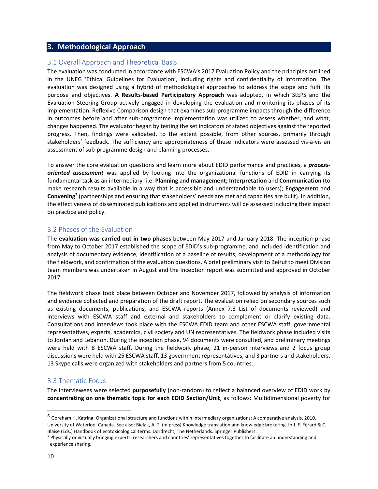## **3. Methodological Approach**

#### 3.1 Overall Approach and Theoretical Basis

The evaluation was conducted in accordance with ESCWA's 2017 Evaluation Policy and the principles outlined in the UNEG 'Ethical Guidelines for Evaluation', including rights and confidentiality of information. The evaluation was designed using a hybrid of methodological approaches to address the scope and fulfil its purpose and objectives. **A Results‐based Participatory Approach** was adopted, in which StEPS and the Evaluation Steering Group actively engaged in developing the evaluation and monitoring its phases of its implementation. Reflexive Comparison design that examines sub‐programme impacts through the difference in outcomes before and after sub-programme implementation was utilized to assess whether, and what, changes happened. The evaluator began by testing the set indicators of stated objectives against the reported progress. Then, findings were validated, to the extent possible, from other sources, primarily through stakeholders' feedback. The sufficiency and appropriateness of these indicators were assessed vis‐à‐vis an assessment of sub‐programme design and planning processes.

To answer the core evaluation questions and learn more about EDID performance and practices, a *process‐ oriented assessment* was applied by looking into the organizational functions of EDID in carrying its fundamental task as an intermediary6 i.e. **Planning** and **management; Interpretation** and **Communication** (to make research results available in a way that is accessible and understandable to users); **Engagement** and **Convening**<sup>7</sup> (partnerships and ensuring that stakeholders' needs are met and capacities are built). In addition, the effectiveness of disseminated publications and applied instruments will be assessed including their impact on practice and policy.

#### 3.2 Phases of the Evaluation

The **evaluation was carried out in two phases** between May 2017 and January 2018. The inception phase from May to October 2017 established the scope of EDID's sub‐programme, and included identification and analysis of documentary evidence, identification of a baseline of results, development of a methodology for the fieldwork, and confirmation of the evaluation questions. A brief preliminary visit to Beirut to meet Division team members was undertaken in August and the Inception report was submitted and approved in October 2017.

The fieldwork phase took place between October and November 2017, followed by analysis of information and evidence collected and preparation of the draft report. The evaluation relied on secondary sources such as existing documents, publications, and ESCWA reports (Annex 7.3 List of documents reviewed) and interviews with ESCWA staff and external and stakeholders to complement or clarify existing data. Consultations and interviews took place with the ESCWA EDID team and other ESCWA staff, governmental representatives, experts, academics, civil society and UN representatives. The fieldwork phase included visits to Jordan and Lebanon. During the inception phase, 94 documents were consulted, and preliminary meetings were held with 8 ESCWA staff. During the fieldwork phase, 21 in-person interviews and 2 focus group discussions were held with 25 ESCWA staff, 13 government representatives, and 3 partners and stakeholders. 13 Skype calls were organized with stakeholders and partners from 5 countries.

#### 3.3 Thematic Focus

The interviewees were selected **purposefully** (non-random) to reflect a balanced overview of EDID work by **concentrating on one thematic topic for each EDID Section/Unit**, as follows: Multidimensional poverty for

<sup>6</sup> Goreham H. Katrina; Organizational structure and functions within intermediary organizations: A comparative analysis. 2010. University of Waterloo. Canada. See also: Bielak, A. T. (in press) Knowledge translation and knowledge brokering. In J. F. Férard & C. Blaise (Eds.) Handbook of ecotoxicological terms. Dordrecht, The Netherlands: Springer Publishers.

<sup>7</sup> Physically or virtually bringing experts, researchers and countries' representatives together to facilitate an understanding and experience sharing.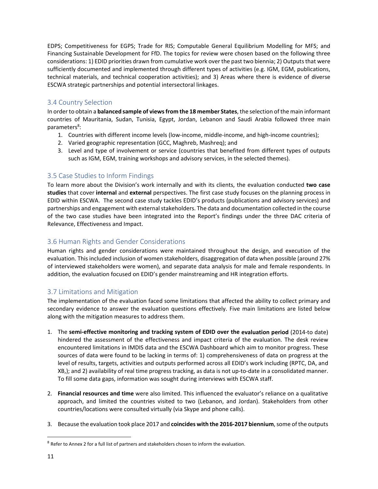EDPS; Competitiveness for EGPS; Trade for RIS; Computable General Equilibrium Modelling for MFS; and Financing Sustainable Development for FfD. The topics for review were chosen based on the following three considerations: 1) EDID priorities drawn from cumulative work over the past two biennia; 2) Outputsthat were sufficiently documented and implemented through different types of activities (e.g. IGM, EGM, publications, technical materials, and technical cooperation activities); and 3) Areas where there is evidence of diverse ESCWA strategic partnerships and potential intersectoral linkages.

## 3.4 Country Selection

In orderto obtain a **balanced sample of viewsfrom the 18 member States**, the selection ofthe main informant countries of Mauritania, Sudan, Tunisia, Egypt, Jordan, Lebanon and Saudi Arabia followed three main parameters<sup>8</sup>:

- 1. Countries with different income levels (low‐income, middle‐income, and high‐income countries);
- 2. Varied geographic representation (GCC, Maghreb, Mashreq); and
- 3. Level and type of involvement or service (countries that benefited from different types of outputs such as IGM, EGM, training workshops and advisory services, in the selected themes).

## 3.5 Case Studies to Inform Findings

To learn more about the Division's work internally and with its clients, the evaluation conducted **two case studies** that cover **internal** and **external** perspectives. The first case study focuses on the planning process in EDID within ESCWA. The second case study tackles EDID's products (publications and advisory services) and partnerships and engagement with external stakeholders. The data and documentation collected in the course of the two case studies have been integrated into the Report's findings under the three DAC criteria of Relevance, Effectiveness and Impact.

## 3.6 Human Rights and Gender Considerations

Human rights and gender considerations were maintained throughout the design, and execution of the evaluation. This included inclusion of women stakeholders, disaggregation of data when possible (around 27% of interviewed stakeholders were women), and separate data analysis for male and female respondents. In addition, the evaluation focused on EDID's gender mainstreaming and HR integration efforts.

## 3.7 Limitations and Mitigation

The implementation of the evaluation faced some limitations that affected the ability to collect primary and secondary evidence to answer the evaluation questions effectively. Five main limitations are listed below along with the mitigation measures to address them.

- 1. The **semi‐effective monitoring and tracking system of EDID over the evaluation period** (2014‐to date) hindered the assessment of the effectiveness and impact criteria of the evaluation. The desk review encountered limitations in IMDIS data and the ESCWA Dashboard which aim to monitor progress. These sources of data were found to be lacking in terms of: 1) comprehensiveness of data on progress at the level of results, targets, activities and outputs performed across all EDID's work including (RPTC, DA, and XB,); and 2) availability of real time progress tracking, as data is not up‐to‐date in a consolidated manner. To fill some data gaps, information was sought during interviews with ESCWA staff.
- 2. **Financial resources and time** were also limited. This influenced the evaluator's reliance on a qualitative approach, and limited the countries visited to two (Lebanon, and Jordan). Stakeholders from other countries/locations were consulted virtually (via Skype and phone calls).
- 3. Because the evaluation took place 2017 and **coincides with the 2016‐2017 biennium**,some of the outputs

<sup>8</sup> Refer to Annex 2 for a full list of partners and stakeholders chosen to inform the evaluation.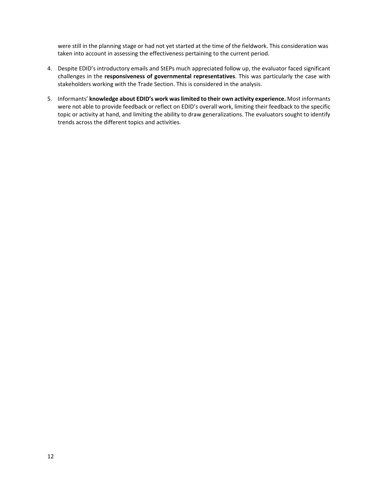were still in the planning stage or had not yet started at the time of the fieldwork. This consideration was taken into account in assessing the effectiveness pertaining to the current period.

- 4. Despite EDID's introductory emails and StEPs much appreciated follow up, the evaluator faced significant challenges in the **responsiveness of governmental representatives**. This was particularly the case with stakeholders working with the Trade Section. This is considered in the analysis.
- 5. Informants' **knowledge about EDID's work waslimited to their own activity experience.** Most informants were not able to provide feedback or reflect on EDID's overall work, limiting their feedback to the specific topic or activity at hand, and limiting the ability to draw generalizations. The evaluators sought to identify trends across the different topics and activities.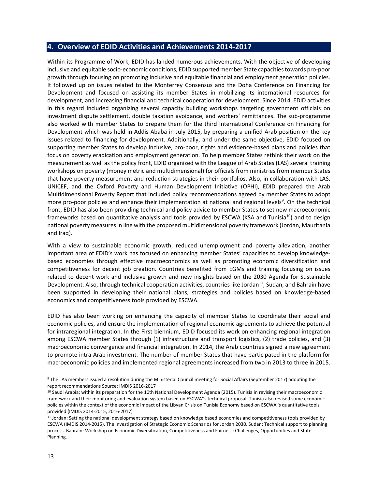## **4. Overview of EDID Activities and Achievements 2014‐2017**

Within its Programme of Work, EDID has landed numerous achievements. With the objective of developing inclusive and equitable socio‐economic conditions, EDID supported member State capacitiestowards pro‐poor growth through focusing on promoting inclusive and equitable financial and employment generation policies. It followed up on issues related to the Monterrey Consensus and the Doha Conference on Financing for Development and focused on assisting its member States in mobilizing its international resources for development, and increasing financial and technical cooperation for development. Since 2014, EDID activities in this regard included organizing several capacity building workshops targeting government officials on investment dispute settlement, double taxation avoidance, and workers' remittances. The sub‐programme also worked with member States to prepare them for the third International Conference on Financing for Development which was held in Addis Ababa in July 2015, by preparing a unified Arab position on the key issues related to financing for development. Additionally, and under the same objective, EDID focused on supporting member States to develop inclusive, pro‐poor, rights and evidence‐based plans and policies that focus on poverty eradication and employment generation. To help member States rethink their work on the measurement as well as the policy front, EDID organized with the League of Arab States (LAS) several training workshops on poverty (money metric and multidimensional) for officials from ministries from member States that have poverty measurement and reduction strategies in their portfolios. Also, in collaboration with LAS, UNICEF, and the Oxford Poverty and Human Development Initiative (OPHI), EDID prepared the Arab Multidimensional Poverty Report that included policy recommendations agreed by member States to adopt more pro-poor policies and enhance their implementation at national and regional levels<sup>9</sup>. On the technical front, EDID has also been providing technical and policy advice to member States to set new macroeconomic frameworks based on quantitative analysis and tools provided by ESCWA (KSA and Tunisia<sup>10</sup>) and to design national poverty measures in line with the proposed multidimensional poverty framework (Jordan, Mauritania and Iraq).

With a view to sustainable economic growth, reduced unemployment and poverty alleviation, another important area of EDID's work has focused on enhancing member States' capacities to develop knowledge‐ based economies through effective macroeconomics as well as promoting economic diversification and competitiveness for decent job creation. Countries benefited from EGMs and training focusing on issues related to decent work and inclusive growth and new insights based on the 2030 Agenda for Sustainable Development. Also, through technical cooperation activities, countries like Jordan<sup>11</sup>, Sudan, and Bahrain have been supported in developing their national plans, strategies and policies based on knowledge‐based economics and competitiveness tools provided by ESCWA.

EDID has also been working on enhancing the capacity of member States to coordinate their social and economic policies, and ensure the implementation of regional economic agreements to achieve the potential for intraregional integration. In the First biennium, EDID focused its work on enhancing regional integration among ESCWA member States through (1) infrastructure and transport logistics, (2) trade policies, and (3) macroeconomic convergence and financial integration. In 2014, the Arab countries signed a new agreement to promote intra‐Arab investment. The number of member States that have participated in the platform for macroeconomic policies and implemented regional agreements increased from two in 2013 to three in 2015.

<sup>9</sup> The LAS members issued a resolution during the Ministerial Council meeting for Social Affairs (September 2017) adopting the report recommendations Source: IMDIS 2016‐2017

<sup>&</sup>lt;sup>10</sup> Saudi Arabia; within its preparation for the 10th National Development Agenda (2015). Tunisia in revising their macroeconomic framework and their monitoring and evaluation system based on ESCWA''s technical proposal. Tunisia also revised some economic policies within the context of the economic impact of the Libyan Crisis on Tunisia Economy based on ESCWA''s quantitative tools provided (IMDIS 2014‐2015, 2016‐2017)

<sup>&</sup>lt;sup>11</sup> Jordan: Setting the national development strategy based on knowledge based economies and competitiveness tools provided by ESCWA (IMDIS 2014‐2015). The Investigation of Strategic Economic Scenarios for Jordan 2030. Sudan: Technical support to planning process. Bahrain: Workshop on Economic Diversification, Competitiveness and Fairness: Challenges, Opportunities and State Planning.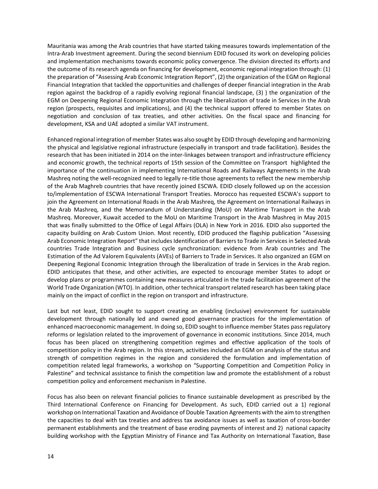Mauritania was among the Arab countries that have started taking measures towards implementation of the Intra‐Arab Investment agreement. During the second biennium EDID focused its work on developing policies and implementation mechanisms towards economic policy convergence. The division directed its efforts and the outcome of its research agenda on financing for development, economic regional integration through: (1) the preparation of "Assessing Arab Economic Integration Report", (2) the organization of the EGM on Regional Financial Integration that tackled the opportunities and challenges of deeper financial integration in the Arab region against the backdrop of a rapidly evolving regional financial landscape, (3) ) the organization of the EGM on Deepening Regional Economic Integration through the liberalization of trade in Services in the Arab region (prospects, requisites and implications), and (4) the technical support offered to member States on negotiation and conclusion of tax treaties, and other activities. On the fiscal space and financing for development, KSA and UAE adopted a similar VAT instrument.

Enhanced regional integration of member States was also sought by EDID through developing and harmonizing the physical and legislative regional infrastructure (especially in transport and trade facilitation). Besides the research that has been initiated in 2014 on the inter‐linkages between transport and infrastructure efficiency and economic growth, the technical reports of 15th session of the Committee on Transport highlighted the importance of the continuation in implementing International Roads and Railways Agreements in the Arab Mashreq noting the well-recognized need to legally re-title those agreements to reflect the new membership of the Arab Maghreb countries that have recently joined ESCWA. EDID closely followed up on the accession to/implementation of ESCWA International Transport Treaties. Morocco has requested ESCWA's support to join the Agreement on International Roads in the Arab Mashreq, the Agreement on International Railways in the Arab Mashreq, and the Memorandum of Understanding (MoU) on Maritime Transport in the Arab Mashreq. Moreover, Kuwait acceded to the MoU on Maritime Transport in the Arab Mashreq in May 2015 that was finally submitted to the Office of Legal Affairs (OLA) in New York in 2016. EDID also supported the capacity building on Arab Custom Union. Most recently, EDID produced the flagship publication "Assessing Arab Economic Integration Report" that includes Identification of Barriers to Trade in Services in Selected Arab countries Trade Integration and Business cycle synchronization: evidence from Arab countries and The Estimation of the Ad Valorem Equivalents (AVEs) of Barriers to Trade in Services. It also organized an EGM on Deepening Regional Economic Integration through the liberalization of trade in Services in the Arab region. EDID anticipates that these, and other activities, are expected to encourage member States to adopt or develop plans or programmes containing new measures articulated in the trade facilitation agreement of the World Trade Organization (WTO). In addition, other technical transport related research has been taking place mainly on the impact of conflict in the region on transport and infrastructure.

Last but not least, EDID sought to support creating an enabling (inclusive) environment for sustainable development through nationally led and owned good governance practices for the implementation of enhanced macroeconomic management. In doing so, EDID sought to influence member States pass regulatory reforms or legislation related to the improvement of governance in economic institutions. Since 2014, much focus has been placed on strengthening competition regimes and effective application of the tools of competition policy in the Arab region. In this stream, activities included an EGM on analysis of the status and strength of competition regimes in the region and considered the formulation and implementation of competition related legal frameworks, a workshop on "Supporting Competition and Competition Policy in Palestine" and technical assistance to finish the competition law and promote the establishment of a robust competition policy and enforcement mechanism in Palestine.

Focus has also been on relevant financial policies to finance sustainable development as prescribed by the Third International Conference on Financing for Development. As such, EDID carried out a 1) regional workshop on International Taxation and Avoidance of Double Taxation Agreements with the aim to strengthen the capacities to deal with tax treaties and address tax avoidance issues as well as taxation of cross‐border permanent establishments and the treatment of base eroding payments of interest and 2) national capacity building workshop with the Egyptian Ministry of Finance and Tax Authority on International Taxation, Base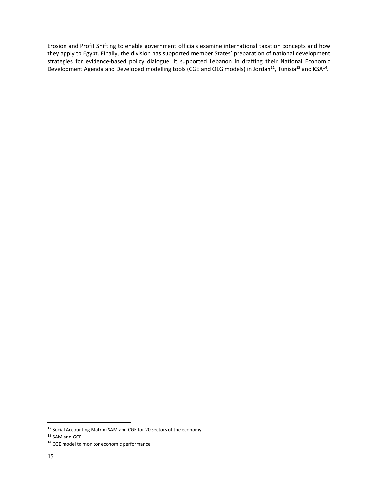Erosion and Profit Shifting to enable government officials examine international taxation concepts and how they apply to Egypt. Finally, the division has supported member States' preparation of national development strategies for evidence-based policy dialogue. It supported Lebanon in drafting their National Economic Development Agenda and Developed modelling tools (CGE and OLG models) in Jordan<sup>12</sup>, Tunisia<sup>13</sup> and KSA<sup>14</sup>.

<sup>&</sup>lt;sup>12</sup> Social Accounting Matrix (SAM and CGE for 20 sectors of the economy

 $13$  SAM and GCE

<sup>&</sup>lt;sup>14</sup> CGE model to monitor economic performance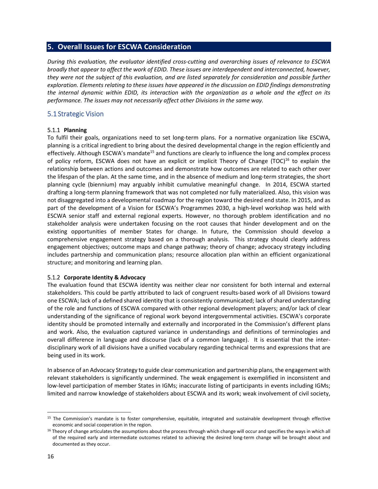## **5. Overall Issues for ESCWA Consideration**

*During this evaluation, the evaluator identified cross‐cutting and overarching issues of relevance to ESCWA broadly that appear to affect the work of EDID. These issues are interdependent and interconnected, however,* they were not the subject of this evaluation, and are listed separately for consideration and possible further *exploration. Elements relating to these issues have appeared in the discussion on EDID findings demonstrating* the internal dynamic within EDID, its interaction with the organization as a whole and the effect on its *performance. The issues may not necessarily affect other Divisions in the same way.*

## 5.1 Strategic Vision

#### 5.1.1 **Planning**

To fulfil their goals, organizations need to set long‐term plans. For a normative organization like ESCWA, planning is a critical ingredient to bring about the desired developmental change in the region efficiently and effectively. Although ESCWA's mandate<sup>15</sup> and functions are clearly to influence the long and complex process of policy reform, ESCWA does not have an explicit or implicit Theory of Change (TOC)<sup>16</sup> to explain the relationship between actions and outcomes and demonstrate how outcomes are related to each other over the lifespan of the plan. At the same time, and in the absence of medium and long-term strategies, the short planning cycle (biennium) may arguably inhibit cumulative meaningful change. In 2014, ESCWA started drafting a long‐term planning framework that was not completed nor fully materialized. Also, this vision was not disaggregated into a developmental roadmap for the region toward the desired end state. In 2015, and as part of the development of a Vision for ESCWA's Programmes 2030, a high‐level workshop was held with ESCWA senior staff and external regional experts. However, no thorough problem identification and no stakeholder analysis were undertaken focusing on the root causes that hinder development and on the existing opportunities of member States for change. In future, the Commission should develop a comprehensive engagement strategy based on a thorough analysis. This strategy should clearly address engagement objectives; outcome maps and change pathway; theory of change; advocacy strategy including includes partnership and communication plans; resource allocation plan within an efficient organizational structure; and monitoring and learning plan.

#### 5.1.2 **Corporate Identity & Advocacy**

The evaluation found that ESCWA identity was neither clear nor consistent for both internal and external stakeholders. This could be partly attributed to lack of congruent results‐based work of all Divisions toward one ESCWA; lack of a defined shared identity that is consistently communicated; lack of shared understanding of the role and functions of ESCWA compared with other regional development players; and/or lack of clear understanding of the significance of regional work beyond intergovernmental activities. ESCWA's corporate identity should be promoted internally and externally and incorporated in the Commission's different plans and work. Also, the evaluation captured variance in understandings and definitions of terminologies and overall difference in language and discourse (lack of a common language). It is essential that the inter‐ disciplinary work of all divisions have a unified vocabulary regarding technical terms and expressions that are being used in its work.

In absence of an Advocacy Strategy to guide clear communication and partnership plans, the engagement with relevant stakeholders is significantly undermined. The weak engagement is exemplified in inconsistent and low-level participation of member States in IGMs; inaccurate listing of participants in events including IGMs; limited and narrow knowledge of stakeholders about ESCWA and its work; weak involvement of civil society,

<sup>15</sup> The Commission's mandate is to foster comprehensive, equitable, integrated and sustainable development through effective economic and social cooperation in the region.

<sup>&</sup>lt;sup>16</sup> Theory of change articulates the assumptions about the process through which change will occur and specifies the ways in which all of the required early and intermediate outcomes related to achieving the desired long-term change will be brought about and documented as they occur.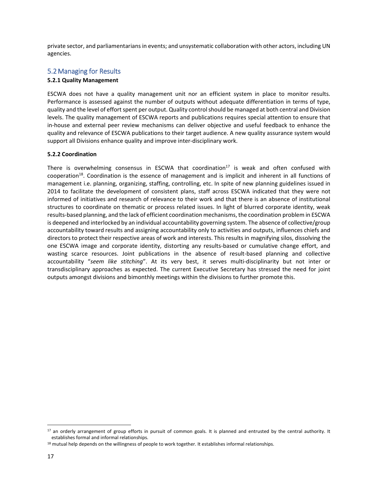private sector, and parliamentarians in events; and unsystematic collaboration with other actors, including UN agencies.

## 5.2Managing for Results

#### **5.2.1 Quality Management**

ESCWA does not have a quality management unit nor an efficient system in place to monitor results. Performance is assessed against the number of outputs without adequate differentiation in terms of type, quality and the level of effort spent per output. Quality control should be managed at both central and Division levels. The quality management of ESCWA reports and publications requires special attention to ensure that in‐house and external peer review mechanisms can deliver objective and useful feedback to enhance the quality and relevance of ESCWA publications to their target audience. A new quality assurance system would support all Divisions enhance quality and improve inter‐disciplinary work.

#### **5.2.2 Coordination**

There is overwhelming consensus in ESCWA that coordination $17$  is weak and often confused with cooperation<sup>18</sup>. Coordination is the essence of management and is implicit and inherent in all functions of management i.e. planning, organizing, staffing, controlling, etc. In spite of new planning guidelines issued in 2014 to facilitate the development of consistent plans, staff across ESCWA indicated that they were not informed of initiatives and research of relevance to their work and that there is an absence of institutional structures to coordinate on thematic or process related issues. In light of blurred corporate identity, weak results‐based planning, and the lack of efficient coordination mechanisms, the coordination problem in ESCWA is deepened and interlocked by an individual accountability governing system. The absence of collective/group accountability toward results and assigning accountability only to activities and outputs, influences chiefs and directors to protect their respective areas of work and interests. This results in magnifying silos, dissolving the one ESCWA image and corporate identity, distorting any results‐based or cumulative change effort, and wasting scarce resources. Joint publications in the absence of result-based planning and collective accountability "*seem like stitching*". At its very best, it serves multi‐disciplinarity but not inter or transdisciplinary approaches as expected. The current Executive Secretary has stressed the need for joint outputs amongst divisions and bimonthly meetings within the divisions to further promote this.

<sup>17</sup> an orderly arrangement of group efforts in pursuit of common goals. It is planned and entrusted by the central authority. It establishes formal and informal relationships.

<sup>18</sup> mutual help depends on the willingness of people to work together. It establishes informal relationships.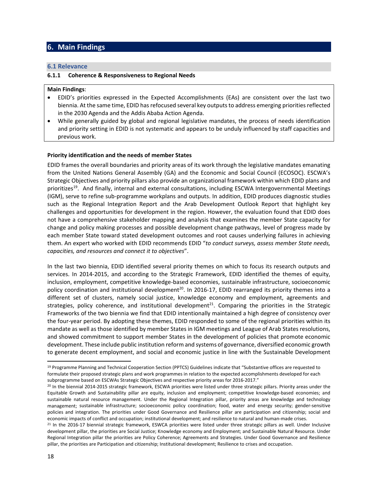## **6. Main Findings**

#### **6.1 Relevance**

#### **6.1.1 Coherence & Responsiveness to Regional Needs**

#### **Main Findings**:

- EDID's priorities expressed in the Expected Accomplishments (EAs) are consistent over the last two biennia. At the same time, EDID has refocused several key outputs to address emerging priorities reflected in the 2030 Agenda and the Addis Ababa Action Agenda.
- While generally guided by global and regional legislative mandates, the process of needs identification and priority setting in EDID is not systematic and appears to be unduly influenced by staff capacities and previous work.

#### **Priority identification and the needs of member States**

EDID frames the overall boundaries and priority areas of its work through the legislative mandates emanating from the United Nations General Assembly (GA) and the Economic and Social Council (ECOSOC). ESCWA's Strategic Objectives and priority pillars also provide an organizational framework within which EDID plans and prioritizes<sup>19</sup>. And finally, internal and external consultations, including ESCWA Intergovernmental Meetings (IGM), serve to refine sub‐programme workplans and outputs. In addition, EDID produces diagnostic studies such as the Regional Integration Report and the Arab Development Outlook Report that highlight key challenges and opportunities for development in the region. However, the evaluation found that EDID does not have a comprehensive stakeholder mapping and analysis that examines the member State capacity for change and policy making processes and possible development change pathways, level of progress made by each member State toward stated development outcomes and root causes underlying failures in achieving them. An expert who worked with EDID recommends EDID "*to conduct surveys, assess member State needs, capacities, and resources and connect it to objectives*".

In the last two biennia, EDID identified several priority themes on which to focus its research outputs and services. In 2014-2015, and according to the Strategic Framework, EDID identified the themes of equity, inclusion, employment, competitive knowledge‐based economies, sustainable infrastructure, socioeconomic policy coordination and institutional development<sup>20</sup>. In 2016-17, EDID rearranged its priority themes into a different set of clusters, namely social justice, knowledge economy and employment, agreements and strategies, policy coherence, and institutional development $21$ . Comparing the priorities in the Strategic Frameworks of the two biennia we find that EDID intentionally maintained a high degree of consistency over the four‐year period. By adopting these themes, EDID responded to some of the regional priorities within its mandate as well as those identified by member States in IGM meetings and League of Arab Statesresolutions, and showed commitment to support member States in the development of policies that promote economic development. These include public institution reform and systems of governance, diversified economic growth to generate decent employment, and social and economic justice in line with the Sustainable Development

<sup>&</sup>lt;sup>19</sup> Programme Planning and Technical Cooperation Section (PPTCS) Guidelines indicate that "Substantive offices are requested to formulate their proposed strategic plans and work programmes in relation to the expected accomplishments developed for each subprogramme based on ESCWAs Strategic Objectives and respective priority areas for 2016-2017."

<sup>20</sup> In the biennial 2014‐2015 strategic framework, ESCWA priorities were listed under three strategic pillars. Priority areas under the Equitable Growth and Sustainability pillar are equity, inclusion and employment; competitive knowledge‐based economies; and sustainable natural resource management. Under the Regional Integration pillar, priority areas are knowledge and technology management; sustainable infrastructure; socioeconomic policy coordination; food, water and energy security; gender‐sensitive policies and integration. The priorities under Good Governance and Resilience pillar are participation and citizenship; social and economic impacts of conflict and occupation; institutional development; and resilience to natural and human-made crises.

 $21$  In the 2016-17 biennial strategic framework, ESWCA priorities were listed under three strategic pillars as well. Under Inclusive development pillar, the priorities are Social Justice; Knowledge economy and Employment; and Sustainable Natural Resource. Under Regional Integration pillar the priorities are Policy Coherence; Agreements and Strategies. Under Good Governance and Resilience pillar, the priorities are Participation and citizenship; Institutional development; Resilience to crises and occupation.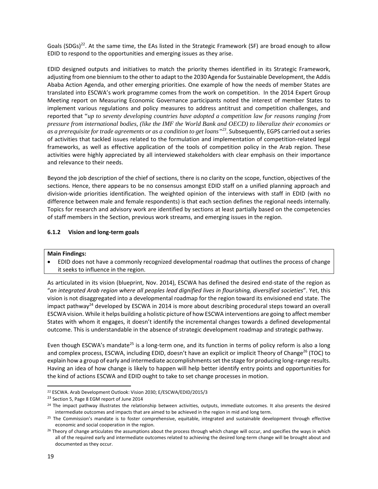Goals (SDGs)<sup>22</sup>. At the same time, the EAs listed in the Strategic Framework (SF) are broad enough to allow EDID to respond to the opportunities and emerging issues as they arise.

EDID designed outputs and initiatives to match the priority themes identified in its Strategic Framework, adjusting from one biennium to the other to adapt to the 2030 Agenda for Sustainable Development, the Addis Ababa Action Agenda, and other emerging priorities. One example of how the needs of member States are translated into ESCWA's work programme comes from the work on competition. In the 2014 Expert Group Meeting report on Measuring Economic Governance participants noted the interest of member States to implement various regulations and policy measures to address antitrust and competition challenges, and reported that "*up to seventy developing countries have adopted a competition law for reasons ranging from pressure from international bodies, (like the IMF the World Bank and OECD) to liberalize their economies or as a prerequisite for trade agreements or as a condition to get loans"<sup>23</sup>*. Subsequently, EGPS carried out a series of activities that tackled issues related to the formulation and implementation of competition‐related legal frameworks, as well as effective application of the tools of competition policy in the Arab region. These activities were highly appreciated by all interviewed stakeholders with clear emphasis on their importance and relevance to their needs.

Beyond the job description of the chief of sections, there is no clarity on the scope, function, objectives of the sections. Hence, there appears to be no consensus amongst EDID staff on a unified planning approach and division‐wide priorities identification. The weighted opinion of the interviews with staff in EDID (with no difference between male and female respondents) is that each section defines the regional needs internally. Topics for research and advisory work are identified by sections at least partially based on the competencies of staff members in the Section, previous work streams, and emerging issues in the region.

#### **6.1.2 Vision and long‐term goals**

#### **Main Findings:**

 EDID does not have a commonly recognized developmental roadmap that outlines the process of change it seeks to influence in the region.

As articulated in its vision (blueprint, Nov. 2014), ESCWA has defined the desired end‐state of the region as "*an integrated Arab region where all peoples lead dignified lives in flourishing, diversified societies*". Yet, this vision is not disaggregated into a developmental roadmap for the region toward its envisioned end state. The impact pathway<sup>24</sup> developed by ESCWA in 2014 is more about describing procedural steps toward an overall ESCWA vision. While it helps building a holistic picture of how ESCWA interventions are going to affect member States with whom it engages, it doesn't identify the incremental changes towards a defined developmental outcome. This is understandable in the absence of strategic development roadmap and strategic pathway.

Even though ESCWA's mandate<sup>25</sup> is a long-term one, and its function in terms of policy reform is also a long and complex process, ESCWA, including EDID, doesn't have an explicit or implicit Theory of Change<sup>26</sup> (TOC) to explain how a group of early and intermediate accomplishments set the stage for producing long-range results. Having an idea of how change is likely to happen will help better identify entry points and opportunities for the kind of actions ESCWA and EDID ought to take to set change processes in motion.

<sup>22</sup> ESCWA. Arab Development Outlook: Vision 2030; E/ESCWA/EDID/2015/3

<sup>&</sup>lt;sup>23</sup> Section 5, Page 8 EGM report of June 2014

<sup>&</sup>lt;sup>24</sup> The impact pathway illustrates the relationship between activities, outputs, immediate outcomes. It also presents the desired intermediate outcomes and impacts that are aimed to be achieved in the region in mid and long term.

<sup>&</sup>lt;sup>25</sup> The Commission's mandate is to foster comprehensive, equitable, integrated and sustainable development through effective economic and social cooperation in the region.

<sup>&</sup>lt;sup>26</sup> Theory of change articulates the assumptions about the process through which change will occur, and specifies the ways in which all of the required early and intermediate outcomes related to achieving the desired long‐term change will be brought about and documented as they occur.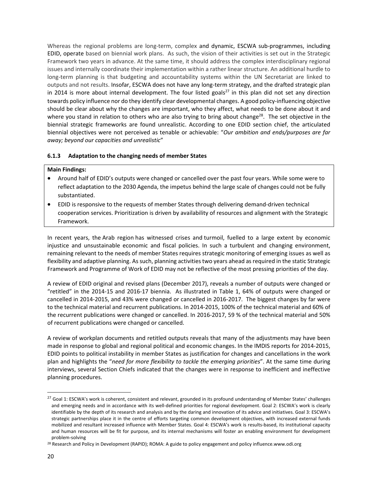Whereas the regional problems are long-term, complex and dynamic, ESCWA sub-programmes, including EDID, operate based on biennial work plans. As such, the vision of their activities is set out in the Strategic Framework two years in advance. At the same time, it should address the complex interdisciplinary regional issues and internally coordinate their implementation within a rather linear structure. An additional hurdle to long-term planning is that budgeting and accountability systems within the UN Secretariat are linked to outputs and not results. Insofar, ESCWA does not have any long‐term strategy, and the drafted strategic plan in 2014 is more about internal development. The four listed goals<sup>27</sup> in this plan did not set any direction towards policy influence nor do they identify clear developmental changes. A good policy-influencing objective should be clear about why the changes are important, who they affect, what needs to be done about it and where you stand in relation to others who are also trying to bring about change<sup>28</sup>. The set objective in the biennial strategic frameworks are found unrealistic. According to one EDID section chief, the articulated biennial objectives were not perceived as tenable or achievable: "*Our ambition and ends/purposes are far away; beyond our capacities and unrealistic*"

#### **6.1.3 Adaptation to the changing needs of member States**

#### **Main Findings:**

- Around half of EDID's outputs were changed or cancelled over the past four years. While some were to reflect adaptation to the 2030 Agenda, the impetus behind the large scale of changes could not be fully substantiated.
- EDID is responsive to the requests of member States through delivering demand‐driven technical cooperation services. Prioritization is driven by availability of resources and alignment with the Strategic Framework.

In recent years, the Arab region has witnessed crises and turmoil, fuelled to a large extent by economic injustice and unsustainable economic and fiscal policies. In such a turbulent and changing environment, remaining relevant to the needs of member States requires strategic monitoring of emerging issues as well as flexibility and adaptive planning. As such, planning activities two years ahead as required in the static Strategic Framework and Programme of Work of EDID may not be reflective of the most pressing priorities of the day.

A review of EDID original and revised plans (December 2017), reveals a number of outputs were changed or "retitled" in the 2014‐15 and 2016‐17 biennia. As illustrated in Table 1, 64% of outputs were changed or cancelled in 2014‐2015, and 43% were changed or cancelled in 2016‐2017. The biggest changes by far were to the technical material and recurrent publications. In 2014‐2015, 100% of the technical material and 60% of the recurrent publications were changed or cancelled. In 2016‐2017, 59 % of the technical material and 50% of recurrent publications were changed or cancelled.

A review of workplan documents and retitled outputs reveals that many of the adjustments may have been made in response to global and regional political and economic changes. In the IMDIS reports for 2014‐2015, EDID points to political instability in member States as justification for changes and cancellations in the work plan and highlights the "*need for more flexibility to tackle the emerging priorities*". At the same time during interviews, several Section Chiefs indicated that the changes were in response to inefficient and ineffective planning procedures.

<sup>&</sup>lt;sup>27</sup> Goal 1: ESCWA's work is coherent, consistent and relevant, grounded in its profound understanding of Member States' challenges and emerging needs and in accordance with its well-defined priorities for regional development. Goal 2: ESCWA's work is clearly identifiable by the depth of its research and analysis and by the daring and innovation of its advice and initiatives. Goal 3: ESCWA's strategic partnerships place it in the centre of efforts targeting common development objectives, with increased external funds mobilized and resultant increased influence with Member States. Goal 4: ESCWA's work is results‐based, its institutional capacity and human resources will be fit for purpose, and its internal mechanisms will foster an enabling environment for development problem‐solving

<sup>&</sup>lt;sup>28</sup> Research and Policy in Development (RAPID); ROMA: A guide to policy engagement and policy influence.www.odi.org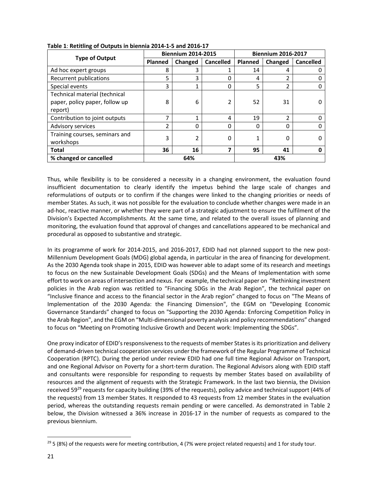|                                                                            |         | <b>Biennium 2014-2015</b> |                  | <b>Biennium 2016-2017</b> |                         |                  |
|----------------------------------------------------------------------------|---------|---------------------------|------------------|---------------------------|-------------------------|------------------|
| <b>Type of Output</b>                                                      | Planned | Changed                   | <b>Cancelled</b> | Planned                   | Changed                 | <b>Cancelled</b> |
| Ad hoc expert groups                                                       | 8       | 3                         |                  | 14                        | 4                       |                  |
| Recurrent publications                                                     | 5       | 3                         | 0                | 4                         | ົາ                      |                  |
| Special events                                                             | 3       | 1                         | 0                | 5                         | $\overline{2}$          |                  |
| Technical material (technical<br>paper, policy paper, follow up<br>report) | 8       | 6                         |                  | 52                        | 31                      |                  |
| Contribution to joint outputs                                              | 7       | 1                         | 4                | 19                        | $\overline{\mathbf{c}}$ |                  |
| Advisory services                                                          | 2       | 0                         | 0                | $\Omega$                  | 0                       |                  |
| Training courses, seminars and<br>workshops                                | 3       | 2                         | $\Omega$         | 1                         | 0                       |                  |
| <b>Total</b>                                                               | 36      | 16                        | 7                | 95                        | 41                      |                  |
| % changed or cancelled                                                     |         | 64%                       |                  | 43%                       |                         |                  |

**Table 1**: **Retitling of Outputs in biennia 2014‐1‐5 and 2016‐17**

Thus, while flexibility is to be considered a necessity in a changing environment, the evaluation found insufficient documentation to clearly identify the impetus behind the large scale of changes and reformulations of outputs or to confirm if the changes were linked to the changing priorities or needs of member States. As such, it was not possible for the evaluation to conclude whether changes were made in an ad-hoc, reactive manner, or whether they were part of a strategic adjustment to ensure the fulfilment of the Division's Expected Accomplishments. At the same time, and related to the overall issues of planning and monitoring, the evaluation found that approval of changes and cancellations appeared to be mechanical and procedural as opposed to substantive and strategic.

In its programme of work for 2014-2015, and 2016-2017, EDID had not planned support to the new post-Millennium Development Goals (MDG) global agenda, in particular in the area of financing for development. As the 2030 Agenda took shape in 2015, EDID was however able to adapt some of its research and meetings to focus on the new Sustainable Development Goals (SDGs) and the Means of Implementation with some effort to work on areas of intersection and nexus. For example, the technical paper on "Rethinking investment policies in the Arab region was retitled to "Financing SDGs in the Arab Region", the technical paper on "Inclusive finance and access to the financial sector in the Arab region" changed to focus on "The Means of Implementation of the 2030 Agenda: the Financing Dimension", the EGM on "Developing Economic Governance Standards" changed to focus on "Supporting the 2030 Agenda: Enforcing Competition Policy in the Arab Region", and the EGM on "Multi‐dimensional poverty analysis and policy recommendations" changed to focus on "Meeting on Promoting Inclusive Growth and Decent work: Implementing the SDGs".

One proxy indicator of EDID's responsiveness to the requests of member States is its prioritization and delivery of demand‐driven technical cooperation services under the framework of the Regular Programme of Technical Cooperation (RPTC). During the period under review EDID had one full time Regional Advisor on Transport, and one Regional Advisor on Poverty for a short‐term duration. The Regional Advisors along with EDID staff and consultants were responsible for responding to requests by member States based on availability of resources and the alignment of requests with the Strategic Framework. In the last two biennia, the Division received 59<sup>29</sup> requests for capacity building (39% of the requests), policy advice and technical support (44% of the requests) from 13 member States. It responded to 43 requests from 12 member States in the evaluation period, whereas the outstanding requests remain pending or were cancelled. As demonstrated in Table 2 below, the Division witnessed a 36% increase in 2016‐17 in the number of requests as compared to the previous biennium.

 $29$  5 (8%) of the requests were for meeting contribution, 4 (7% were project related requests) and 1 for study tour.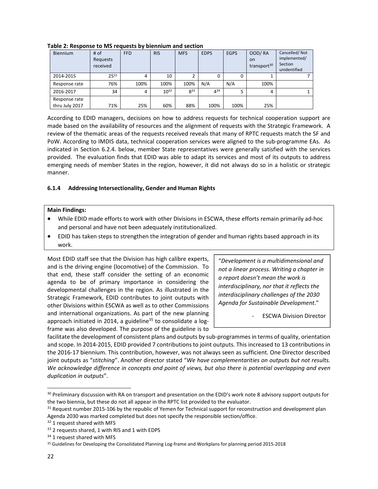| Biennium                        | # of<br>Requests<br>received | <b>FFD</b> | <b>RIS</b> | <b>MFS</b> | <b>EDPS</b> | <b>EGPS</b> | OOD/RA<br><b>on</b><br>transport <sup>30</sup> | Cancelled/Not<br>implemented/<br>Section<br>unidentified |
|---------------------------------|------------------------------|------------|------------|------------|-------------|-------------|------------------------------------------------|----------------------------------------------------------|
| 2014-2015                       | 2531                         | 4          | 10         |            | 0           | 0           |                                                |                                                          |
| Response rate                   | 76%                          | 100%       | 100%       | 100%       | N/A         | N/A         | 100%                                           |                                                          |
| 2016-2017                       | 34                           | 4          | $10^{32}$  | $8^{33}$   | 434         | 5           | 4                                              |                                                          |
| Response rate<br>thru July 2017 | 71%                          | 25%        | 60%        | 88%        | 100%        | 100%        | 25%                                            |                                                          |

**Table 2: Response to MS requests by biennium and section** 

According to EDID managers, decisions on how to address requests for technical cooperation support are made based on the availability of resources and the alignment of requests with the Strategic Framework. A review of the thematic areas of the requests received reveals that many of RPTC requests match the SF and PoW. According to IMDIS data, technical cooperation services were aligned to the sub‐programme EAs. As indicated in Section 6.2.4. below, member State representatives were generally satisfied with the services provided. The evaluation finds that EDID was able to adapt its services and most of its outputs to address emerging needs of member States in the region, however, it did not always do so in a holistic or strategic manner.

#### **6.1.4 Addressing Intersectionality, Gender and Human Rights**

#### **Main Findings:**

- While EDID made efforts to work with other Divisions in ESCWA, these efforts remain primarily ad-hoc and personal and have not been adequately institutionalized.
- EDID has taken steps to strengthen the integration of gender and human rights based approach in its work.

Most EDID staff see that the Division has high calibre experts, and is the driving engine (locomotive) of the Commission. To that end, these staff consider the setting of an economic agenda to be of primary importance in considering the developmental challenges in the region. As illustrated in the Strategic Framework, EDID contributes to joint outputs with other Divisions within ESCWA as well as to other Commissions and international organizations. As part of the new planning approach initiated in 2014, a guideline<sup>35</sup> to consolidate a  $log$ frame was also developed. The purpose of the guideline is to

"*Development is a multidimensional and not a linear process. Writing a chapter in a report doesn't mean the work is interdisciplinary, nor that it reflects the interdisciplinary challenges of the 2030 Agenda for Sustainable Development*."

**ESCWA Division Director** 

facilitate the development of consistent plans and outputs by sub-programmes in terms of quality, orientation and scope. In 2014‐2015, EDID provided 7 contributions to joint outputs. This increased to 13 contributions in the 2016‐17 biennium. This contribution, however, was not always seen as sufficient. One Director described joint outputs as "*stitching*". Another director stated "*We have complementarities on outputs but not results.* We acknowledge difference in concepts and point of views, but also there is potential overlapping and even *duplication in outputs*".

<sup>&</sup>lt;sup>30</sup> Preliminary discussion with RA on transport and presentation on the EDID's work note 8 advisory support outputs for the two biennia, but these do not all appear in the RPTC list provided to the evaluator.

 $31$  Request number 2015-106 by the republic of Yemen for Technical support for reconstruction and development plan Agenda 2030 was marked completed but does not specify the responsible section/office.

<sup>&</sup>lt;sup>32</sup> 1 request shared with MFS

<sup>&</sup>lt;sup>33</sup> 2 requests shared, 1 with RIS and 1 with EDPS

<sup>&</sup>lt;sup>34</sup> 1 request shared with MFS

<sup>35</sup> Guidelines for Developing the Consolidated Planning Log-frame and Workplans for planning period 2015-2018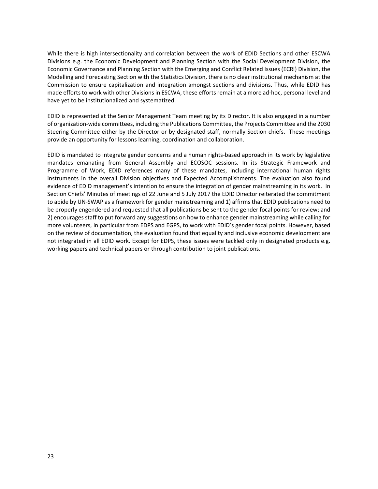While there is high intersectionality and correlation between the work of EDID Sections and other ESCWA Divisions e.g. the Economic Development and Planning Section with the Social Development Division, the Economic Governance and Planning Section with the Emerging and Conflict Related Issues (ECRI) Division, the Modelling and Forecasting Section with the Statistics Division, there is no clear institutional mechanism at the Commission to ensure capitalization and integration amongst sections and divisions. Thus, while EDID has made efforts to work with other Divisions in ESCWA, these efforts remain at a more ad-hoc, personal level and have yet to be institutionalized and systematized.

EDID is represented at the Senior Management Team meeting by its Director. It is also engaged in a number of organization‐wide committees, including the Publications Committee, the Projects Committee and the 2030 Steering Committee either by the Director or by designated staff, normally Section chiefs. These meetings provide an opportunity for lessons learning, coordination and collaboration.

EDID is mandated to integrate gender concerns and a human rights‐based approach in its work by legislative mandates emanating from General Assembly and ECOSOC sessions. In its Strategic Framework and Programme of Work, EDID references many of these mandates, including international human rights instruments in the overall Division objectives and Expected Accomplishments. The evaluation also found evidence of EDID management's intention to ensure the integration of gender mainstreaming in its work. In Section Chiefs' Minutes of meetings of 22 June and 5 July 2017 the EDID Director reiterated the commitment to abide by UN‐SWAP as a framework for gender mainstreaming and 1) affirms that EDID publications need to be properly engendered and requested that all publications be sent to the gender focal points for review; and 2) encourages staff to put forward any suggestions on how to enhance gender mainstreaming while calling for more volunteers, in particular from EDPS and EGPS, to work with EDID's gender focal points. However, based on the review of documentation, the evaluation found that equality and inclusive economic development are not integrated in all EDID work. Except for EDPS, these issues were tackled only in designated products e.g. working papers and technical papers or through contribution to joint publications.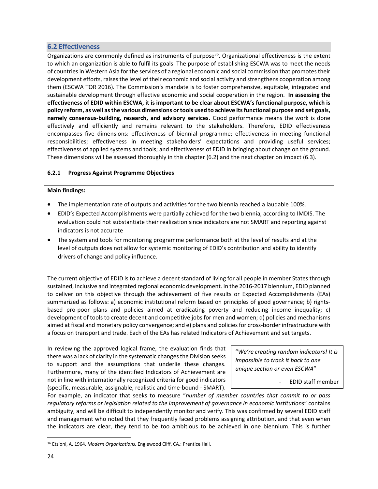## **6.2 Effectiveness**

Organizations are commonly defined as instruments of purpose<sup>36</sup>. Organizational effectiveness is the extent to which an organization is able to fulfil its goals. The purpose of establishing ESCWA was to meet the needs of countries in Western Asia for the services of a regional economic and social commission that promotes their development efforts, raises the level of their economic and social activity and strengthens cooperation among them (ESCWA TOR 2016). The Commission's mandate is to foster comprehensive, equitable, integrated and sustainable development through effective economic and social cooperation in the region. **In assessing the** effectiveness of EDID within ESCWA, it is important to be clear about ESCWA's functional purpose, which is **policy reform, as well asthe various dimensions ortools used to achieve itsfunctional purpose and set goals, namely consensus‐building, research, and advisory services.** Good performance means the work is done effectively and efficiently and remains relevant to the stakeholders. Therefore, EDID effectiveness encompasses five dimensions: effectiveness of biennial programme; effectiveness in meeting functional responsibilities; effectiveness in meeting stakeholders' expectations and providing useful services; effectiveness of applied systems and tools; and effectiveness of EDID in bringing about change on the ground. These dimensions will be assessed thoroughly in this chapter (6.2) and the next chapter on impact (6.3).

#### **6.2.1 Progress Against Programme Objectives**

#### **Main findings:**

- The implementation rate of outputs and activities for the two biennia reached a laudable 100%.
- EDID's Expected Accomplishments were partially achieved for the two biennia, according to IMDIS. The evaluation could not substantiate their realization since indicators are not SMART and reporting against indicators is not accurate
- The system and tools for monitoring programme performance both at the level of results and at the level of outputs does not allow for systemic monitoring of EDID's contribution and ability to identify drivers of change and policy influence.

The current objective of EDID is to achieve a decent standard of living for all people in member States through sustained, inclusive and integrated regional economic development. In the 2016‐2017 biennium, EDID planned to deliver on this objective through the achievement of five results or Expected Accomplishments (EAs) summarized as follows: a) economic institutional reform based on principles of good governance; b) rightsbased pro‐poor plans and policies aimed at eradicating poverty and reducing income inequality; c) development of tools to create decent and competitive jobs for men and women; d) policies and mechanisms aimed at fiscal and monetary policy convergence; and e) plans and policiesfor cross‐border infrastructure with a focus on transport and trade. Each of the EAs has related Indicators of Achievement and set targets.

In reviewing the approved logical frame, the evaluation finds that there was a lack of clarity in the systematic changes the Division seeks to support and the assumptions that underlie these changes. Furthermore, many of the identified Indicators of Achievement are not in line with internationally recognized criteria for good indicators (specific, measurable, assignable, realistic and time‐bound ‐ SMART).

"*We're creating random indicators! It is impossible to track it back to one unique section or even ESCWA*"

‐ EDID staff member

For example, an indicator that seeks to measure "*number of member countries that commit to or pass regulatory reforms or legislation related to the improvement of governance in economic institutions*" contains ambiguity, and will be difficult to independently monitor and verify. This was confirmed by several EDID staff and management who noted that they frequently faced problems assigning attribution, and that even when the indicators are clear, they tend to be too ambitious to be achieved in one biennium. This is further

<sup>36</sup> Etzioni, A. 1964. *Modern Organizations.* Englewood Cliff, CA.: Prentice Hall.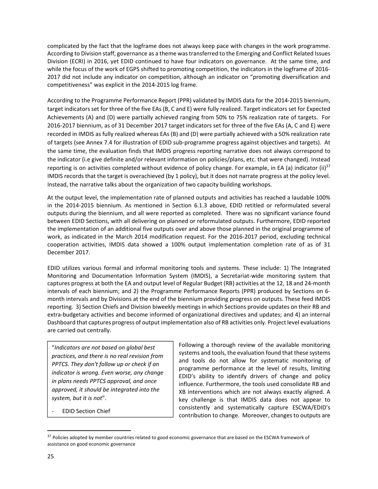complicated by the fact that the logframe does not always keep pace with changes in the work programme. According to Division staff, governance as a theme wastransferred to the Emerging and Conflict Related Issues Division (ECRI) in 2016, yet EDID continued to have four indicators on governance. At the same time, and while the focus of the work of EGPS shifted to promoting competition, the indicators in the logframe of 2016-2017 did not include any indicator on competition, although an indicator on "promoting diversification and competitiveness" was explicit in the 2014‐2015 log frame.

According to the Programme Performance Report (PPR) validated by IMDIS data for the 2014‐2015 biennium, target indicators set for three of the five EAs (B, C and E) were fully realized. Target indicators set for Expected Achievements (A) and (D) were partially achieved ranging from 50% to 75% realization rate of targets. For 2016‐2017 biennium, as of 31 December 2017 target indicators set for three of the five EAs (A, C and E) were recorded in IMDIS as fully realized whereas EAs (B) and (D) were partially achieved with a 50% realization rate of targets (see Annex 7.4 for illustration of EDID sub‐programme progress against objectives and targets). At the same time, the evaluation finds that IMDIS progress reporting narrative does not always correspond to the indicator (i.e give definite and/or relevant information on policies/plans, etc. that were changed). Instead reporting is on activities completed without evidence of policy change. For example, in EA (a) indicator (ii)<sup>37</sup> IMDIS records that the target is overachieved (by 1 policy), but it does not narrate progress at the policy level. Instead, the narrative talks about the organization of two capacity building workshops.

At the output level, the implementation rate of planned outputs and activities has reached a laudable 100% in the 2014‐2015 biennium. As mentioned in Section 6.1.3 above, EDID retitled or reformulated several outputs during the biennium, and all were reported as completed. There was no significant variance found between EDID Sections, with all delivering on planned or reformulated outputs. Furthermore, EDID reported the implementation of an additional five outputs over and above those planned in the original programme of work, as indicated in the March 2014 modification request. For the 2016‐2017 period, excluding technical cooperation activities, IMDIS data showed a 100% output implementation completion rate of as of 31 December 2017.

EDID utilizes various formal and informal monitoring tools and systems. These include: 1) The Integrated Monitoring and Documentation Information System (IMDIS), a Secretariat‐wide monitoring system that captures progress at both the EA and output level of Regular Budget (RB) activities at the 12, 18 and 24‐month intervals of each biennium; and 2) the Programme Performance Reports (PPR) produced by Sections on 6‐ month intervals and by Divisions at the end of the biennium providing progress on outputs. These feed IMDIS reporting. 3) Section Chiefs and Division biweekly meetings in which Sections provide updates on their RB and extra‐budgetary activities and become informed of organizational directives and updates; and 4) an internal Dashboard that captures progress of output implementation also of RB activities only. Project level evaluations are carried out centrally.

"*Indicators are not based on global best practices, and there is no real revision from PPTCS. They don't follow up or check if an indicator is wrong. Even worse, any change in plans needs PPTCS approval, and once approved, it should be integrated into the system, but it is not*".

‐ EDID Section Chief

Following a thorough review of the available monitoring systems and tools, the evaluation found that these systems and tools do not allow for systematic monitoring of programme performance at the level of results, limiting EDID's ability to identify drivers of change and policy influence. Furthermore, the tools used consolidate RB and XB interventions which are not always exactly aligned. A key challenge is that IMDIS data does not appear to consistently and systematically capture ESCWA/EDID's contribution to change. Moreover, changes to outputs are

<sup>&</sup>lt;sup>37</sup> Policies adopted by member countries related to good economic governance that are based on the ESCWA framework of assistance on good economic governance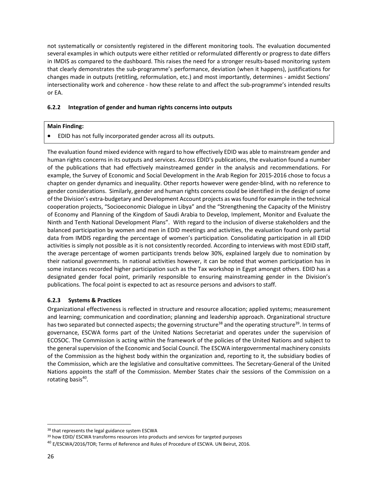not systematically or consistently registered in the different monitoring tools. The evaluation documented several examples in which outputs were either retitled or reformulated differently or progress to date differs in IMDIS as compared to the dashboard. This raises the need for a stronger results-based monitoring system that clearly demonstrates the sub‐programme's performance, deviation (when it happens), justifications for changes made in outputs (retitling, reformulation, etc.) and most importantly, determines ‐ amidst Sections' intersectionality work and coherence - how these relate to and affect the sub-programme's intended results or EA.

#### **6.2.2 Integration of gender and human rights concerns into outputs**

#### **Main Finding:**

EDID has not fully incorporated gender across all its outputs.

The evaluation found mixed evidence with regard to how effectively EDID was able to mainstream gender and human rights concerns in its outputs and services. Across EDID's publications, the evaluation found a number of the publications that had effectively mainstreamed gender in the analysis and recommendations. For example, the Survey of Economic and Social Development in the Arab Region for 2015‐2016 chose to focus a chapter on gender dynamics and inequality. Other reports however were gender‐blind, with no reference to gender considerations. Similarly, gender and human rights concerns could be identified in the design of some of the Division's extra‐budgetary and Development Account projects as wasfound for example in the technical cooperation projects, "Socioeconomic Dialogue in Libya" and the "Strengthening the Capacity of the Ministry of Economy and Planning of the Kingdom of Saudi Arabia to Develop, Implement, Monitor and Evaluate the Ninth and Tenth National Development Plans". With regard to the inclusion of diverse stakeholders and the balanced participation by women and men in EDID meetings and activities, the evaluation found only partial data from IMDIS regarding the percentage of women's participation. Consolidating participation in all EDID activities is simply not possible as it is not consistently recorded. According to interviews with most EDID staff, the average percentage of women participants trends below 30%, explained largely due to nomination by their national governments. In national activities however, it can be noted that women participation has in some instances recorded higher participation such as the Tax workshop in Egypt amongst others. EDID has a designated gender focal point, primarily responsible to ensuring mainstreaming gender in the Division's publications. The focal point is expected to act as resource persons and advisors to staff.

#### **6.2.3 Systems & Practices**

Organizational effectiveness is reflected in structure and resource allocation; applied systems; measurement and learning; communication and coordination; planning and leadership approach. Organizational structure has two separated but connected aspects; the governing structure<sup>38</sup> and the operating structure<sup>39</sup>. In terms of governance, ESCWA forms part of the United Nations Secretariat and operates under the supervision of ECOSOC. The Commission is acting within the framework of the policies of the United Nations and subject to the general supervision of the Economic and Social Council. The ESCWA intergovernmental machinery consists of the Commission as the highest body within the organization and, reporting to it, the subsidiary bodies of the Commission, which are the legislative and consultative committees. The Secretary‐General of the United Nations appoints the staff of the Commission. Member States chair the sessions of the Commission on a rotating basis $40$ .

<sup>38</sup> that represents the legal guidance system ESCWA

<sup>&</sup>lt;sup>39</sup> how EDID/ ESCWA transforms resources into products and services for targeted purposes

<sup>40</sup> E/ESCWA/2016/TOR; Terms of Reference and Rules of Procedure of ESCWA. UN Beirut, 2016.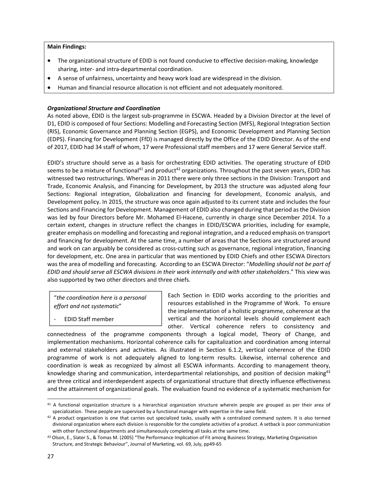#### **Main Findings:**

- The organizational structure of EDID is not found conducive to effective decision-making, knowledge sharing, inter‐ and intra‐departmental coordination.
- A sense of unfairness, uncertainty and heavy work load are widespread in the division.
- Human and financial resource allocation is not efficient and not adequately monitored.

#### *Organizational Structure and Coordination*

As noted above, EDID is the largest sub‐programme in ESCWA. Headed by a Division Director at the level of D1, EDID is composed of four Sections: Modelling and Forecasting Section (MFS), Regional Integration Section (RIS), Economic Governance and Planning Section (EGPS), and Economic Development and Planning Section (EDPS). Financing for Development (FfD) is managed directly by the Office of the EDID Director. As of the end of 2017, EDID had 34 staff of whom, 17 were Professional staff members and 17 were General Service staff.

EDID's structure should serve as a basis for orchestrating EDID activities. The operating structure of EDID seems to be a mixture of functional<sup>41</sup> and product<sup>42</sup> organizations. Throughout the past seven years, EDID has witnessed two restructurings. Whereas in 2011 there were only three sections in the Division: Transport and Trade, Economic Analysis, and Financing for Development, by 2013 the structure was adjusted along four Sections: Regional integration, Globalization and financing for development, Economic analysis, and Development policy. In 2015, the structure was once again adjusted to its current state and includes the four Sections and Financing for Development. Management of EDID also changed during that period asthe Division was led by four Directors before Mr. Mohamed El-Hacene, currently in charge since December 2014. To a certain extent, changes in structure reflect the changes in EDID/ESCWA priorities, including for example, greater emphasis on modelling and forecasting and regional integration, and a reduced emphasis on transport and financing for development. At the same time, a number of areas that the Sections are structured around and work on can arguably be considered as cross‐cutting such as governance, regional integration, financing for development, etc. One area in particular that was mentioned by EDID Chiefs and other ESCWA Directors was the area of modelling and forecasting. According to an ESCWA Director: "*Modelling should not be part of EDID and should serve all ESCWA divisions in their work internally and with other stakeholders*." This view was also supported by two other directors and three chiefs.

"*the coordination here is a personal effort and not systematic*"

‐ EDID Staff member

Each Section in EDID works according to the priorities and resources established in the Programme of Work. To ensure the implementation of a holistic programme, coherence at the vertical and the horizontal levels should complement each other. Vertical coherence refers to consistency and

connectedness of the programme components through a logical model, Theory of Change, and implementation mechanisms. Horizontal coherence calls for capitalization and coordination among internal and external stakeholders and activities. As illustrated in Section 6.1.2, vertical coherence of the EDID programme of work is not adequately aligned to long‐term results. Likewise, internal coherence and coordination is weak as recognized by almost all ESCWA informants. According to management theory, knowledge sharing and communication, interdepartmental relationships, and position of decision making<sup>43</sup> are three critical and interdependent aspects of organizational structure that directly influence effectiveness and the attainment of organizational goals. The evaluation found no evidence of a systematic mechanism for

 <sup>41</sup> A functional organization structure is a hierarchical organization structure wherein people are grouped as per their area of specialization. These people are supervised by a functional manager with expertise in the same field.

<sup>42</sup> A product organization is one that carries out specialized tasks, usually with a centralized command system. It is also termed divisional organization where each division is responsible for the complete activities of a product. A setback is poor communication with other functional departments and simultaneously completing all tasks at the same time.

<sup>43</sup> Olson, E., Slater S., & Tomas M. (2005) "The Performance Implication of Fit among Business Strategy, Marketing Organisation Structure, and Strategic Behaviour", Journal of Marketing, vol. 69, July, pp49‐65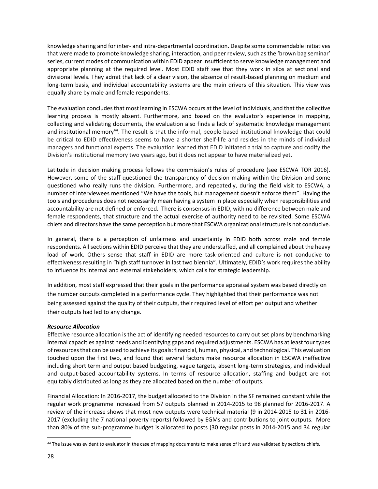knowledge sharing and for inter‐ and intra‐departmental coordination. Despite some commendable initiatives that were made to promote knowledge sharing, interaction, and peer review, such as the 'brown bag seminar' series, current modes of communication within EDID appear insufficient to serve knowledge management and appropriate planning at the required level. Most EDID staff see that they work in silos at sectional and divisional levels. They admit that lack of a clear vision, the absence of result‐based planning on medium and long-term basis, and individual accountability systems are the main drivers of this situation. This view was equally share by male and female respondents.

The evaluation concludesthat most learning in ESCWA occurs at the level of individuals, and that the collective learning process is mostly absent. Furthermore, and based on the evaluator's experience in mapping, collecting and validating documents, the evaluation also finds a lack of systematic knowledge management and institutional memory<sup>44</sup>. The result is that the informal, people-based institutional knowledge that could be critical to EDID effectiveness seems to have a shorter shelf‐life and resides in the minds of individual managers and functional experts. The evaluation learned that EDID initiated a trial to capture and codify the Division's institutional memory two years ago, but it does not appear to have materialized yet.

Latitude in decision making process follows the commission's rules of procedure (see ESCWA TOR 2016). However, some of the staff questioned the transparency of decision making within the Division and some questioned who really runs the division. Furthermore, and repeatedly, during the field visit to ESCWA, a number of interviewees mentioned "We have the tools, but management doesn't enforce them". Having the tools and procedures does not necessarily mean having a system in place especially when responsibilities and accountability are not defined or enforced. There is consensus in EDID, with no difference between male and female respondents, that structure and the actual exercise of authority need to be revisited. Some ESCWA chiefs and directors have the same perception but more that ESCWA organizational structure is not conducive.

In general, there is a perception of unfairness and uncertainty in EDID both across male and female respondents. All sections within EDID perceive that they are understaffed, and all complained about the heavy load of work. Others sense that staff in EDID are more task‐oriented and culture is not conducive to effectiveness resulting in "high staff turnover in last two biennia". Ultimately, EDID's work requires the ability to influence its internal and external stakeholders, which calls for strategic leadership.

In addition, most staff expressed that their goals in the performance appraisal system was based directly on the number outputs completed in a performance cycle. They highlighted that their performance was not being assessed against the quality of their outputs, their required level of effort per output and whether their outputs had led to any change.

#### *Resource Allocation*

Effective resource allocation is the act of identifying needed resources to carry out set plans by benchmarking internal capacities against needs and identifying gaps and required adjustments. ESCWA has at least four types ofresourcesthat can be used to achieve its goals: financial, human, physical, and technological. This evaluation touched upon the first two, and found that several factors make resource allocation in ESCWA ineffective including short term and output based budgeting, vague targets, absent long-term strategies, and individual and output‐based accountability systems. In terms of resource allocation, staffing and budget are not equitably distributed as long as they are allocated based on the number of outputs.

Financial Allocation: In 2016‐2017, the budget allocated to the Division in the SF remained constant while the regular work programme increased from 57 outputs planned in 2014‐2015 to 98 planned for 2016‐2017. A review of the increase shows that most new outputs were technical material (9 in 2014‐2015 to 31 in 2016‐ 2017 (excluding the 7 national poverty reports) followed by EGMs and contributions to joint outputs. More than 80% of the sub‐programme budget is allocated to posts (30 regular posts in 2014‐2015 and 34 regular

<sup>44</sup> The issue was evident to evaluator in the case of mapping documents to make sense of it and was validated by sections chiefs.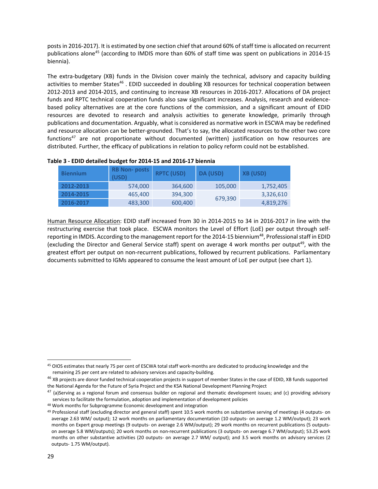posts in 2016-2017). It is estimated by one section chief that around 60% of staff time is allocated on recurrent publications alone<sup>45</sup> (according to IMDIS more than 60% of staff time was spent on publications in 2014-15 biennia).

The extra-budgetary (XB) funds in the Division cover mainly the technical, advisory and capacity building activities to member States<sup>46</sup>. EDID succeeded in doubling XB resources for technical cooperation between 2012‐2013 and 2014‐2015, and continuing to increase XB resources in 2016‐2017. Allocations of DA project funds and RPTC technical cooperation funds also saw significant increases. Analysis, research and evidence‐ based policy alternatives are at the core functions of the commission, and a significant amount of EDID resources are devoted to research and analysis activities to generate knowledge, primarily through publications and documentation. Arguably, what is considered as normative work in ESCWA may be redefined and resource allocation can be better‐grounded. That's to say, the allocated resources to the other two core functions<sup>47</sup> are not proportionate without documented (written) justification on how resources are distributed. Further, the efficacy of publications in relation to policy reform could not be established.

| <b>Biennium</b> | <b>RB Non-posts</b><br>(USD) | <b>RPTC (USD)</b> | DA (USD) | <b>XB (USD)</b> |
|-----------------|------------------------------|-------------------|----------|-----------------|
| 2012-2013       | 574,000                      | 364,600           | 105,000  | 1,752,405       |
| 2014-2015       | 465,400                      | 394,300           |          | 3,326,610       |
| 2016-2017       | 483,300                      | 600,400           | 679,390  | 4,819,276       |

#### **Table 3 ‐ EDID detailed budget for 2014‐15 and 2016‐17 biennia**

Human Resource Allocation: EDID staff increased from 30 in 2014‐2015 to 34 in 2016‐2017 in line with the restructuring exercise that took place. ESCWA monitors the Level of Effort (LoE) per output through self‐ reporting in IMDIS. According to the management report for the 2014-15 biennium<sup>48</sup>, Professional staff in EDID (excluding the Director and General Service staff) spent on average 4 work months per output<sup>49</sup>, with the greatest effort per output on non-recurrent publications, followed by recurrent publications. Parliamentary documents submitted to IGMs appeared to consume the least amount of LoE per output (see chart 1).

 45 OIOS estimates that nearly 75 per cent of ESCWA total staff work-months are dedicated to producing knowledge and the remaining 25 per cent are related to advisory services and capacity‐building.

<sup>&</sup>lt;sup>46</sup> XB projects are donor funded technical cooperation projects in support of member States in the case of EDID, XB funds supported the National Agenda for the Future of Syria Project and the KSA National Development Planning Project

 $47$  (a)Serving as a regional forum and consensus builder on regional and thematic development issues; and (c) providing advisory services to facilitate the formulation, adoption and implementation of development policies

<sup>48</sup> Work months for Subprogramme Economic development and integration

<sup>49</sup> Professional staff (excluding director and general staff) spent 10.5 work months on substantive serving of meetings (4 outputs- on average 2.63 WM/ output); 12 work months on parliamentary documentation (10 outputs- on average 1.2 WM/output); 23 work months on Expert group meetings (9 outputs- on average 2.6 WM/output); 29 work months on recurrent publications (5 outputson average 5.8 WM/outputs); 20 work months on non-recurrent publications (3 outputs- on average 6.7 WM/output); 53.25 work months on other substantive activities (20 outputs- on average 2.7 WM/ output); and 3.5 work months on advisory services (2 outputs‐ 1.75 WM/output).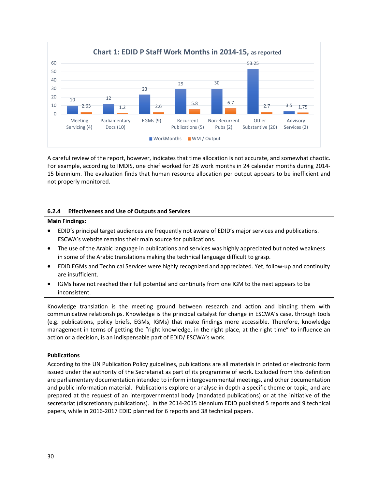

A careful review of the report, however, indicates that time allocation is not accurate, and somewhat chaotic. For example, according to IMDIS, one chief worked for 28 work months in 24 calendar months during 2014‐ 15 biennium. The evaluation finds that human resource allocation per output appears to be inefficient and not properly monitored.

#### **6.2.4 Effectiveness and Use of Outputs and Services**

#### **Main Findings:**

- EDID's principal target audiences are frequently not aware of EDID's major services and publications. ESCWA's website remains their main source for publications.
- The use of the Arabic language in publications and services was highly appreciated but noted weakness in some of the Arabic translations making the technical language difficult to grasp.
- EDID EGMs and Technical Services were highly recognized and appreciated. Yet, follow‐up and continuity are insufficient.
- IGMs have not reached their full potential and continuity from one IGM to the next appears to be inconsistent.

Knowledge translation is the meeting ground between research and action and binding them with communicative relationships. Knowledge is the principal catalyst for change in ESCWA's case, through tools (e.g. publications, policy briefs, EGMs, IGMs) that make findings more accessible. Therefore, knowledge management in terms of getting the "right knowledge, in the right place, at the right time" to influence an action or a decision, is an indispensable part of EDID/ ESCWA's work.

#### **Publications**

According to the UN Publication Policy guidelines, publications are all materials in printed or electronic form issued under the authority of the Secretariat as part of its programme of work. Excluded from this definition are parliamentary documentation intended to inform intergovernmental meetings, and other documentation and public information material. Publications explore or analyse in depth a specific theme or topic, and are prepared at the request of an intergovernmental body (mandated publications) or at the initiative of the secretariat (discretionary publications). In the 2014‐2015 biennium EDID published 5 reports and 9 technical papers, while in 2016‐2017 EDID planned for 6 reports and 38 technical papers.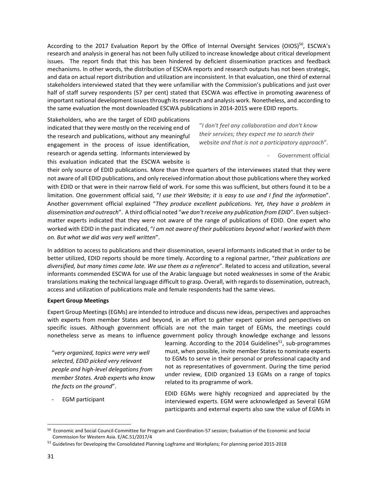According to the 2017 Evaluation Report by the Office of Internal Oversight Services (OIOS)<sup>50</sup>, ESCWA's research and analysis in general has not been fully utilized to increase knowledge about critical development issues. The report finds that this has been hindered by deficient dissemination practices and feedback mechanisms. In other words, the distribution of ESCWA reports and research outputs has not been strategic, and data on actual report distribution and utilization are inconsistent. In that evaluation, one third of external stakeholders interviewed stated that they were unfamiliar with the Commission's publications and just over half of staff survey respondents (57 per cent) stated that ESCWA was effective in promoting awareness of important national development issues through its research and analysis work. Nonetheless, and according to the same evaluation the most downloaded ESCWA publications in 2014‐2015 were EDID reports.

Stakeholders, who are the target of EDID publications indicated that they were mostly on the receiving end of the research and publications, without any meaningful engagement in the process of issue identification, research or agenda setting. Informants interviewed by this evaluation indicated that the ESCWA website is

"*I don't feel any collaboration and don't know their services; they expect me to search their website and that is not a participatory approach*".

‐ Government official

their only source of EDID publications. More than three quarters of the interviewees stated that they were not aware of all EDID publications, and only received information about those publications where they worked with EDID or that were in their narrow field of work. For some this was sufficient, but others found it to be a limitation. One government official said, "*I use their Website; it is easy to use and I find the information*". Another government official explained "*They produce excellent publications. Yet, they have a problem in dissemination and outreach*". A third official noted "*we don'treceive any publication from EDID*". Even subject‐ matter experts indicated that they were not aware of the range of publications of EDID. One expert who worked with EDID in the past indicated, "*I am not aware of their publications beyond what I worked with them on. But what we did was very well written*".

In addition to access to publications and their dissemination, several informants indicated that in order to be better utilized, EDID reports should be more timely. According to a regional partner, "*their publications are diversified, but many times came late. We use them as a reference*". Related to access and utilization, several informants commended ESCWA for use of the Arabic language but noted weaknesses in some of the Arabic translations making the technical language difficult to grasp. Overall, with regards to dissemination, outreach, access and utilization of publications male and female respondents had the same views.

#### **Expert Group Meetings**

Expert Group Meetings (EGMs) are intended to introduce and discuss new ideas, perspectives and approaches with experts from member States and beyond, in an effort to gather expert opinion and perspectives on specific issues. Although government officials are not the main target of EGMs, the meetings could nonetheless serve as means to influence government policy through knowledge exchange and lessons

"*very organized, topics were very well selected, EDID picked very relevant people and high‐level delegations from member States. Arab experts who know the facts on the ground*".

‐ EGM participant

learning. According to the 2014 Guidelines<sup>51</sup>, sub-programmes must, when possible, invite member States to nominate experts to EGMs to serve in their personal or professional capacity and not as representatives of government. During the time period under review, EDID organized 13 EGMs on a range of topics related to its programme of work.

EDID EGMs were highly recognized and appreciated by the interviewed experts. EGM were acknowledged as Several EGM participants and external experts also saw the value of EGMs in

<sup>50</sup> Economic and Social Council‐Committee for Program and Coordination‐57 session; Evaluation of the Economic and Social Commission for Western Asia. E/AC.51/2017/4

<sup>51</sup> Guidelines for Developing the Consolidated Planning Logframe and Workplans; For planning period 2015‐2018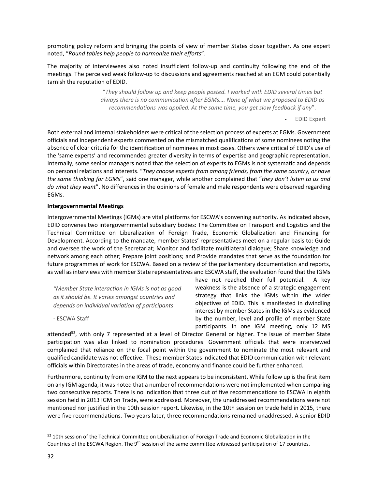promoting policy reform and bringing the points of view of member States closer together. As one expert noted, "*Round tables help people to harmonize their efforts*".

The majority of interviewees also noted insufficient follow‐up and continuity following the end of the meetings. The perceived weak follow-up to discussions and agreements reached at an EGM could potentially tarnish the reputation of EDID.

> "*They should follow up and keep people posted. I worked with EDID several times but always there is no communication after EGMs…. None of what we proposed to EDID as recommendations was applied. At the same time, you get slow feedback if any*".

#### ‐ EDID Expert

Both external and internal stakeholders were critical of the selection process of experts at EGMs. Government officials and independent experts commented on the mismatched qualifications of some nominees noting the absence of clear criteria for the identification of nominees in most cases. Others were critical of EDID's use of the 'same experts' and recommended greater diversity in terms of expertise and geographic representation. Internally, some senior managers noted that the selection of experts to EGMs is not systematic and depends on personal relations and interests. "*They choose experts from among friends, from the same country, or have the same thinking for EGMs*", said one manager, while another complained that "*they don't listen to us and do what they want*". No differences in the opinions of female and male respondents were observed regarding EGMs.

#### **Intergovernmental Meetings**

‐ ESCWA Staff

Intergovernmental Meetings (IGMs) are vital platforms for ESCWA's convening authority. As indicated above, EDID convenes two intergovernmental subsidiary bodies: The Committee on Transport and Logistics and the Technical Committee on Liberalization of Foreign Trade, Economic Globalization and Financing for Development. According to the mandate, member States' representatives meet on a regular basis to: Guide and oversee the work of the Secretariat; Monitor and facilitate multilateral dialogue; Share knowledge and network among each other; Prepare joint positions; and Provide mandates that serve as the foundation for future programmes of work for ESCWA. Based on a review of the parliamentary documentation and reports, as well as interviews with member State representatives and ESCWA staff, the evaluation found that the IGMs

*"Member State interaction in IGMs is not as good as it should be. It varies amongst countries and depends on individual variation of participants*

have not reached their full potential. A key weakness is the absence of a strategic engagement strategy that links the IGMs within the wider objectives of EDID. This is manifested in dwindling interest by member States in the IGMs as evidenced by the number, level and profile of member State participants. In one IGM meeting, only 12 MS

attended $52$ , with only 7 represented at a level of Director General or higher. The issue of member State participation was also linked to nomination procedures. Government officials that were interviewed complained that reliance on the focal point within the government to nominate the most relevant and qualified candidate was not effective. These member States indicated that EDID communication with relevant officials within Directorates in the areas of trade, economy and finance could be further enhanced.

Furthermore, continuity from one IGM to the next appears to be inconsistent. While follow up is the first item on any IGM agenda, it was noted that a number of recommendations were not implemented when comparing two consecutive reports. There is no indication that three out of five recommendations to ESCWA in eighth session held in 2013 IGM on Trade, were addressed. Moreover, the unaddressed recommendations were not mentioned nor justified in the 10th session report. Likewise, in the 10th session on trade held in 2015, there were five recommendations. Two years later, three recommendations remained unaddressed. A senior EDID

<sup>52 10</sup>th session of the Technical Committee on Liberalization of Foreign Trade and Economic Globalization in the Countries of the ESCWA Region. The 9<sup>th</sup> session of the same committee witnessed participation of 17 countries.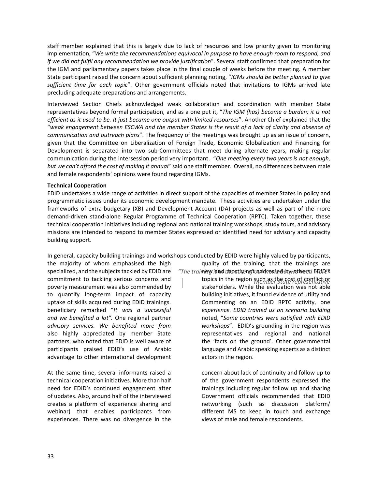staff member explained that this is largely due to lack of resources and low priority given to monitoring implementation, "*We write the recommendations equivocal in purpose to have enough room to respond, and if we did not fulfil any recommendation we provide justification*". Several staff confirmed that preparation for the IGM and parliamentary papers takes place in the final couple of weeks before the meeting. A member State participant raised the concern about sufficient planning noting, "*IGMs should be better planned to give sufficient time for each topic*". Other government officials noted that invitations to IGMs arrived late precluding adequate preparations and arrangements.

Interviewed Section Chiefs acknowledged weak collaboration and coordination with member State representatives beyond formal participation, and as a one put it, "*The IGM (has) become a burden; it is not efficient as it used to be. It just became one output with limited resources*". Another Chief explained that the "weak engagement between ESCWA and the member States is the result of a lack of clarity and absence of *communication and outreach plans*". The frequency of the meetings was brought up as an issue of concern, given that the Committee on Liberalization of Foreign Trade, Economic Globalization and Financing for Development is separated into two sub-Committees that meet during alternate years, making regular communication during the intersession period very important. "*One meeting every two years is not enough, but we can't afford the cost of making it annual*" said one staff member. Overall, no differences between male and female respondents' opinions were found regarding IGMs.

#### **Technical Cooperation**

EDID undertakes a wide range of activities in direct support of the capacities of member States in policy and programmatic issues under its economic development mandate. These activities are undertaken under the frameworks of extra‐budgetary (XB) and Development Account (DA) projects as well as part of the more demand‐driven stand‐alone Regular Programme of Technical Cooperation (RPTC). Taken together, these technical cooperation initiatives including regional and national training workshops, study tours, and advisory missions are intended to respond to member States expressed or identified need for advisory and capacity building support.

In general, capacity building trainings and workshops conducted by EDID were highly valued by participants,

specialized, and the subjects tackled by EDID are  $|$  "The traimey is nd tmostlyengtaaddvessed by vathers dEDID's advantage to other international development actors in the region.

experiences. There was no divergence in the views of male and female respondents.

the majority of whom emphasised the high quality of the training, that the trainings are

commitment to tackling serious concerns and topics in the region such as the cost of conflict or poverty measurement was also commended by stakeholders. While the evaluation was not able to quantify long-term impact of capacity building initiatives, it found evidence of utility and uptake of skills acquired during EDID trainings. **Commenting on an EDID RPTC activity**, one beneficiary remarked "*It was a successful experience. EDID trained us on scenario building and we benefited a lot".* One regional partner noted, "*Some countries were satisfied with EDID advisory services. We benefited more from workshops*". EDID's grounding in the region was also highly appreciated by member State and representatives and regional and national partners, who noted that EDID is well aware of the 'facts on the ground'. Other governmental participants praised EDID's use of Arabic and all anguage and Arabic speaking experts as a distinct

At the same time, several informants raised a concern about lack of continuity and follow up to technical cooperation initiatives. More than half of the government respondents expressed the need for EDID's continued engagement after trainings including regular follow up and sharing of updates. Also, around half of the interviewed Government officials recommended that EDID creates a platform of experience sharing and networking (such as discussion platform/ webinar) that enables participants from different MS to keep in touch and exchange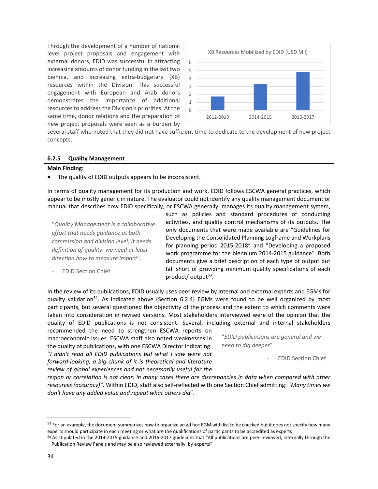Through the development of a number of national level project proposals and engagement with external donors, EDID was successful in attracting increasing amounts of donor funding in the last two biennia, and increasing extra‐budgetary (XB) resources within the Division. This successful engagement with European and Arab donors demonstrates the importance of additional resources to address the Division's priorities. At the same time, donor relations and the preparation of new project proposals were seen as a burden by



several staff who noted that they did not have sufficient time to dedicate to the development of new project concepts.

#### **6.2.5 Quality Management**

#### **Main Finding:**

The quality of EDID outputs appears to be inconsistent.

In terms of quality management for its production and work, EDID follows ESCWA general practices, which appear to be mostly generic in nature. The evaluator could not identify any quality management document or manual that describes how EDID specifically, or ESCWA generally, manages its quality management system,

"*Quality Management is a collaborative effort that needs guidance at both commission and division level; It needs definition of quality, we need at least direction how to measure impact*".

‐ EDID Section Chief

such as policies and standard procedures of conducting activities, and quality control mechanisms of its outputs. The only documents that were made available are "Guidelines for Developing the Consolidated Planning Logframe and Workplans for planning period 2015‐2018" and "Developing a proposed work programme for the biennium 2014‐2015 guidance". Both documents give a brief description of each type of output but fall short of providing minimum quality specifications of each product/ output<sup>53</sup>.

In the review of its publications, EDID usually uses peer review by internal and external experts and EGMs for quality validation<sup>54</sup>. As indicated above (Section 6.2.4) EGMs were found to be well organized by most participants, but several questioned the objectivity of the process and the extent to which comments were taken into consideration in revised versions. Most stakeholders interviewed were of the opinion that the quality of EDID publications is not consistent. Several, including external and internal stakeholders

recommended the need to strengthen ESCWA reports on macroeconomic issues. ESCWA staff also noted weaknesses in the quality of publications, with one ESCWA Director indicating: "*I didn't read all EDID publications but what I saw were not forward‐looking, a big chunk of it is theoretical and literature review of global experiences and not necessarily useful for the*

"*EDID publications are general and we need to dig deeper*"

‐ EDID Section Chief

region or correlation is not clear; in many cases there are discrepancies in data when compared with other *resources (accuracy)"*. Within EDID, staff also self‐reflected with one Section Chief admitting: "*Many times we don't have any added value and repeat what others did*".

<sup>&</sup>lt;sup>53</sup> For an example, the document summarizes how to organize an ad hoc EGM with list to be checked but it does not specify how many experts should participate in each meeting or what are the qualifications of participants to be accredited as experts

<sup>54</sup> As stipulated in the 2014-2015 guidance and 2016-2017 guidelines that "All publications are peer-reviewed, internally through the Publication Review Panels and may be also reviewed externally, by experts"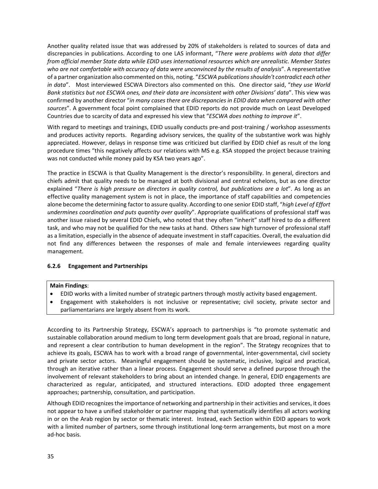Another quality related issue that was addressed by 20% of stakeholders is related to sources of data and discrepancies in publications. According to one LAS informant, "*There were problems with data that differ from official member State data while EDID uses international resources which are unrealistic. Member States who are not comfortable with accuracy of data were unconvinced by the results of analysis*". A representative of a partner organization also commented on this, noting. "*ESCWA publicationsshouldn't contradict each other in data*". Most interviewed ESCWA Directors also commented on this. One director said, "*they use World Bank statistics but not ESCWA ones, and their data are inconsistent with other Divisions' data*". This view was confirmed by another director "*in many cases there are discrepancies in EDID data when compared with other sources*". A government focal point complained that EDID reports do not provide much on Least Developed Countries due to scarcity of data and expressed his view that "*ESCWA does nothing to improve it*".

With regard to meetings and trainings, EDID usually conducts pre-and post-training / workshop assessments and produces activity reports. Regarding advisory services, the quality of the substantive work was highly appreciated. However, delays in response time was criticized but clarified by EDID chief as result of the long procedure times "this negatively affects our relations with MS e.g. KSA stopped the project because training was not conducted while money paid by KSA two years ago".

The practice in ESCWA is that Quality Management is the director's responsibility. In general, directors and chiefs admit that quality needs to be managed at both divisional and central echelons, but as one director explained "*There is high pressure on directors in quality control, but publications are a lot*". As long as an effective quality management system is not in place, the importance of staff capabilities and competencies alone become the determining factor to assure quality. According to one senior EDID staff, "*high Level of Effort undermines coordination and puts quantity over quality*". Appropriate qualifications of professional staff was another issue raised by several EDID Chiefs, who noted that they often "inherit" staff hired to do a different task, and who may not be qualified for the new tasks at hand. Others saw high turnover of professional staff as a limitation, especially in the absence of adequate investment in staff capacities. Overall, the evaluation did not find any differences between the responses of male and female interviewees regarding quality management.

#### **6.2.6 Engagement and Partnerships**

#### **Main Findings**:

- EDID works with a limited number of strategic partners through mostly activity based engagement.
- Engagement with stakeholders is not inclusive or representative; civil society, private sector and parliamentarians are largely absent from its work.

According to its Partnership Strategy, ESCWA's approach to partnerships is "to promote systematic and sustainable collaboration around medium to long term development goals that are broad, regional in nature, and represent a clear contribution to human development in the region". The Strategy recognizes that to achieve its goals, ESCWA has to work with a broad range of governmental, inter‐governmental, civil society and private sector actors. Meaningful engagement should be systematic, inclusive, logical and practical, through an iterative rather than a linear process. Engagement should serve a defined purpose through the involvement of relevant stakeholders to bring about an intended change. In general, EDID engagements are characterized as regular, anticipated, and structured interactions. EDID adopted three engagement approaches; partnership, consultation, and participation.

Although EDID recognizesthe importance of networking and partnership in their activities and services, it does not appear to have a unified stakeholder or partner mapping that systematically identifies all actors working in or on the Arab region by sector or thematic interest. Instead, each Section within EDID appears to work with a limited number of partners, some through institutional long-term arrangements, but most on a more ad‐hoc basis.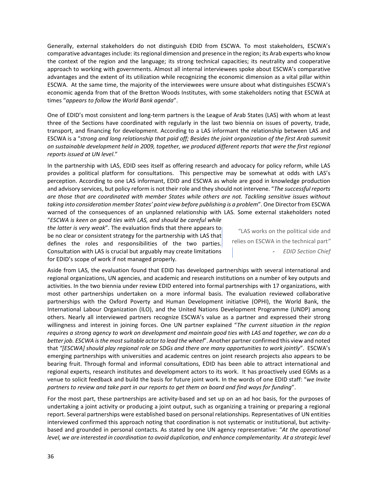Generally, external stakeholders do not distinguish EDID from ESCWA. To most stakeholders, ESCWA's comparative advantagesinclude: itsregional dimension and presence in the region; its Arab experts who know the context of the region and the language; its strong technical capacities; its neutrality and cooperative approach to working with governments. Almost all internal interviewees spoke about ESCWA's comparative advantages and the extent of its utilization while recognizing the economic dimension as a vital pillar within ESCWA. At the same time, the majority of the interviewees were unsure about what distinguishes ESCWA's economic agenda from that of the Bretton Woods Institutes, with some stakeholders noting that ESCWA at times "*appears to follow the World Bank agenda*".

One of EDID's most consistent and long-term partners is the League of Arab States (LAS) with whom at least three of the Sections have coordinated with regularly in the last two biennia on issues of poverty, trade, transport, and financing for development. According to a LAS informant the relationship between LAS and ESCWA is a "*strong and long relationship that paid off; Besides the joint organization of the first Arab summit on sustainable development held in 2009, together, we produced different reports that were the first regional reports issued at UN level*."

In the partnership with LAS, EDID sees itself as offering research and advocacy for policy reform, while LAS provides a political platform for consultations. This perspective may be somewhat at odds with LAS's perception. According to one LAS informant, EDID and ESCWA as whole are good in knowledge production and advisory services, but policy reform is not their role and they should not intervene. "*The successful reports are those that are coordinated with member States while others are not. Tackling sensitive issues without taking into consideration member States' point view before publishing is a problem*". One Directorfrom ESCWA warned of the consequences of an unplanned relationship with LAS. Some external stakeholders noted

"*ESCWA is keen on good ties with LAS, and should be careful while the latter is very weak*". The evaluation finds that there appears to be no clear or consistent strategy for the partnership with LAS that defines the roles and responsibilities of the two parties. Consultation with LAS is crucial but arguably may create limitations for EDID's scope of work if not managed properly.

"LAS works on the political side and relies on ESCWA in the technical part*"* ‐ *EDID Section Chief*

Aside from LAS, the evaluation found that EDID has developed partnerships with several international and regional organizations, UN agencies, and academic and research institutions on a number of key outputs and activities. In the two biennia under review EDID entered into formal partnerships with 17 organizations, with most other partnerships undertaken on a more informal basis. The evaluation reviewed collaborative partnerships with the Oxford Poverty and Human Development initiative (OPHI), the World Bank, the International Labour Organization (ILO), and the United Nations Development Programme (UNDP) among others. Nearly all interviewed partners recognize ESCWA's value as a partner and expressed their strong willingness and interest in joining forces. One UN partner explained "*The current situation in the region* requires a strong agency to work on development and maintain good ties with LAS and together, we can do a *betterjob. ESCWA isthe mostsuitable actorto lead the wheel*". Another partner confirmed this view and noted that *"[ESCWA] should play regional role on SDGs and there are many opportunities to work jointly*". ESCWA's emerging partnerships with universities and academic centres on joint research projects also appears to be bearing fruit. Through formal and informal consultations, EDID has been able to attract international and regional experts, research institutes and development actors to its work. It has proactively used EGMs as a venue to solicit feedback and build the basis for future joint work. In the words of one EDID staff: "*we Invite* partners to review and take part in our reports to get them on board and find ways for funding".

For the most part, these partnerships are activity‐based and set up on an ad hoc basis, for the purposes of undertaking a joint activity or producing a joint output, such as organizing a training or preparing a regional report. Several partnerships were established based on personal relationships. Representatives of UN entities interviewed confirmed this approach noting that coordination is not systematic or institutional, but activity‐ based and grounded in personal contacts. As stated by one UN agency representative: "*At the operational level, we are interested in coordination to avoid duplication, and enhance complementarity. At a strategic level*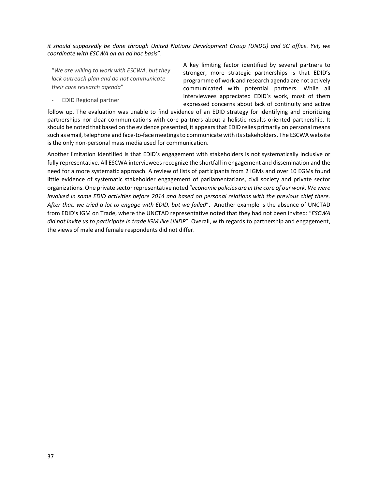*it should supposedly be done through United Nations Development Group (UNDG) and SG office. Yet, we coordinate with ESCWA on an ad hoc basis*".

"*We are willing to work with ESCWA, but they lack outreach plan and do not communicate their core research agenda*"

‐ EDID Regional partner

A key limiting factor identified by several partners to stronger, more strategic partnerships is that EDID's programme of work and research agenda are not actively communicated with potential partners. While all interviewees appreciated EDID's work, most of them expressed concerns about lack of continuity and active

follow up. The evaluation was unable to find evidence of an EDID strategy for identifying and prioritizing partnerships nor clear communications with core partners about a holistic results oriented partnership. It should be noted that based on the evidence presented, it appears that EDID relies primarily on personal means such as email, telephone and face-to-face meetings to communicate with its stakeholders. The ESCWA website is the only non‐personal mass media used for communication.

Another limitation identified is that EDID's engagement with stakeholders is not systematically inclusive or fully representative. All ESCWA interviewees recognize the shortfall in engagement and dissemination and the need for a more systematic approach. A review of lists of participants from 2 IGMs and over 10 EGMs found little evidence of systematic stakeholder engagement of parliamentarians, civil society and private sector organizations. One private sectorrepresentative noted "*economic policies are in the core of our work. We were* involved in some EDID activities before 2014 and based on personal relations with the previous chief there. *After that, we tried a lot to engage with EDID, but we failed*". Another example is the absence of UNCTAD from EDID's IGM on Trade, where the UNCTAD representative noted that they had not been invited: "*ESCWA did not invite us to participate in trade IGM like UNDP*". Overall, with regards to partnership and engagement, the views of male and female respondents did not differ.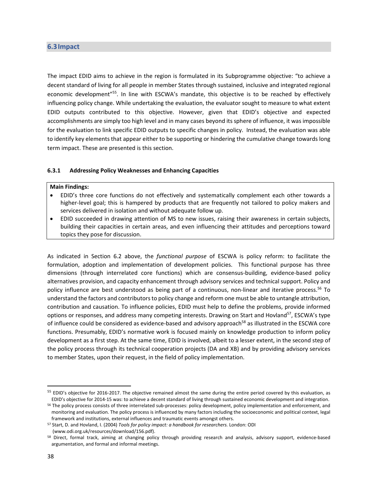#### **6.3Impact**

The impact EDID aims to achieve in the region is formulated in its Subprogramme objective: "to achieve a decent standard of living for all people in member States through sustained, inclusive and integrated regional economic development<sup>"55</sup>. In line with ESCWA's mandate, this objective is to be reached by effectively influencing policy change. While undertaking the evaluation, the evaluator sought to measure to what extent EDID outputs contributed to this objective. However, given that EDID's objective and expected accomplishments are simply too high level and in many cases beyond its sphere of influence, it was impossible for the evaluation to link specific EDID outputs to specific changes in policy. Instead, the evaluation was able to identify key elements that appear either to be supporting or hindering the cumulative change towards long term impact. These are presented is this section.

#### **6.3.1 Addressing Policy Weaknesses and Enhancing Capacities**

#### **Main Findings:**

- EDID's three core functions do not effectively and systematically complement each other towards a higher-level goal; this is hampered by products that are frequently not tailored to policy makers and services delivered in isolation and without adequate follow up.
- EDID succeeded in drawing attention of MS to new issues, raising their awareness in certain subjects, building their capacities in certain areas, and even influencing their attitudes and perceptions toward topics they pose for discussion.

As indicated in Section 6.2 above, the *functional purpose* of ESCWA is policy reform: to facilitate the formulation, adoption and implementation of development policies. This functional purpose has three dimensions (through interrelated core functions) which are consensus‐building, evidence‐based policy alternatives provision, and capacity enhancement through advisory services and technical support. Policy and policy influence are best understood as being part of a continuous, non-linear and iterative process.<sup>56</sup> To understand the factors and contributors to policy change and reform one must be able to untangle attribution, contribution and causation. To influence policies, EDID must help to define the problems, provide informed options or responses, and address many competing interests. Drawing on Start and Hovland<sup>57</sup>, ESCWA's type of influence could be considered as evidence-based and advisory approach<sup>58</sup> as illustrated in the ESCWA core functions. Presumably, EDID's normative work is focused mainly on knowledge production to inform policy development as a first step. At the same time, EDID is involved, albeit to a lesser extent, in the second step of the policy process through its technical cooperation projects (DA and XB) and by providing advisory services to member States, upon their request, in the field of policy implementation.

<sup>&</sup>lt;sup>55</sup> EDID's objective for 2016-2017. The objective remained almost the same during the entire period covered by this evaluation, as EDID's objective for 2014‐15 was: to achieve a decent standard of living through sustained economic development and integration.

<sup>56</sup> The policy process consists of three interrelated sub-processes: policy development, policy implementation and enforcement, and monitoring and evaluation. The policy process is influenced by many factors including the socioeconomic and political context, legal framework and institutions, external influences and traumatic events amongst others.

<sup>57</sup> Start, D. and Hovland, I. (2004) *Tools for policy impact: a handbook for researchers.* London: ODI (www.odi.org.uk/resources/download/156.pdf).

<sup>58</sup> Direct, formal track, aiming at changing policy through providing research and analysis, advisory support, evidence-based argumentation, and formal and informal meetings.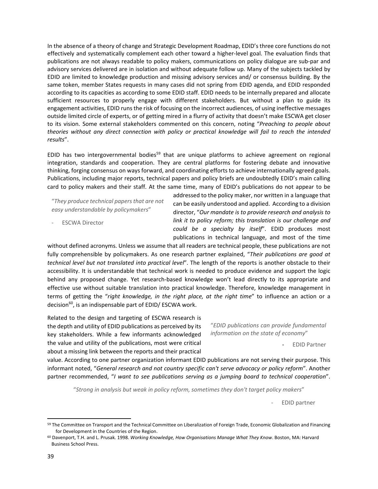In the absence of a theory of change and Strategic Development Roadmap, EDID's three core functions do not effectively and systematically complement each other toward a higher‐level goal. The evaluation finds that publications are not always readable to policy makers, communications on policy dialogue are sub‐par and advisory services delivered are in isolation and without adequate follow up. Many of the subjects tackled by EDID are limited to knowledge production and missing advisory services and/ or consensus building. By the same token, member States requests in many cases did not spring from EDID agenda, and EDID responded according to its capacities as according to some EDID staff. EDID needs to be internally prepared and allocate sufficient resources to properly engage with different stakeholders. But without a plan to guide its engagement activities, EDID runs the risk of focusing on the incorrect audiences, of using ineffective messages outside limited circle of experts, or of getting mired in a flurry of activity that doesn't make ESCWA get closer to its vision. Some external stakeholders commented on this concern, noting "*Preaching to people about theories without any direct connection with policy or practical knowledge will fail to reach the intended results*".

EDID has two intergovernmental bodies<sup>59</sup> that are unique platforms to achieve agreement on regional integration, standards and cooperation. They are central platforms for fostering debate and innovative thinking, forging consensus on ways forward, and coordinating efforts to achieve internationally agreed goals. Publications, including major reports, technical papers and policy briefs are undoubtedly EDID's main calling card to policy makers and their staff. At the same time, many of EDID's publications do not appear to be

"*They produce technical papersthat are not easy understandable by policymakers*"

addressed to the policy maker, nor written in a language that can be easily understood and applied. According to a division director, "*Our mandate is to provide research and analysis to link it to policy reform; this translation is our challenge and could be a specialty by itself*". EDID produces most publications in technical language, and most of the time

‐ ESCWA Director

without defined acronyms. Unless we assume that all readers are technical people, these publications are not fully comprehensible by policymakers. As one research partner explained, "*Their publications are good at technical level but not translated into practical level*". The length of the reports is another obstacle to their accessibility. It is understandable that technical work is needed to produce evidence and support the logic behind any proposed change. Yet research-based knowledge won't lead directly to its appropriate and effective use without suitable translation into practical knowledge. Therefore, knowledge management in terms of getting the "*right knowledge, in the right place, at the right time*" to influence an action or a decision<sup>60</sup>, is an indispensable part of EDID/ ESCWA work.

Related to the design and targeting of ESCWA research is the depth and utility of EDID publications as perceived by its key stakeholders. While a few informants acknowledged the value and utility of the publications, most were critical about a missing link between the reports and their practical

"*EDID publications can provide fundamental information on the state of economy*"

‐ EDID Partner

value. According to one partner organization informant EDID publications are not serving their purpose. This informant noted, "*General research and not country specific can't serve advocacy or policy reform*". Another partner recommended, "*I want to see publications serving as a jumping board to technical cooperation*".

"*Strong in analysis but weak in policy reform, sometimes they don't target policy makers*"

‐ EDID partner

<sup>59</sup> The Committee on Transport and the Technical Committee on Liberalization of Foreign Trade, Economic Globalization and Financing for Development in the Countries of the Region.

<sup>60</sup> Davenport, T.H. and L. Prusak*.* 1998. *Working Knowledge, How Organisations Manage What They Know*. Boston, MA: Harvard Business School Press.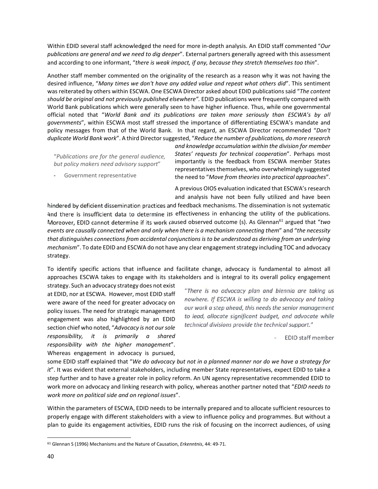Within EDID several staff acknowledged the need for more in‐depth analysis. An EDID staff commented "*Our publications are general and we need to dig deeper*". External partners generally agreed with this assessment and according to one informant, "*there is weak impact, if any, because they stretch themselves too thin*".

Another staff member commented on the originality of the research as a reason why it was not having the desired influence, "*Many times we don't have any added value and repeat what others did*". This sentiment was reiterated by others within ESCWA. One ESCWA Director asked about EDID publications said "*The content should be original and not previously published elsewhere".* EDID publications were frequently compared with World Bank publications which were generally seen to have higher influence. Thus, while one governmental official noted that "*World Bank and its publications are taken more seriously than ESCWA's by all governments*", within ESCWA most staff stressed the importance of differentiating ESCWA's mandate and policy messages from that of the World Bank. In that regard, an ESCWA Director recommended "*Don't duplicate World Bank work*". A third Directorsuggested, "*Reduce the number of publications, do more research*

"*Publications are for the general audience, but policy makers need advisory support*"

‐ Government representative

*and knowledge accumulation within the division for member States' requests for technical cooperation*". Perhaps most importantly is the feedback from ESCWA member States representatives themselves, who overwhelmingly suggested the need to "*Move from theories into practical approaches*".

A previous OIOS evaluation indicated that ESCWA'sresearch and analysis have not been fully utilized and have been

hindered by deficient dissemination practices and feedback mechanisms. The dissemination is not systematic and there is insufficient data to determine its effectiveness in enhancing the utility of the publications. Moreover, EDID cannot determine if its work caused observed outcome (s). As Glennan<sup>61</sup> argued that "two *events are causally connected when and only when there is a mechanism connecting them*" and "*the necessity that distinguishes connections from accidental conjunctions is to be understood as deriving from an underlying* mechanism". To date EDID and ESCWA do not have any clear engagement strategy including TOC and advocacy strategy.

To identify specific actions that influence and facilitate change, advocacy is fundamental to almost all approaches ESCWA takes to engage with its stakeholders and is integral to its overall policy engagement

strategy. Such an advocacy strategy does not exist at EDID, nor at ESCWA. However, most EDID staff were aware of the need for greater advocacy on policy issues. The need for strategic management engagement was also highlighted by an EDID section chief who noted, "*Advocacy is not oursole responsibility, it is primarily a shared responsibility with the higher management*". Whereas engagement in advocacy is pursued,

"There is no advocacy plan and biennia are taking us nowhere. If ESCWA is willing to do advocacy and taking our work a step ahead, this needs the senior management to lead, allocate significant budget, and advocate while technical divisions provide the technical support."

**EDID staff member** 

some EDID staff explained that "*We do advocacy but not in a planned manner nor do we have a strategy for it*". It was evident that external stakeholders, including member State representatives, expect EDID to take a step further and to have a greater role in policy reform. An UN agency representative recommended EDID to work more on advocacy and linking research with policy, whereas another partner noted that "*EDID needs to work more on political side and on regional issues*".

Within the parameters of ESCWA, EDID needs to be internally prepared and to allocate sufficient resources to properly engage with different stakeholders with a view to influence policy and programmes. But without a plan to guide its engagement activities, EDID runs the risk of focusing on the incorrect audiences, of using

<sup>61</sup> Glennan S (1996) Mechanisms and the Nature of Causation, *Erkenntnis*, 44: 49‐71.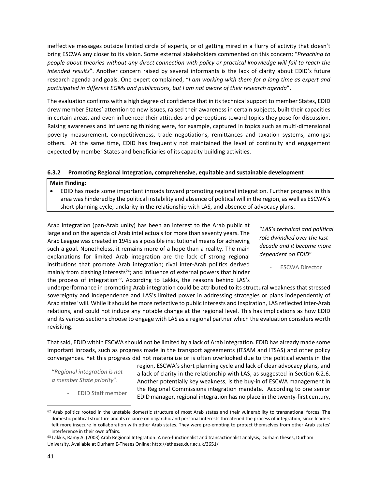ineffective messages outside limited circle of experts, or of getting mired in a flurry of activity that doesn't bring ESCWA any closer to its vision. Some external stakeholders commented on this concern; "*Preaching to* people about theories without any direct connection with policy or practical knowledge will fail to reach the *intended results*". Another concern raised by several informants is the lack of clarity about EDID's future research agenda and goals. One expert complained, "*I am working with them for a long time as expert and participated in different EGMs and publications, but I am not aware of their research agenda*".

The evaluation confirms with a high degree of confidence that in its technical support to member States, EDID drew member States' attention to new issues, raised their awareness in certain subjects, built their capacities in certain areas, and even influenced their attitudes and perceptions toward topics they pose for discussion. Raising awareness and influencing thinking were, for example, captured in topics such as multi‐dimensional poverty measurement, competitiveness, trade negotiations, remittances and taxation systems, amongst others. At the same time, EDID has frequently not maintained the level of continuity and engagement expected by member States and beneficiaries of its capacity building activities.

#### **6.3.2 Promoting Regional Integration, comprehensive, equitable and sustainable development**

#### **Main Finding:**

 EDID has made some important inroads toward promoting regional integration. Further progress in this area was hindered by the political instability and absence of political will in the region, as well as ESCWA's short planning cycle, unclarity in the relationship with LAS, and absence of advocacy plans.

Arab integration (pan‐Arab unity) has been an interest to the Arab public at large and on the agenda of Arab intellectuals for more than seventy years. The Arab League was created in 1945 as a possible institutional meansfor achieving such a goal. Nonetheless, it remains more of a hope than a reality. The main explanations for limited Arab integration are the lack of strong regional institutions that promote Arab integration; rival inter‐Arab politics derived mainly from clashing interests $62$ ; and Influence of external powers that hinder the process of integration $63$ . According to Lakkis, the reasons behind LAS's

"*LAS's technical and political role dwindled over the last decade and it became more dependent on EDID*"

‐ ESCWA Director

underperformance in promoting Arab integration could be attributed to its structural weakness that stressed sovereignty and independence and LAS's limited power in addressing strategies or plans independently of Arab states' will. While it should be more reflective to public interests and inspiration, LAS reflected inter‐Arab relations, and could not induce any notable change at the regional level. This has implications as how EDID and its various sections choose to engage with LAS as a regional partner which the evaluation considers worth revisiting.

That said, EDID within ESCWA should not be limited by a lack of Arab integration. EDID has already made some important inroads, such as progress made in the transport agreements (ITSAM and ITSAS) and other policy convergences. Yet this progress did not materialize or is often overlooked due to the political events in the

"*Regional integration is not a member State priority*".

‐ EDID Staff member

region, ESCWA's short planning cycle and lack of clear advocacy plans, and a lack of clarity in the relationship with LAS, as suggested in Section 6.2.6. Another potentially key weakness, is the buy‐in of ESCWA management in the Regional Commissions integration mandate. According to one senior EDID manager, regional integration has no place in the twenty‐first century,

 $62$  Arab politics rooted in the unstable domestic structure of most Arab states and their vulnerability to transnational forces. The domestic political structure and its reliance on oligarchic and personal interests threatened the process of integration, since leaders felt more insecure in collaboration with other Arab states. They were pre-empting to protect themselves from other Arab states' interference in their own affairs.

<sup>63</sup> Lakkis, Ramy A. (2003) Arab Regional Integration: A neo-functionalist and transactionalist analysis, Durham theses, Durham University. Available at Durham E‐Theses Online: http://etheses.dur.ac.uk/3651/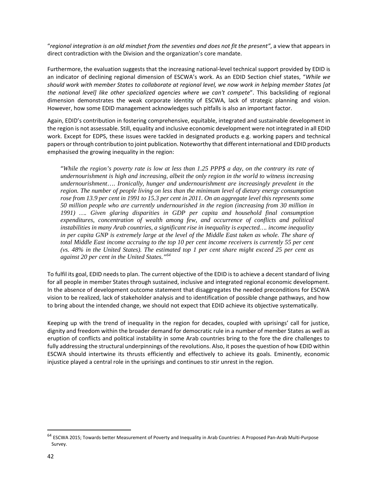"*regional integration is an old mindset from the seventies and does not fit the present"*, a view that appears in direct contradiction with the Division and the organization's core mandate.

Furthermore, the evaluation suggests that the increasing national‐level technical support provided by EDID is an indicator of declining regional dimension of ESCWA's work. As an EDID Section chief states, "*While we* should work with member States to collaborate at regional level, we now work in helping member States [at *the national level] like other specialized agencies where we can't compete*". This backsliding of regional dimension demonstrates the weak corporate identity of ESCWA, lack of strategic planning and vision. However, how some EDID management acknowledges such pitfalls is also an important factor.

Again, EDID's contribution in fostering comprehensive, equitable, integrated and sustainable development in the region is not assessable. Still, equality and inclusive economic development were not integrated in all EDID work. Except for EDPS, these issues were tackled in designated products e.g. working papers and technical papers orthrough contribution to joint publication. Noteworthy that different international and EDID products emphasised the growing inequality in the region:

"*While the region's poverty rate is low at less than 1.25 PPP\$ a day, on the contrary its rate of undernourishment is high and increasing, albeit the only region in the world to witness increasing undernourishment*…. *Ironically, hunger and undernourishment are increasingly prevalent in the region. The number of people living on less than the minimum level of dietary energy consumption rose from 13.9 per cent in 1991 to 15.3 per cent in 2011. On an aggregate level this represents some 50 million people who are currently undernourished in the region (increasing from 30 million in 1991) …. Given glaring disparities in GDP per capita and household final consumption expenditures, concentration of wealth among few, and occurrence of conflicts and political instabilities in many Arab countries, a significant rise in inequality is expected…. income inequality*  in per capita GNP is extremely large at the level of the Middle East taken as whole. The share of *total Middle East income accruing to the top 10 per cent income receivers is currently 55 per cent (vs. 48% in the United States). The estimated top 1 per cent share might exceed 25 per cent as against 20 per cent in the United States."<sup>64</sup>*

To fulfil its goal, EDID needs to plan. The current objective of the EDID is to achieve a decent standard of living for all people in member States through sustained, inclusive and integrated regional economic development. In the absence of development outcome statement that disaggregates the needed preconditions for ESCWA vision to be realized, lack of stakeholder analysis and to identification of possible change pathways, and how to bring about the intended change, we should not expect that EDID achieve its objective systematically.

Keeping up with the trend of inequality in the region for decades, coupled with uprisings' call for justice, dignity and freedom within the broader demand for democratic rule in a number of member States as well as eruption of conflicts and political instability in some Arab countries bring to the fore the dire challenges to fully addressing the structural underpinnings of the revolutions. Also, it posesthe question of how EDID within ESCWA should intertwine its thrusts efficiently and effectively to achieve its goals. Eminently, economic injustice played a central role in the uprisings and continues to stir unrest in the region.

<sup>&</sup>lt;sup>64</sup> ESCWA 2015; Towards better Measurement of Poverty and Inequality in Arab Countries: A Proposed Pan-Arab Multi-Purpose Survey.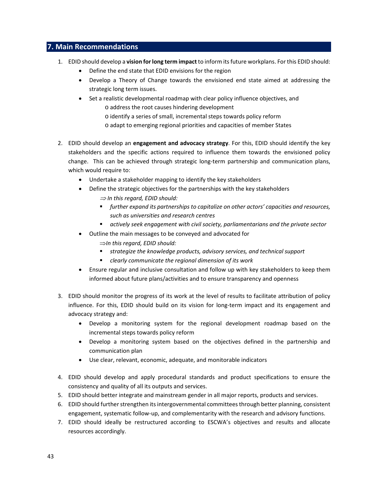## **7. Main Recommendations**

- 1. EDID should develop a **vision forlong term impact** to inform itsfuture workplans. For this EDID should:
	- Define the end state that EDID envisions for the region
	- Develop a Theory of Change towards the envisioned end state aimed at addressing the strategic long term issues.
	- Set a realistic developmental roadmap with clear policy influence objectives, and
		- o address the root causes hindering development
		- o identify a series of small, incremental steps towards policy reform
		- o adapt to emerging regional priorities and capacities of member States
- 2. EDID should develop an **engagement and advocacy strategy**. For this, EDID should identify the key stakeholders and the specific actions required to influence them towards the envisioned policy change. This can be achieved through strategic long‐term partnership and communication plans, which would require to:
	- Undertake a stakeholder mapping to identify the key stakeholders
	- Define the strategic objectives for the partnerships with the key stakeholders *In this regard, EDID should:*
		- *further expand its partnerships to capitalize on other actors' capacities and resources, such as universities and research centres*
		- *actively seek engagement with civil society, parliamentarians and the private sector*
	- Outline the main messages to be conveyed and advocated for
		- *In this regard, EDID should:*
		- *strategize the knowledge products, advisory services, and technical support*
		- *clearly communicate the regional dimension of its work*
	- Ensure regular and inclusive consultation and follow up with key stakeholders to keep them informed about future plans/activities and to ensure transparency and openness
- 3. EDID should monitor the progress of its work at the level of results to facilitate attribution of policy influence. For this, EDID should build on its vision for long-term impact and its engagement and advocacy strategy and:
	- Develop a monitoring system for the regional development roadmap based on the incremental steps towards policy reform
	- Develop a monitoring system based on the objectives defined in the partnership and communication plan
	- Use clear, relevant, economic, adequate, and monitorable indicators
- 4. EDID should develop and apply procedural standards and product specifications to ensure the consistency and quality of all its outputs and services.
- 5. EDID should better integrate and mainstream gender in all major reports, products and services.
- 6. EDID should further strengthen its intergovernmental committees through better planning, consistent engagement, systematic follow‐up, and complementarity with the research and advisory functions.
- 7. EDID should ideally be restructured according to ESCWA's objectives and results and allocate resources accordingly.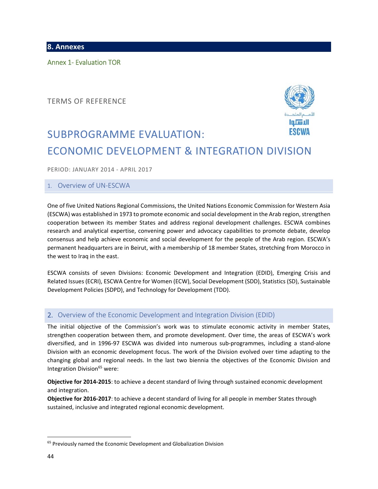**8. Annexes**

Annex 1‐ Evaluation TOR

TERMS OF REFERENCE



# SUBPROGRAMME EVALUATION: ECONOMIC DEVELOPMENT & INTEGRATION DIVISION

PERIOD: JANUARY 2014 ‐ APRIL 2017

#### 1. Overview of UN‐ESCWA

One of five United Nations Regional Commissions, the United Nations Economic Commission for Western Asia (ESCWA) was established in 1973 to promote economic and social development in the Arab region, strengthen cooperation between its member States and address regional development challenges. ESCWA combines research and analytical expertise, convening power and advocacy capabilities to promote debate, develop consensus and help achieve economic and social development for the people of the Arab region. ESCWA's permanent headquarters are in Beirut, with a membership of 18 member States, stretching from Morocco in the west to Iraq in the east.

ESCWA consists of seven Divisions: Economic Development and Integration (EDID), Emerging Crisis and Related Issues(ECRI), ESCWA Centre for Women (ECW), Social Development (SDD), Statistics (SD), Sustainable Development Policies (SDPD), and Technology for Development (TDD).

#### 2. Overview of the Economic Development and Integration Division (EDID)

The initial objective of the Commission's work was to stimulate economic activity in member States, strengthen cooperation between them, and promote development. Over time, the areas of ESCWA's work diversified, and in 1996‐97 ESCWA was divided into numerous sub‐programmes, including a stand‐alone Division with an economic development focus. The work of the Division evolved over time adapting to the changing global and regional needs. In the last two biennia the objectives of the Economic Division and Integration Division<sup>65</sup> were:

**Objective for 2014‐2015**: to achieve a decent standard of living through sustained economic development and integration.

**Objective for 2016‐2017**: to achieve a decent standard of living for all people in member States through sustained, inclusive and integrated regional economic development.

<sup>&</sup>lt;sup>65</sup> Previously named the Economic Development and Globalization Division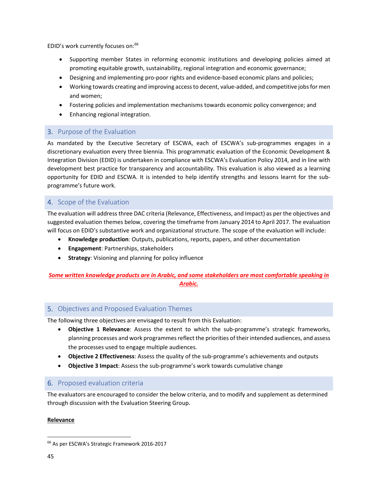EDID's work currently focuses on:66

- Supporting member States in reforming economic institutions and developing policies aimed at promoting equitable growth, sustainability, regional integration and economic governance;
- Designing and implementing pro‐poor rights and evidence‐based economic plans and policies;
- Working towards creating and improving access to decent, value-added, and competitive jobs for men and women;
- Fostering policies and implementation mechanisms towards economic policy convergence; and
- Enhancing regional integration.

## 3. Purpose of the Evaluation

As mandated by the Executive Secretary of ESCWA, each of ESCWA's sub-programmes engages in a discretionary evaluation every three biennia. This programmatic evaluation of the Economic Development & Integration Division (EDID) is undertaken in compliance with ESCWA's Evaluation Policy 2014, and in line with development best practice for transparency and accountability. This evaluation is also viewed as a learning opportunity for EDID and ESCWA. It is intended to help identify strengths and lessons learnt for the sub‐ programme's future work.

## 4. Scope of the Evaluation

The evaluation will address three DAC criteria (Relevance, Effectiveness, and Impact) as per the objectives and suggested evaluation themes below, covering the timeframe from January 2014 to April 2017. The evaluation will focus on EDID's substantive work and organizational structure. The scope of the evaluation will include:

- **Knowledge production**: Outputs, publications, reports, papers, and other documentation
- **Engagement**: Partnerships, stakeholders
- **Strategy**: Visioning and planning for policy influence

## *Some written knowledge products are in Arabic, and some stakeholders are most comfortable speaking in Arabic.*

## 5. Objectives and Proposed Evaluation Themes

The following three objectives are envisaged to result from this Evaluation:

- **Objective 1 Relevance**: Assess the extent to which the sub‐programme's strategic frameworks, planning processes and work programmes reflect the priorities of their intended audiences, and assess the processes used to engage multiple audiences.
- **Objective 2 Effectiveness**: Assess the quality of the sub‐programme's achievements and outputs
- **Objective 3 Impact**: Assess the sub‐programme's work towards cumulative change

## 6. Proposed evaluation criteria

The evaluators are encouraged to consider the below criteria, and to modify and supplement as determined through discussion with the Evaluation Steering Group.

#### **Relevance**

<sup>66</sup> As per ESCWA's Strategic Framework 2016‐2017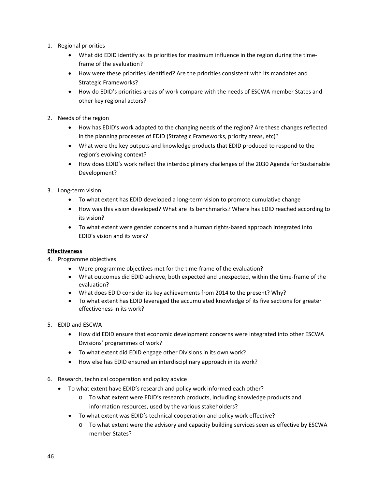- 1. Regional priorities
	- What did EDID identify as its priorities for maximum influence in the region during the timeframe of the evaluation?
	- How were these priorities identified? Are the priorities consistent with its mandates and Strategic Frameworks?
	- How do EDID's priorities areas of work compare with the needs of ESCWA member States and other key regional actors?
- 2. Needs of the region
	- How has EDID's work adapted to the changing needs of the region? Are these changes reflected in the planning processes of EDID (Strategic Frameworks, priority areas, etc)?
	- What were the key outputs and knowledge products that EDID produced to respond to the region's evolving context?
	- How does EDID's work reflect the interdisciplinary challenges of the 2030 Agenda for Sustainable Development?
- 3. Long‐term vision
	- To what extent has EDID developed a long-term vision to promote cumulative change
	- How was this vision developed? What are its benchmarks? Where has EDID reached according to its vision?
	- To what extent were gender concerns and a human rights-based approach integrated into EDID's vision and its work?

#### **Effectiveness**

- 4. Programme objectives
	- Were programme objectives met for the time-frame of the evaluation?
	- What outcomes did EDID achieve, both expected and unexpected, within the time-frame of the evaluation?
	- What does EDID consider its key achievements from 2014 to the present? Why?
	- To what extent has EDID leveraged the accumulated knowledge of its five sections for greater effectiveness in its work?
- 5. EDID and ESCWA
	- How did EDID ensure that economic development concerns were integrated into other ESCWA Divisions' programmes of work?
	- To what extent did EDID engage other Divisions in its own work?
	- How else has EDID ensured an interdisciplinary approach in its work?
- 6. Research, technical cooperation and policy advice
	- To what extent have EDID's research and policy work informed each other?
		- o To what extent were EDID's research products, including knowledge products and information resources, used by the various stakeholders?
		- To what extent was EDID's technical cooperation and policy work effective?
			- o To what extent were the advisory and capacity building services seen as effective by ESCWA member States?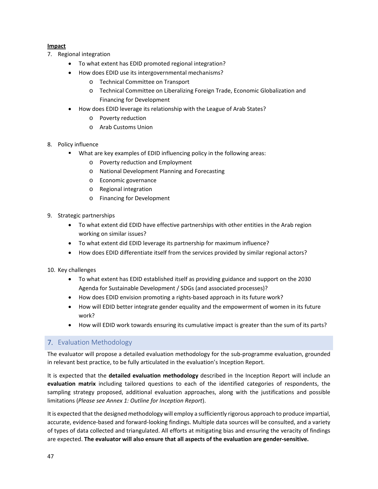## **Impact**

- 7. Regional integration
	- To what extent has EDID promoted regional integration?
	- How does EDID use its intergovernmental mechanisms?
		- o Technical Committee on Transport
		- o Technical Committee on Liberalizing Foreign Trade, Economic Globalization and Financing for Development
	- How does EDID leverage its relationship with the League of Arab States?
		- o Poverty reduction
		- o Arab Customs Union
- 8. Policy influence
	- What are key examples of EDID influencing policy in the following areas:
		- o Poverty reduction and Employment
		- o National Development Planning and Forecasting
		- o Economic governance
		- o Regional integration
		- o Financing for Development
- 9. Strategic partnerships
	- To what extent did EDID have effective partnerships with other entities in the Arab region working on similar issues?
	- To what extent did EDID leverage its partnership for maximum influence?
	- How does EDID differentiate itself from the services provided by similar regional actors?
- 10. Key challenges
	- To what extent has EDID established itself as providing guidance and support on the 2030 Agenda for Sustainable Development / SDGs (and associated processes)?
	- How does EDID envision promoting a rights-based approach in its future work?
	- How will EDID better integrate gender equality and the empowerment of women in its future work?
	- How will EDID work towards ensuring its cumulative impact is greater than the sum of its parts?

## 7. Evaluation Methodology

The evaluator will propose a detailed evaluation methodology for the sub-programme evaluation, grounded in relevant best practice, to be fully articulated in the evaluation's Inception Report.

It is expected that the **detailed evaluation methodology** described in the Inception Report will include an **evaluation matrix** including tailored questions to each of the identified categories of respondents, the sampling strategy proposed, additional evaluation approaches, along with the justifications and possible limitations (*Please see Annex 1: Outline for Inception Report*).

It is expected that the designed methodology will employ a sufficiently rigorous approach to produce impartial, accurate, evidence‐based and forward‐looking findings. Multiple data sources will be consulted, and a variety of types of data collected and triangulated. All efforts at mitigating bias and ensuring the veracity of findings are expected. **The evaluator will also ensure that all aspects of the evaluation are gender‐sensitive.**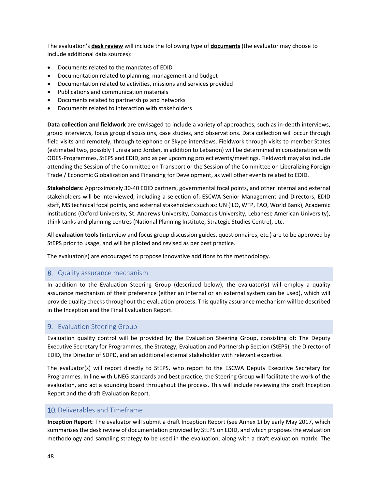The evaluation's **desk review** will include the following type of **documents** (the evaluator may choose to include additional data sources):

- Documents related to the mandates of EDID
- Documentation related to planning, management and budget
- Documentation related to activities, missions and services provided
- Publications and communication materials
- Documents related to partnerships and networks
- Documents related to interaction with stakeholders

**Data collection and fieldwork** are envisaged to include a variety of approaches, such as in‐depth interviews, group interviews, focus group discussions, case studies, and observations. Data collection will occur through field visits and remotely, through telephone or Skype interviews. Fieldwork through visits to member States (estimated two, possibly Tunisia and Jordan, in addition to Lebanon) will be determined in consideration with ODES‐Programmes, StEPS and EDID, and as per upcoming project events/meetings. Fieldwork may also include attending the Session of the Committee on Transport or the Session of the Committee on Liberalizing Foreign Trade / Economic Globalization and Financing for Development, as well other events related to EDID.

**Stakeholders**: Approximately 30‐40 EDID partners, governmental focal points, and other internal and external stakeholders will be interviewed, including a selection of: ESCWA Senior Management and Directors, EDID staff, MS technical focal points, and external stakeholders such as: UN (ILO, WFP, FAO, World Bank), Academic institutions (Oxford University, St. Andrews University, Damascus University, Lebanese American University), think tanks and planning centres (National Planning Institute, Strategic Studies Centre), etc.

All **evaluation tools** (interview and focus group discussion guides, questionnaires, etc.) are to be approved by StEPS prior to usage, and will be piloted and revised as per best practice.

The evaluator(s) are encouraged to propose innovative additions to the methodology.

#### 8. Quality assurance mechanism

In addition to the Evaluation Steering Group (described below), the evaluator(s) will employ a quality assurance mechanism of their preference (either an internal or an external system can be used), which will provide quality checks throughout the evaluation process. This quality assurance mechanism will be described in the Inception and the Final Evaluation Report.

#### 9. Evaluation Steering Group

Evaluation quality control will be provided by the Evaluation Steering Group, consisting of: The Deputy Executive Secretary for Programmes, the Strategy, Evaluation and Partnership Section (StEPS), the Director of EDID, the Director of SDPD, and an additional external stakeholder with relevant expertise.

The evaluator(s) will report directly to StEPS, who report to the ESCWA Deputy Executive Secretary for Programmes. In line with UNEG standards and best practice, the Steering Group will facilitate the work of the evaluation, and act a sounding board throughout the process. This will include reviewing the draft Inception Report and the draft Evaluation Report.

#### 10.Deliverables and Timeframe

**Inception Report**: The evaluator will submit a draft Inception Report (see Annex 1) by early May 2017**,** which summarizes the desk review of documentation provided by StEPS on EDID, and which proposes the evaluation methodology and sampling strategy to be used in the evaluation, along with a draft evaluation matrix. The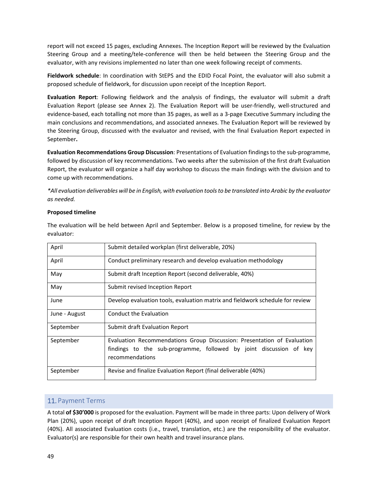report will not exceed 15 pages, excluding Annexes. The Inception Report will be reviewed by the Evaluation Steering Group and a meeting/tele‐conference will then be held between the Steering Group and the evaluator, with any revisions implemented no later than one week following receipt of comments.

**Fieldwork schedule**: In coordination with StEPS and the EDID Focal Point, the evaluator will also submit a proposed schedule of fieldwork, for discussion upon receipt of the Inception Report.

**Evaluation Report**: Following fieldwork and the analysis of findings, the evaluator will submit a draft Evaluation Report (please see Annex 2). The Evaluation Report will be user‐friendly, well‐structured and evidence‐based, each totalling not more than 35 pages, as well as a 3‐page Executive Summary including the main conclusions and recommendations, and associated annexes. The Evaluation Report will be reviewed by the Steering Group, discussed with the evaluator and revised, with the final Evaluation Report expected in September**.**

**Evaluation Recommendations Group Discussion**: Presentations of Evaluation findingsto the sub‐programme, followed by discussion of key recommendations. Two weeks after the submission of the first draft Evaluation Report, the evaluator will organize a half day workshop to discuss the main findings with the division and to come up with recommendations.

\*All evaluation deliverables will be in English, with evaluation tools to be translated into Arabic by the evaluator *as needed.*

#### **Proposed timeline**

The evaluation will be held between April and September. Below is a proposed timeline, for review by the evaluator:

| April         | Submit detailed workplan (first deliverable, 20%)                                                                                                                |  |  |  |  |  |
|---------------|------------------------------------------------------------------------------------------------------------------------------------------------------------------|--|--|--|--|--|
| April         | Conduct preliminary research and develop evaluation methodology                                                                                                  |  |  |  |  |  |
| May           | Submit draft Inception Report (second deliverable, 40%)                                                                                                          |  |  |  |  |  |
| May           | Submit revised Inception Report                                                                                                                                  |  |  |  |  |  |
| June          | Develop evaluation tools, evaluation matrix and fieldwork schedule for review                                                                                    |  |  |  |  |  |
| June - August | Conduct the Evaluation                                                                                                                                           |  |  |  |  |  |
| September     | Submit draft Evaluation Report                                                                                                                                   |  |  |  |  |  |
| September     | Evaluation Recommendations Group Discussion: Presentation of Evaluation<br>findings to the sub-programme, followed by joint discussion of key<br>recommendations |  |  |  |  |  |
| September     | Revise and finalize Evaluation Report (final deliverable (40%)                                                                                                   |  |  |  |  |  |

#### 11. Payment Terms

A total **of \$30'000** is proposed for the evaluation. Payment will be made in three parts: Upon delivery of Work Plan (20%), upon receipt of draft Inception Report (40%), and upon receipt of finalized Evaluation Report (40%). All associated Evaluation costs (i.e., travel, translation, etc.) are the responsibility of the evaluator. Evaluator(s) are responsible for their own health and travel insurance plans.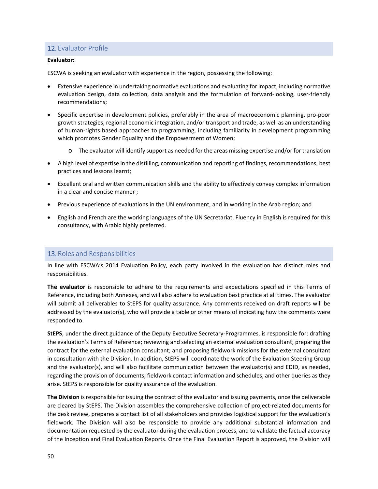## 12. Evaluator Profile

#### **Evaluator:**

ESCWA is seeking an evaluator with experience in the region, possessing the following:

- Extensive experience in undertaking normative evaluations and evaluating for impact, including normative evaluation design, data collection, data analysis and the formulation of forward‐looking, user‐friendly recommendations;
- Specific expertise in development policies, preferably in the area of macroeconomic planning, pro-poor growth strategies, regional economic integration, and/or transport and trade, as well as an understanding of human‐rights based approaches to programming, including familiarity in development programming which promotes Gender Equality and the Empowerment of Women;
	- $\circ$  The evaluator will identify support as needed for the areas missing expertise and/or for translation
- A high level of expertise in the distilling, communication and reporting of findings, recommendations, best practices and lessons learnt;
- Excellent oral and written communication skills and the ability to effectively convey complex information in a clear and concise manner ;
- Previous experience of evaluations in the UN environment, and in working in the Arab region; and
- English and French are the working languages of the UN Secretariat. Fluency in English is required for this consultancy, with Arabic highly preferred.

#### 13. Roles and Responsibilities

In line with ESCWA's 2014 Evaluation Policy, each party involved in the evaluation has distinct roles and responsibilities.

**The evaluator** is responsible to adhere to the requirements and expectations specified in this Terms of Reference, including both Annexes, and will also adhere to evaluation best practice at all times. The evaluator will submit all deliverables to StEPS for quality assurance. Any comments received on draft reports will be addressed by the evaluator(s), who will provide a table or other means of indicating how the comments were responded to.

**StEPS**, under the direct guidance of the Deputy Executive Secretary‐Programmes, is responsible for: drafting the evaluation's Terms of Reference; reviewing and selecting an external evaluation consultant; preparing the contract for the external evaluation consultant; and proposing fieldwork missions for the external consultant in consultation with the Division. In addition, StEPS will coordinate the work of the Evaluation Steering Group and the evaluator(s), and will also facilitate communication between the evaluator(s) and EDID, as needed, regarding the provision of documents, fieldwork contact information and schedules, and other queries as they arise. StEPS is responsible for quality assurance of the evaluation.

**The Division** isresponsible for issuing the contract of the evaluator and issuing payments, once the deliverable are cleared by StEPS. The Division assembles the comprehensive collection of project-related documents for the desk review, prepares a contact list of all stakeholders and provides logistical support for the evaluation's fieldwork. The Division will also be responsible to provide any additional substantial information and documentation requested by the evaluator during the evaluation process, and to validate the factual accuracy of the Inception and Final Evaluation Reports. Once the Final Evaluation Report is approved, the Division will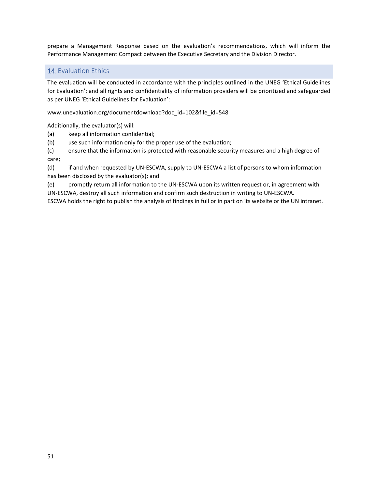prepare a Management Response based on the evaluation's recommendations, which will inform the Performance Management Compact between the Executive Secretary and the Division Director.

## 14. Evaluation Ethics

The evaluation will be conducted in accordance with the principles outlined in the UNEG 'Ethical Guidelines for Evaluation'; and all rights and confidentiality of information providers will be prioritized and safeguarded as per UNEG 'Ethical Guidelines for Evaluation':

www.unevaluation.org/documentdownload?doc\_id=102&file\_id=548

Additionally, the evaluator(s) will:

(a) keep all information confidential;

(b) use such information only for the proper use of the evaluation;

(c) ensure that the information is protected with reasonable security measures and a high degree of care;

(d) if and when requested by UN‐ESCWA, supply to UN‐ESCWA a list of persons to whom information has been disclosed by the evaluator(s); and

(e) promptly return all information to the UN‐ESCWA upon its written request or, in agreement with UN‐ESCWA, destroy all such information and confirm such destruction in writing to UN‐ESCWA.

ESCWA holds the right to publish the analysis of findings in full or in part on its website or the UN intranet.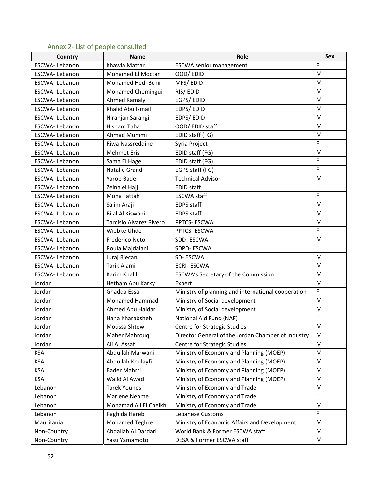# Annex 2‐ List of people consulted

| Country              | <b>Name</b>                    | Role                                               | <b>Sex</b>  |
|----------------------|--------------------------------|----------------------------------------------------|-------------|
| ESCWA-Lebanon        | Khawla Mattar                  | <b>ESCWA</b> senior management                     | F           |
| ESCWA- Lebanon       | Mohamed El Moctar              | OOD/EDID                                           | M           |
| ESCWA-Lebanon        | Mohamed Hedi Bchir             | MFS/EDID                                           | M           |
| ESCWA- Lebanon       | Mohamed Chemingui              | RIS/EDID                                           | M           |
| <b>ESCWA-Lebanon</b> | Ahmed Kamaly                   | EGPS/EDID                                          | M           |
| <b>ESCWA-Lebanon</b> | Khalid Abu Ismail              | EDPS/EDID                                          | M           |
| ESCWA- Lebanon       | Niranjan Sarangi               | EDPS/EDID                                          | M           |
| <b>ESCWA-Lebanon</b> | Hisham Taha                    | OOD/EDID staff                                     | M           |
| ESCWA-Lebanon        | Ahmad Mummi                    | EDID staff (FG)                                    | M           |
| <b>ESCWA-Lebanon</b> | Riwa Nassreddine               | Syria Project                                      | F           |
| <b>ESCWA-Lebanon</b> | <b>Mehmet Eris</b>             | EDID staff (FG)                                    | M           |
| <b>ESCWA-Lebanon</b> | Sama El Hage                   | EDID staff (FG)                                    | F           |
| <b>ESCWA-Lebanon</b> | Natalie Grand                  | EGPS staff (FG)                                    | F           |
| ESCWA-Lebanon        | Yarob Bader                    | <b>Technical Advisor</b>                           | M           |
| ESCWA-Lebanon        | Zeina el Hajj                  | <b>EDID staff</b>                                  | F           |
| <b>ESCWA-Lebanon</b> | Mona Fattah                    | <b>ESCWA</b> staff                                 | F           |
| <b>ESCWA-Lebanon</b> | Salim Araji                    | <b>EDPS</b> staff                                  | M           |
| ESCWA-Lebanon        | <b>Bilal Al Kiswani</b>        | <b>EDPS</b> staff                                  | M           |
| ESCWA- Lebanon       | <b>Tarcisio Alvarez Rivero</b> | PPTCS-ESCWA                                        | M           |
| <b>ESCWA-Lebanon</b> | Wiebke Uhde                    | PPTCS-ESCWA                                        | F           |
| <b>ESCWA-Lebanon</b> | Frederico Neto                 | SDD-ESCWA                                          | M           |
| <b>ESCWA-Lebanon</b> | Roula Majdalani                | SDPD-ESCWA                                         | F           |
| ESCWA-Lebanon        | Juraj Riecan                   | SD-ESCWA                                           | M           |
| ESCWA-Lebanon        | Tarik Alami                    | <b>ECRI-ESCWA</b>                                  | M           |
| ESCWA-Lebanon        | Karim Khalil                   | <b>ESCWA's Secretary of the Commission</b>         | M           |
| Jordan               | Hetham Abu Karky               | Expert                                             | M           |
| Jordan               | Ghadda Essa                    | Ministry of planning and international cooperation | F           |
| Jordan               | <b>Mohamed Hammad</b>          | Ministry of Social development                     | M           |
| Jordan               | Ahmed Abu Haidar               | Ministry of Social development                     | M           |
| Jordan               | Hana Kharabsheh                | National Aid Fund (NAF)                            | F           |
| Jordan               | Moussa Shtewi                  | Centre for Strategic Studies                       | M           |
| Jordan               | Maher Mahrouq                  | Director General of the Jordan Chamber of Industry | M           |
| Jordan               | Ali Al Assaf                   | Centre for Strategic Studies                       | M           |
| <b>KSA</b>           | Abdullah Marwani               | Ministry of Economy and Planning (MOEP)            | M           |
| <b>KSA</b>           | Abdullah Khulayfi              | Ministry of Economy and Planning (MOEP)            | M           |
| <b>KSA</b>           | Bader Mahrri                   | Ministry of Economy and Planning (MOEP)            | M           |
| <b>KSA</b>           | Walid Al Awad                  | Ministry of Economy and Planning (MOEP)            | M           |
| Lebanon              | <b>Tarek Younes</b>            | Ministry of Economy and Trade                      | M           |
| Lebanon              | Marlene Nehme                  | Ministry of Economy and Trade                      | F           |
| Lebanon              | Mohamad Ali El Cheikh          | Ministry of Economy and Trade                      | M           |
| Lebanon              | Raghida Hareb                  | Lebanese Customs                                   | $\mathsf F$ |
| Mauritania           | Mohamed Teghre                 | Ministry of Economic Affairs and Development       | M           |
| Non-Country          | Abdallah Al Dardari            | World Bank & Former ESCWA staff                    | М           |
| Non-Country          | Yasu Yamamoto                  | DESA & Former ESCWA staff                          | M           |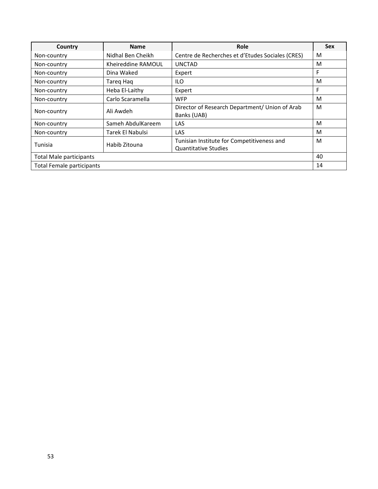| Country                          | <b>Name</b>        | Role                                             | <b>Sex</b> |  |  |
|----------------------------------|--------------------|--------------------------------------------------|------------|--|--|
| Non-country                      | Nidhal Ben Cheikh  | Centre de Recherches et d'Etudes Sociales (CRES) | M          |  |  |
| Non-country                      | Kheireddine RAMOUL | <b>UNCTAD</b>                                    | M          |  |  |
| Non-country                      | Dina Waked         | Expert                                           | F          |  |  |
| Non-country                      | Tareg Hag          | ILO                                              | M          |  |  |
| Non-country                      | Heba El-Laithy     | Expert                                           | F          |  |  |
| Non-country                      | Carlo Scaramella   | <b>WFP</b>                                       | M          |  |  |
| Non-country                      | Ali Awdeh          | Director of Research Department/ Union of Arab   | M          |  |  |
|                                  |                    | Banks (UAB)                                      |            |  |  |
| Non-country                      | Sameh AbdulKareem  | LAS                                              | M          |  |  |
| Non-country                      | Tarek El Nabulsi   | LAS                                              | M          |  |  |
| Tunisia                          | Habib Zitouna      | Tunisian Institute for Competitiveness and       | M          |  |  |
|                                  |                    | <b>Quantitative Studies</b>                      |            |  |  |
| <b>Total Male participants</b>   |                    |                                                  |            |  |  |
| <b>Total Female participants</b> |                    |                                                  | 14         |  |  |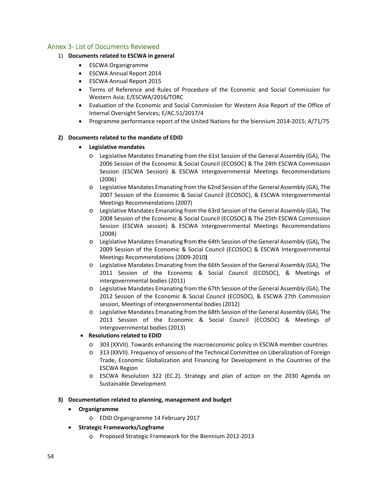## Annex 3‐ List of Documents Reviewed

#### 1) **Documents related to ESCWA in general**

- ESCWA Organigramme
- ESCWA Annual Report 2014
- ESCWA Annual Report 2015
- Terms of Reference and Rules of Procedure of the Economic and Social Commission for Western Asia; E/ESCWA/2016/TORC
- Evaluation of the Economic and Social Commission for Western Asia Report of the Office of Internal Oversight Services; E/AC.51/2017/4
- Programme performance report of the United Nations for the biennium 2014‐2015; A/71/75

#### **2) Documents related to the mandate of EDID**

#### **Legislative mandates**

- o Legislative Mandates Emanating from the 61st Session of the General Assembly (GA), The 2006 Session of the Economic & Social Council (ECOSOC) & The 24th ESCWA Commission Session (ESCWA Session) & ESCWA Intergovernmental Meetings Recommendations (2006)
- o Legislative Mandates Emanating from the 62nd Session of the General Assembly (GA), The 2007 Session of the Economic & Social Council (ECOSOC), & ESCWA Intergovernmental Meetings Recommendations (2007)
- o Legislative Mandates Emanating from the 63rd Session of the General Assembly (GA), The 2008 Session of the Economic & Social Council (ECOSOC) & The 25th ESCWA Commission Session (ESCWA session) & ESCWA Intergovernmental Meetings Recommendations (2008)
- o Legislative Mandates Emanating **f**rom **t**he 64th Session of the General Assembly (GA)**,** The 2009 Session of the Economic & Social Council (ECOSOC) & ESCWA Intergovernmental Meetings Recommendations (2009‐2010**)**
- o Legislative Mandates Emanating from the 66th Session of the General Assembly (GA), The 2011 Session of the Economic & Social Council (ECOSOC), & Meetings of intergovernmental bodies (2011)
- o Legislative Mandates Emanating from the 67th Session of the General Assembly (GA), The 2012 Session of the Economic & Social Council (ECOSOC), & ESCWA 27th Commission session, Meetings of intergovernmental bodies (2012)
- o Legislative Mandates Emanating from the 68th Session of the General Assembly (GA), The 2013 Session of the Economic & Social Council (ECOSOC) & Meetings of intergovernmental bodies (2013)

#### **Resolutions related to EDID**

- o 303 (XXVII). Towards enhancing the macroeconomic policy in ESCWA member countries
- o 313 (XXVII). Frequency of sessions of the Technical Committee on Liberalization of Foreign Trade, Economic Globalization and Financing for Development in the Countries of the ESCWA Region
- o ESCWA Resolution 322 (EC.2). Strategy and plan of action on the 2030 Agenda on Sustainable Development

#### **3) Documentation related to planning, management and budget**

- **Organigramme** 
	- o EDID Organigramme 14 February 2017
- **Strategic Frameworks/Logframe** 
	- o Proposed Strategic Framework for the Biennium 2012‐2013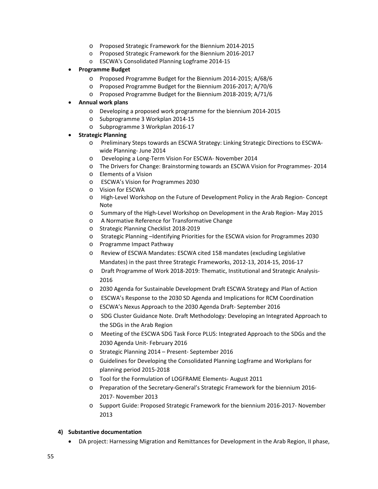- o Proposed Strategic Framework for the Biennium 2014‐2015
- o Proposed Strategic Framework for the Biennium 2016‐2017
- o ESCWA's Consolidated Planning Logframe 2014‐15
- **Programme Budget** 
	- o Proposed Programme Budget for the Biennium 2014‐2015; A/68/6
	- o Proposed Programme Budget for the Biennium 2016‐2017; A/70/6
	- o Proposed Programme Budget for the Biennium 2018‐2019; A/71/6

#### **Annual work plans**

- o Developing a proposed work programme for the biennium 2014‐2015
- o Subprogramme 3 Workplan 2014‐15
- o Subprogramme 3 Workplan 2016‐17
- **Strategic Planning**
	- o Preliminary Steps towards an ESCWA Strategy: Linking Strategic Directions to ESCWA‐ wide Planning‐ June 2014
	- o Developing a Long‐Term Vision For ESCWA‐ November 2014
	- o The Drivers for Change: Brainstorming towards an ESCWA Vision for Programmes‐ 2014
	- o Elements of a Vision
	- o ESCWA's Vision for Programmes 2030
	- o Vision for ESCWA
	- o High‐Level Workshop on the Future of Development Policy in the Arab Region‐ Concept Note
	- o Summary of the High‐Level Workshop on Development in the Arab Region‐ May 2015
	- o A Normative Reference for Transformative Change
	- o Strategic Planning Checklist 2018‐2019
	- o Strategic Planning –Identifying Priorities for the ESCWA vision for Programmes 2030
	- o Programme Impact Pathway
	- o Review of ESCWA Mandates: ESCWA cited 158 mandates (excluding Legislative Mandates) in the past three Strategic Frameworks, 2012‐13, 2014‐15, 2016‐17
	- o Draft Programme of Work 2018‐2019: Thematic, Institutional and Strategic Analysis‐ 2016
	- o 2030 Agenda for Sustainable Development Draft ESCWA Strategy and Plan of Action
	- o ESCWA's Response to the 2030 SD Agenda and Implications for RCM Coordination
	- o ESCWA's Nexus Approach to the 2030 Agenda Draft‐ September 2016
	- o SDG Cluster Guidance Note. Draft Methodology: Developing an Integrated Approach to the SDGs in the Arab Region
	- o Meeting of the ESCWA SDG Task Force PLUS: Integrated Approach to the SDGs and the 2030 Agenda Unit‐ February 2016
	- o Strategic Planning 2014 Present‐ September 2016
	- o Guidelines for Developing the Consolidated Planning Logframe and Workplans for planning period 2015‐2018
	- o Tool for the Formulation of LOGFRAME Elements‐ August 2011
	- o Preparation of the Secretary‐General's Strategic Framework for the biennium 2016‐ 2017‐ November 2013
	- o Support Guide: Proposed Strategic Framework for the biennium 2016‐2017‐ November 2013

#### **4) Substantive documentation**

DA project: Harnessing Migration and Remittances for Development in the Arab Region, II phase,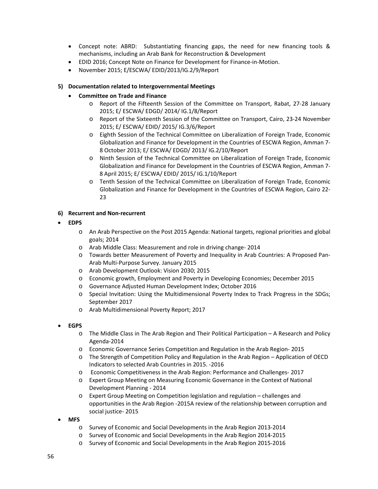- Concept note: ABRD: Substantiating financing gaps, the need for new financing tools & mechanisms, including an Arab Bank for Reconstruction & Development
- EDID 2016; Concept Note on Finance for Development for Finance‐in‐Motion.
- November 2015; E/ESCWA/ EDID/2013/IG.2/9/Report

#### **5) Documentation related to Intergovernmental Meetings**

#### **Committee on Trade and Finance**

- o Report of the Fifteenth Session of the Committee on Transport, Rabat, 27‐28 January 2015; E/ ESCWA/ EDGD/ 2014/ IG.1/8/Report
- o Report of the Sixteenth Session of the Committee on Transport, Cairo, 23‐24 November 2015; E/ ESCWA/ EDID/ 2015/ IG.3/6/Report
- o Eighth Session of the Technical Committee on Liberalization of Foreign Trade, Economic Globalization and Finance for Development in the Countries of ESCWA Region, Amman 7‐ 8 October 2013; E/ ESCWA/ EDGD/ 2013/ IG.2/10/Report
- o Ninth Session of the Technical Committee on Liberalization of Foreign Trade, Economic Globalization and Finance for Development in the Countries of ESCWA Region, Amman 7‐ 8 April 2015; E/ ESCWA/ EDID/ 2015/ IG.1/10/Report
- o Tenth Session of the Technical Committee on Liberalization of Foreign Trade, Economic Globalization and Finance for Development in the Countries of ESCWA Region, Cairo 22‐ 23

#### **6) Recurrent and Non‐recurrent**

#### **EDPS**

- o An Arab Perspective on the Post 2015 Agenda: National targets, regional priorities and global goals; 2014
- o Arab Middle Class: Measurement and role in driving change‐ 2014
- o Towards better Measurement of Poverty and Inequality in Arab Countries: A Proposed Pan‐ Arab Multi‐Purpose Survey. January 2015
- o Arab Development Outlook: Vision 2030; 2015
- o Economic growth, Employment and Poverty in Developing Economies; December 2015
- o Governance Adjusted Human Development Index; October 2016
- o Special Invitation: Using the Multidimensional Poverty Index to Track Progress in the SDGs; September 2017
- o Arab Multidimensional Poverty Report; 2017

#### **EGPS**

- o The Middle Class in The Arab Region and Their Political Participation A Research and Policy Agenda‐2014
- o Economic Governance Series Competition and Regulation in the Arab Region‐ 2015
- o The Strength of Competition Policy and Regulation in the Arab Region Application of OECD Indicators to selected Arab Countries in 2015. ‐2016
- o Economic Competitiveness in the Arab Region: Performance and Challenges‐ 2017
- o Expert Group Meeting on Measuring Economic Governance in the Context of National Development Planning ‐ 2014
- o Expert Group Meeting on Competition legislation and regulation challenges and opportunities in the Arab Region ‐2015A review of the relationship between corruption and social justice‐ 2015
- **MFS**
	- o Survey of Economic and Social Developments in the Arab Region 2013‐2014
	- o Survey of Economic and Social Developments in the Arab Region 2014‐2015
	- o Survey of Economic and Social Developments in the Arab Region 2015‐2016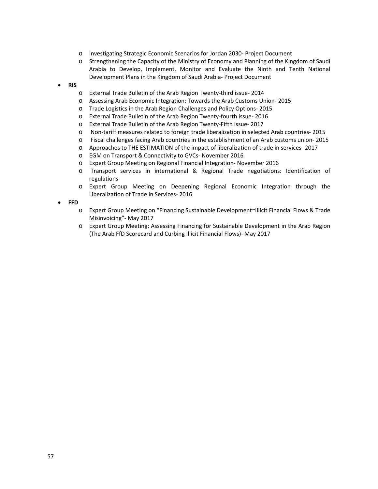- o Investigating Strategic Economic Scenarios for Jordan 2030‐ Project Document
- o Strengthening the Capacity of the Ministry of Economy and Planning of the Kingdom of Saudi Arabia to Develop, Implement, Monitor and Evaluate the Ninth and Tenth National Development Plans in the Kingdom of Saudi Arabia‐ Project Document
- **RIS**
	- o External Trade Bulletin of the Arab Region Twenty‐third issue‐ 2014
	- o Assessing Arab Economic Integration: Towards the Arab Customs Union‐ 2015
	- o Trade Logistics in the Arab Region Challenges and Policy Options‐ 2015
	- o External Trade Bulletin of the Arab Region Twenty‐fourth issue‐ 2016
	- o External Trade Bulletin of the Arab Region Twenty‐Fifth Issue‐ 2017
	- o Non‐tariff measures related to foreign trade liberalization in selected Arab countries‐ 2015
	- o Fiscal challenges facing Arab countries in the establishment of an Arab customs union‐ 2015
	- o Approaches to THE ESTIMATION of the impact of liberalization of trade in services‐ 2017
	- o EGM on Transport & Connectivity to GVCs‐ November 2016
	- o Expert Group Meeting on Regional Financial Integration‐ November 2016
	- o Transport services in international & Regional Trade negotiations: Identification of regulations
	- o Expert Group Meeting on Deepening Regional Economic Integration through the Liberalization of Trade in Services‐ 2016
- **FFD**
	- o Expert Group Meeting on "Financing Sustainable Development~Illicit Financial Flows & Trade Misinvoicing"‐ May 2017
	- o Expert Group Meeting: Assessing Financing for Sustainable Development in the Arab Region (The Arab FfD Scorecard and Curbing Illicit Financial Flows)‐ May 2017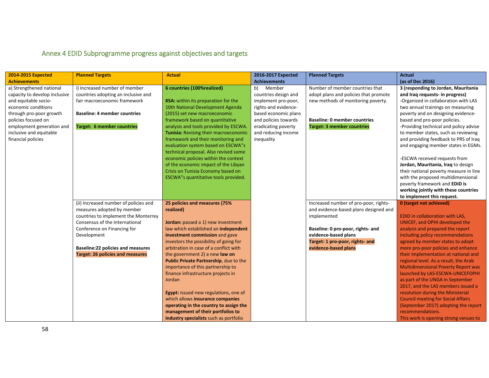# Annex 4 EDID Subprogramme progress against objectives and targets

| <b>2014-2015 Expected</b>     | <b>Planned Targets</b>                   | <b>Actual</b>                              | 2016-2017 Expected   | <b>Planned Targets</b>                | <b>Actual</b>                              |
|-------------------------------|------------------------------------------|--------------------------------------------|----------------------|---------------------------------------|--------------------------------------------|
| <b>Achievements</b>           |                                          |                                            | <b>Achievements</b>  |                                       | (as of Dec 2016)                           |
| a) Strengthened national      | i) Increased number of member            | 6 countries (100%realized)                 | b)<br>Member         | Number of member countries that       | 3 (responding to Jordan, Mauritania        |
| capacity to develop inclusive | countries adopting an inclusive and      |                                            | countries design and | adopt plans and policies that promote | and Iraq requests- in progress)            |
| and equitable socio-          | fair macroeconomic framework             | <b>KSA:</b> within its preparation for the | implement pro-poor,  | new methods of monitoring poverty.    | -Organized in collaboration with LAS       |
| economic conditions           |                                          | 10th National Development Agenda           | rights-and evidence- |                                       | two annual trainings on measuring          |
| through pro-poor growth       | <b>Baseline: 4 member countries</b>      | (2015) set new macroeconomic               | based economic plans |                                       | poverty and on designing evidence-         |
| policies focused on           |                                          | framework based on quantitative            | and policies towards | <b>Baseline: 0 member countries</b>   | based and pro-poor policies.               |
| employment generation and     | <b>Target: 6 member countries</b>        | analysis and tools provided by ESCWA.      | eradicating poverty  | <b>Target: 3 member countries</b>     | -Providing technical and policy advise     |
| inclusive and equitable       |                                          | Tunisia: Revising their macroeconomic      | and reducing income  |                                       | to member states, such as reviewing        |
| financial policies            |                                          | framework and their monitoring and         | inequality           |                                       | and providing feedback to PRS of Iraq      |
|                               |                                          | evaluation system based on ESCWA"s         |                      |                                       | and engaging member states in EGMs.        |
|                               |                                          | technical proposal. Also revised some      |                      |                                       |                                            |
|                               |                                          | economic policies within the context       |                      |                                       | -ESCWA received requests from              |
|                               |                                          | of the economic impact of the Libyan       |                      |                                       | Jordan, Mauritania, Iraq to design         |
|                               |                                          | Crisis on Tunisia Economy based on         |                      |                                       | their national poverty measure in line     |
|                               |                                          | ESCWA"s quantitative tools provided.       |                      |                                       | with the proposed multidimensional         |
|                               |                                          |                                            |                      |                                       | poverty framework and EDID is              |
|                               |                                          |                                            |                      |                                       | working jointly with these countries       |
|                               |                                          |                                            |                      |                                       | to implement this request.                 |
|                               | (ii) Increased number of policies and    | 25 policies and measures (75%              |                      | Increased number of pro-poor, rights- | 0 (target not achieved)                    |
|                               | measures adopted by member               | realized)                                  |                      | and evidence-based plans designed and |                                            |
|                               | countries to implement the Monterrey     |                                            |                      | implemented                           | EDID in collaboration with LAS,            |
|                               | Consensus of the International           | Jordan: passed a 1) new investment         |                      |                                       | UNICEF, and OPHI developed the             |
|                               | Conference on Financing for              | law which established an independent       |                      | Baseline: 0 pro-poor, rights- and     | analysis and prepared the report           |
|                               | Development                              | investment commission and gave             |                      | evidence-based plans                  | including policy recommendations           |
|                               |                                          | investors the possibility of going for     |                      | Target: 1 pro-poor, rights- and       | agreed by member states to adopt           |
|                               | <b>Baseline:22 policies and measures</b> | arbitration in case of a conflict with     |                      | evidence-based plans                  | more pro-poor policies and enhance         |
|                               | <b>Target: 26 policies and measures</b>  | the government 2) a new law on             |                      |                                       | their implementation at national and       |
|                               |                                          | Public Private Partnership, due to the     |                      |                                       | regional level. As a result, the Arab      |
|                               |                                          | importance of this partnership to          |                      |                                       | <b>Multidimensional Poverty Report was</b> |
|                               |                                          | finance infrastructure projects in         |                      |                                       | launched by LAS-ESCWA-UNICEFOPHI           |
|                               |                                          | Jordan                                     |                      |                                       | as part of the UNGA in September           |
|                               |                                          |                                            |                      |                                       | 2017, and the LAS members issued a         |
|                               |                                          | Egypt: issued new regulations, one of      |                      |                                       | resolution during the Ministerial          |
|                               |                                          | which allows insurance companies           |                      |                                       | <b>Council meeting for Social Affairs</b>  |
|                               |                                          | operating in the country to assign the     |                      |                                       | (September 2017) adopting the report       |
|                               |                                          | management of their portfolios to          |                      |                                       | recommendations.                           |
|                               |                                          | industry specialists such as portfolio     |                      |                                       | This work is opening strong venues to      |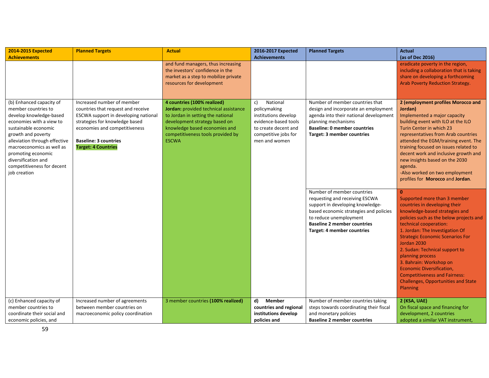| <b>2014-2015 Expected</b>                                                                                                                                                                                                                                                                                     | <b>Planned Targets</b>                                                                                                                                                                                                                    | <b>Actual</b>                                                                                                                                                                                                                    | 2016-2017 Expected                                                                                                                              | <b>Planned Targets</b>                                                                                                                                                                                                                      | <b>Actual</b>                                                                                                                                                                                                                                                                                                                                                                                                                                                                            |
|---------------------------------------------------------------------------------------------------------------------------------------------------------------------------------------------------------------------------------------------------------------------------------------------------------------|-------------------------------------------------------------------------------------------------------------------------------------------------------------------------------------------------------------------------------------------|----------------------------------------------------------------------------------------------------------------------------------------------------------------------------------------------------------------------------------|-------------------------------------------------------------------------------------------------------------------------------------------------|---------------------------------------------------------------------------------------------------------------------------------------------------------------------------------------------------------------------------------------------|------------------------------------------------------------------------------------------------------------------------------------------------------------------------------------------------------------------------------------------------------------------------------------------------------------------------------------------------------------------------------------------------------------------------------------------------------------------------------------------|
| <b>Achievements</b>                                                                                                                                                                                                                                                                                           |                                                                                                                                                                                                                                           | and fund managers, thus increasing<br>the investors' confidence in the<br>market as a step to mobilize private<br>resources for development                                                                                      | <b>Achievements</b>                                                                                                                             |                                                                                                                                                                                                                                             | (as of Dec 2016)<br>eradicate poverty in the region,<br>including a collaboration that is taking<br>share on developing a forthcoming<br><b>Arab Poverty Reduction Strategy.</b>                                                                                                                                                                                                                                                                                                         |
| (b) Enhanced capacity of<br>member countries to<br>develop knowledge-based<br>economies with a view to<br>sustainable economic<br>growth and poverty<br>alleviation through effective<br>macroeconomics as well as<br>promoting economic<br>diversification and<br>competitiveness for decent<br>job creation | Increased number of member<br>countries that request and receive<br>ESCWA support in developing national<br>strategies for knowledge based<br>economies and competitiveness<br><b>Baseline: 3 countries</b><br><b>Target: 4 Countries</b> | 4 countries (100% realized)<br>Jordan: provided technical assistance<br>to Jordan in setting the national<br>development strategy based on<br>knowledge based economies and<br>competitiveness tools provided by<br><b>ESCWA</b> | c)<br>National<br>policymaking<br>institutions develop<br>evidence-based tools<br>to create decent and<br>competitive jobs for<br>men and women | Number of member countries that<br>design and incorporate an employment<br>agenda into their national development<br>planning mechanisms<br><b>Baseline: 0 member countries</b><br>Target: 3 member countries<br>Number of member countries | 2 (employment profiles Morocco and<br>Jordan)<br>Implemented a major capacity<br>building event with ILO at the ILO<br>Turin Center in which 23<br>representatives from Arab countries<br>attended the EGM/training event. The<br>training focused on issues related to<br>decent work and inclusive growth and<br>new insights based on the 2030<br>agenda.<br>-Also worked on two employment<br>profiles for Morocco and Jordan.<br>$\Omega$                                           |
|                                                                                                                                                                                                                                                                                                               |                                                                                                                                                                                                                                           |                                                                                                                                                                                                                                  |                                                                                                                                                 | requesting and receiving ESCWA<br>support in developing knowledge-<br>based economic strategies and policies<br>to reduce unemployment<br><b>Baseline 2 member countries</b><br><b>Target: 4 member countries</b>                           | Supported more than 3 member<br>countries in developing their<br>knowledge-based strategies and<br>policies such as the below projects and<br>technical cooperation:<br>1. Jordan: The Investigation Of<br><b>Strategic Economic Scenarios For</b><br>Jordan 2030<br>2. Sudan: Technical support to<br>planning process<br>3. Bahrain: Workshop on<br><b>Economic Diversification,</b><br><b>Competitiveness and Fairness:</b><br><b>Challenges, Opportunities and State</b><br>Planning |
| (c) Enhanced capacity of<br>member countries to                                                                                                                                                                                                                                                               | Increased number of agreements<br>between member countries on                                                                                                                                                                             | 3 member countries (100% realized)                                                                                                                                                                                               | d)<br><b>Member</b><br>countries and regional                                                                                                   | Number of member countries taking<br>steps towards coordinating their fiscal                                                                                                                                                                | 2 (KSA, UAE)<br>On fiscal space and financing for                                                                                                                                                                                                                                                                                                                                                                                                                                        |
| coordinate their social and<br>economic policies, and                                                                                                                                                                                                                                                         | macroeconomic policy coordination                                                                                                                                                                                                         |                                                                                                                                                                                                                                  | institutions develop<br>policies and                                                                                                            | and monetary policies<br><b>Baseline 2 member countries</b>                                                                                                                                                                                 | development, 2 countries<br>adopted a similar VAT instrument,                                                                                                                                                                                                                                                                                                                                                                                                                            |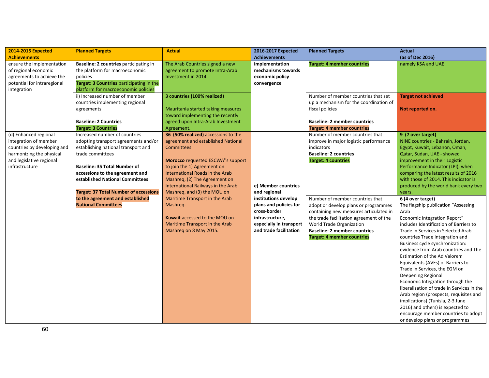| 2014-2015 Expected                                                                                                                                      | <b>Planned Targets</b>                                                                                                                                                                                                                                                                                                            | <b>Actual</b>                                                                                                                                                                                                                                                                                                      | 2016-2017 Expected                                                                                                                     | <b>Planned Targets</b>                                                                                                                                                                                                                                               | <b>Actual</b>                                                                                                                                                                                                                                                                                                                                                                                                                                                                                                                                                                                                                                                                                           |
|---------------------------------------------------------------------------------------------------------------------------------------------------------|-----------------------------------------------------------------------------------------------------------------------------------------------------------------------------------------------------------------------------------------------------------------------------------------------------------------------------------|--------------------------------------------------------------------------------------------------------------------------------------------------------------------------------------------------------------------------------------------------------------------------------------------------------------------|----------------------------------------------------------------------------------------------------------------------------------------|----------------------------------------------------------------------------------------------------------------------------------------------------------------------------------------------------------------------------------------------------------------------|---------------------------------------------------------------------------------------------------------------------------------------------------------------------------------------------------------------------------------------------------------------------------------------------------------------------------------------------------------------------------------------------------------------------------------------------------------------------------------------------------------------------------------------------------------------------------------------------------------------------------------------------------------------------------------------------------------|
| <b>Achievements</b>                                                                                                                                     |                                                                                                                                                                                                                                                                                                                                   |                                                                                                                                                                                                                                                                                                                    | <b>Achievements</b>                                                                                                                    |                                                                                                                                                                                                                                                                      | (as of Dec 2016)                                                                                                                                                                                                                                                                                                                                                                                                                                                                                                                                                                                                                                                                                        |
| ensure the implementation<br>of regional economic<br>agreements to achieve the<br>potential for intraregional<br>integration                            | Baseline: 2 countries participating in<br>the platform for macroeconomic<br>policies<br>Target: 3 Countries participating in the<br>platform for macroeconomic policies<br>ii) Increased number of member                                                                                                                         | The Arab Countries signed a new<br>agreement to promote Intra-Arab<br>Investment in 2014<br>3 countries (100% realized)                                                                                                                                                                                            | implementation<br>mechanisms towards<br>economic policy<br>convergence                                                                 | <b>Target: 4 member countries</b><br>Number of member countries that set                                                                                                                                                                                             | namely KSA and UAE<br><b>Target not achieved</b>                                                                                                                                                                                                                                                                                                                                                                                                                                                                                                                                                                                                                                                        |
|                                                                                                                                                         | countries implementing regional<br>agreements<br><b>Baseline: 2 Countries</b><br><b>Target: 3 Countries</b>                                                                                                                                                                                                                       | Mauritania started taking measures<br>toward implementing the recently<br>agreed upon Intra-Arab Investment<br>Agreement.                                                                                                                                                                                          |                                                                                                                                        | up a mechanism for the coordination of<br>fiscal policies<br><b>Baseline: 2 member countries</b><br><b>Target: 4 member countries</b>                                                                                                                                | Not reported on.                                                                                                                                                                                                                                                                                                                                                                                                                                                                                                                                                                                                                                                                                        |
| (d) Enhanced regional<br>integration of member<br>countries by developing and<br>harmonizing the physical<br>and legislative regional<br>infrastructure | Increased number of countries<br>adopting transport agreements and/or<br>establishing national transport and<br>trade committees<br><b>Baseline: 35 Total Number of</b><br>accessions to the agreement and<br>established National Committees<br><b>Target: 37 Total Number of accessions</b><br>to the agreement and established | 36 (50% realized) accessions to the<br>agreement and established National<br><b>Committees</b><br><b>Morocco</b> requested ESCWA"s support<br>to join the 1) Agreement on<br>International Roads in the Arab<br>Mashreg, (2) The Agreement on<br>International Railways in the Arab<br>Mashreg, and (3) the MOU on | e) Member countries<br>and regional                                                                                                    | Number of member countries that<br>improve in major logistic performance<br>indicators<br><b>Baseline: 2 countries</b><br><b>Target: 4 countries</b>                                                                                                                 | 9 (7 over target)<br>NINE countries - Bahrain, Jordan,<br>Egypt, Kuwait, Lebanon, Oman,<br>Qatar, Sudan, UAE - showed<br>improvement in their Logistic<br>Performance Indicator (LPI), when<br>comparing the latest results of 2016<br>with those of 2014. This indicator is<br>produced by the world bank every two<br>years.                                                                                                                                                                                                                                                                                                                                                                          |
|                                                                                                                                                         | <b>National Committees</b>                                                                                                                                                                                                                                                                                                        | Maritime Transport in the Arab<br>Mashreq.<br><b>Kuwait accessed to the MOU on</b><br>Maritime Transport in the Arab<br>Mashreq on 8 May 2015.                                                                                                                                                                     | institutions develop<br>plans and policies for<br>cross-border<br>infrastructure,<br>especially in transport<br>and trade facilitation | Number of member countries that<br>adopt or develop plans or programmes<br>containing new measures articulated in<br>the trade facilitation agreement of the<br>World Trade Organization<br><b>Baseline: 2 member countries</b><br><b>Target: 4 member countries</b> | 6 (4 over target)<br>The flagship publication "Assessing<br>Arab<br>Economic Integration Report"<br>includes Identification of Barriers to<br>Trade in Services in Selected Arab<br>countries Trade Integration and<br>Business cycle synchronization:<br>evidence from Arab countries and The<br>Estimation of the Ad Valorem<br>Equivalents (AVEs) of Barriers to<br>Trade in Services, the EGM on<br>Deepening Regional<br>Economic Integration through the<br>liberalization of trade in Services in the<br>Arab region (prospects, requisites and<br>implications) (Tunisia, 2-3 June<br>2016) and others) is expected to<br>encourage member countries to adopt<br>or develop plans or programmes |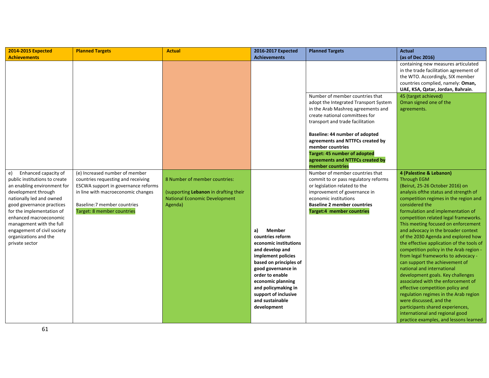| <b>2014-2015 Expected</b>     | <b>Planned Targets</b>              | <b>Actual</b>                         | 2016-2017 Expected     | <b>Planned Targets</b>                | <b>Actual</b>                             |
|-------------------------------|-------------------------------------|---------------------------------------|------------------------|---------------------------------------|-------------------------------------------|
| <b>Achievements</b>           |                                     |                                       | <b>Achievements</b>    |                                       | (as of Dec 2016)                          |
|                               |                                     |                                       |                        |                                       | containing new measures articulated       |
|                               |                                     |                                       |                        |                                       | in the trade facilitation agreement of    |
|                               |                                     |                                       |                        |                                       | the WTO. Accordingly, SIX member          |
|                               |                                     |                                       |                        |                                       | countries complied, namely: Oman,         |
|                               |                                     |                                       |                        |                                       | UAE, KSA, Qatar, Jordan, Bahrain.         |
|                               |                                     |                                       |                        | Number of member countries that       | 45 (target achieved)                      |
|                               |                                     |                                       |                        | adopt the Integrated Transport System | Oman signed one of the                    |
|                               |                                     |                                       |                        | in the Arab Mashreg agreements and    | agreements.                               |
|                               |                                     |                                       |                        | create national committees for        |                                           |
|                               |                                     |                                       |                        | transport and trade facilitation      |                                           |
|                               |                                     |                                       |                        | Baseline: 44 number of adopted        |                                           |
|                               |                                     |                                       |                        | agreements and NTTFCs created by      |                                           |
|                               |                                     |                                       |                        | member countries                      |                                           |
|                               |                                     |                                       |                        | <b>Target: 45 number of adopted</b>   |                                           |
|                               |                                     |                                       |                        | agreements and NTTFCs created by      |                                           |
|                               |                                     |                                       |                        | member countries                      |                                           |
| Enhanced capacity of<br>e)    | (e) Increased number of member      |                                       |                        | Number of member countries that       | 4 (Palestine & Lebanon)                   |
| public institutions to create | countries requesting and receiving  | 8 Number of member countries:         |                        | commit to or pass regulatory reforms  | <b>Through EGM</b>                        |
| an enabling environment for   | ESCWA support in governance reforms |                                       |                        | or legislation related to the         | (Beirut, 25-26 October 2016) on           |
| development through           | in line with macroeconomic changes  | (supporting Lebanon in drafting their |                        | improvement of governance in          | analysis of the status and strength of    |
| nationally led and owned      |                                     | <b>National Economic Development</b>  |                        | economic institutions                 | competition regimes in the region and     |
| good governance practices     | Baseline: 7 member countries        | Agenda)                               |                        | <b>Baseline 2 member countries</b>    | considered the                            |
| for the implementation of     | Target: 8 member countries          |                                       |                        | Target:4 member countries             | formulation and implementation of         |
| enhanced macroeconomic        |                                     |                                       |                        |                                       | competition related legal frameworks.     |
| management with the full      |                                     |                                       |                        |                                       | This meeting focused on enforcement       |
| engagement of civil society   |                                     |                                       | <b>Member</b><br>a)    |                                       | and advocacy in the broader context       |
| organizations and the         |                                     |                                       | countries reform       |                                       | of the 2030 Agenda and explored how       |
| private sector                |                                     |                                       | economic institutions  |                                       | the effective application of the tools of |
|                               |                                     |                                       | and develop and        |                                       | competition policy in the Arab region -   |
|                               |                                     |                                       | implement policies     |                                       | from legal frameworks to advocacy -       |
|                               |                                     |                                       | based on principles of |                                       | can support the achievement of            |
|                               |                                     |                                       | good governance in     |                                       | national and international                |
|                               |                                     |                                       | order to enable        |                                       | development goals. Key challenges         |
|                               |                                     |                                       | economic planning      |                                       | associated with the enforcement of        |
|                               |                                     |                                       | and policymaking in    |                                       | effective competition policy and          |
|                               |                                     |                                       | support of inclusive   |                                       | regulation regimes in the Arab region     |
|                               |                                     |                                       | and sustainable        |                                       | were discussed, and the                   |
|                               |                                     |                                       | development            |                                       | participants shared experiences,          |
|                               |                                     |                                       |                        |                                       | international and regional good           |
|                               |                                     |                                       |                        |                                       | practice examples, and lessons learned    |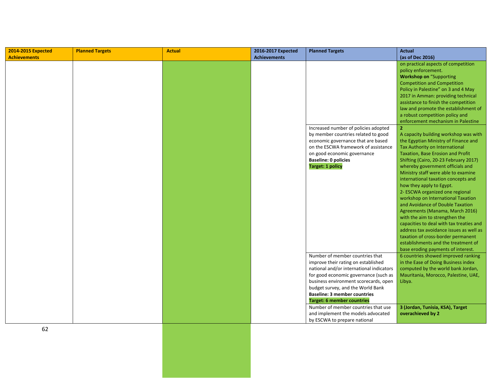| 2014-2015 Expected  | <b>Planned Targets</b> | <b>Actual</b> | 2016-2017 Expected  | <b>Planned Targets</b>                                                     | <b>Actual</b>                            |
|---------------------|------------------------|---------------|---------------------|----------------------------------------------------------------------------|------------------------------------------|
| <b>Achievements</b> |                        |               | <b>Achievements</b> |                                                                            | (as of Dec 2016)                         |
|                     |                        |               |                     |                                                                            | on practical aspects of competition      |
|                     |                        |               |                     |                                                                            | policy enforcement.                      |
|                     |                        |               |                     |                                                                            | <b>Workshop on "Supporting</b>           |
|                     |                        |               |                     |                                                                            | <b>Competition and Competition</b>       |
|                     |                        |               |                     |                                                                            | Policy in Palestine" on 3 and 4 May      |
|                     |                        |               |                     |                                                                            | 2017 in Amman: providing technical       |
|                     |                        |               |                     |                                                                            | assistance to finish the competition     |
|                     |                        |               |                     |                                                                            | law and promote the establishment of     |
|                     |                        |               |                     |                                                                            | a robust competition policy and          |
|                     |                        |               |                     |                                                                            | enforcement mechanism in Palestine       |
|                     |                        |               |                     | Increased number of policies adopted                                       | $\overline{2}$                           |
|                     |                        |               |                     | by member countries related to good                                        | A capacity building workshop was with    |
|                     |                        |               |                     | economic governance that are based                                         | the Egyptian Ministry of Finance and     |
|                     |                        |               |                     | on the ESCWA framework of assistance                                       | Tax Authority on International           |
|                     |                        |               |                     | on good economic governance                                                | Taxation, Base Erosion and Profit        |
|                     |                        |               |                     | <b>Baseline: 0 policies</b>                                                | Shifting (Cairo, 20-23 February 2017)    |
|                     |                        |               |                     | <b>Target: 1 policy</b>                                                    | whereby government officials and         |
|                     |                        |               |                     |                                                                            | Ministry staff were able to examine      |
|                     |                        |               |                     |                                                                            | international taxation concepts and      |
|                     |                        |               |                     |                                                                            | how they apply to Egypt.                 |
|                     |                        |               |                     |                                                                            | 2- ESCWA organized one regional          |
|                     |                        |               |                     |                                                                            | workshop on International Taxation       |
|                     |                        |               |                     |                                                                            | and Avoidance of Double Taxation         |
|                     |                        |               |                     |                                                                            | Agreements (Manama, March 2016)          |
|                     |                        |               |                     |                                                                            | with the aim to strengthen the           |
|                     |                        |               |                     |                                                                            | capacities to deal with tax treaties and |
|                     |                        |               |                     |                                                                            | address tax avoidance issues as well as  |
|                     |                        |               |                     |                                                                            | taxation of cross-border permanent       |
|                     |                        |               |                     |                                                                            | establishments and the treatment of      |
|                     |                        |               |                     |                                                                            | base eroding payments of interest.       |
|                     |                        |               |                     | Number of member countries that                                            | 6 countries showed improved ranking      |
|                     |                        |               |                     | improve their rating on established                                        | in the Ease of Doing Business index      |
|                     |                        |               |                     | national and/or international indicators                                   | computed by the world bank Jordan,       |
|                     |                        |               |                     | for good economic governance (such as                                      | Mauritania, Morocco, Palestine, UAE,     |
|                     |                        |               |                     | business environment scorecards, open<br>budget survey, and the World Bank | Libya.                                   |
|                     |                        |               |                     |                                                                            |                                          |
|                     |                        |               |                     | <b>Baseline: 3 member countries</b>                                        |                                          |
|                     |                        |               |                     | <b>Target: 6 member countries</b>                                          |                                          |
|                     |                        |               |                     | Number of member countries that use                                        | 3 (Jordan, Tunisia, KSA), Target         |
|                     |                        |               |                     | and implement the models advocated                                         | overachieved by 2                        |
|                     |                        |               |                     | by ESCWA to prepare national                                               |                                          |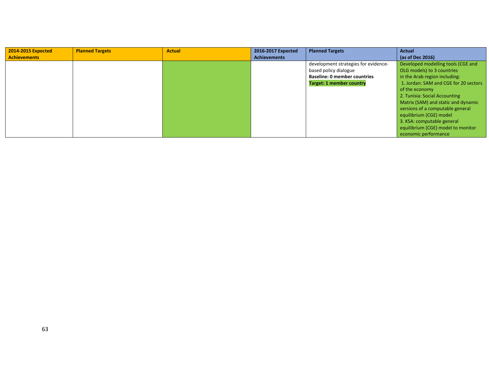| 2014-2015 Expected  | <b>Planned Targets</b> | <b>Actual</b> | 2016-2017 Expected  | <b>Planned Targets</b>               | <b>Actual</b>                         |
|---------------------|------------------------|---------------|---------------------|--------------------------------------|---------------------------------------|
| <b>Achievements</b> |                        |               | <b>Achievements</b> |                                      | (as of Dec 2016)                      |
|                     |                        |               |                     | development strategies for evidence- | Developed modelling tools (CGE and    |
|                     |                        |               |                     | based policy dialogue                | OLG models) to 3 countries            |
|                     |                        |               |                     | <b>Baseline: 0 member countries</b>  | in the Arab region including:         |
|                     |                        |               |                     | <b>Target: 1 member country</b>      | 1. Jordan: SAM and CGE for 20 sectors |
|                     |                        |               |                     |                                      | of the economy                        |
|                     |                        |               |                     |                                      | 2. Tunisia: Social Accounting         |
|                     |                        |               |                     |                                      | Matrix (SAM) and static and dynamic   |
|                     |                        |               |                     |                                      | versions of a computable general      |
|                     |                        |               |                     |                                      | equilibrium (CGE) model               |
|                     |                        |               |                     |                                      | 3. KSA: computable general            |
|                     |                        |               |                     |                                      | equilibrium (CGE) model to monitor    |
|                     |                        |               |                     |                                      | economic performance                  |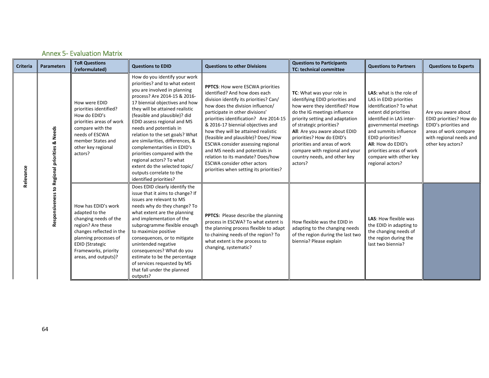| <b>Criteria</b> | <b>Parameters</b>                             | <b>ToR Questions</b><br>(reformulated)                                                                                                                                                                             | <b>Questions to EDID</b>                                                                                                                                                                                                                                                                                                                                                                                                                                                                                                                                 | <b>Questions to other Divisions</b>                                                                                                                                                                                                                                                                                                                                                                                                                                                                                                                 | <b>Questions to Participants</b><br><b>TC: technical committee</b>                                                                                                                                                                                                                                                                                                      | <b>Questions to Partners</b>                                                                                                                                                                                                                                                                                    | <b>Questions to Experts</b>                                                                                                                      |
|-----------------|-----------------------------------------------|--------------------------------------------------------------------------------------------------------------------------------------------------------------------------------------------------------------------|----------------------------------------------------------------------------------------------------------------------------------------------------------------------------------------------------------------------------------------------------------------------------------------------------------------------------------------------------------------------------------------------------------------------------------------------------------------------------------------------------------------------------------------------------------|-----------------------------------------------------------------------------------------------------------------------------------------------------------------------------------------------------------------------------------------------------------------------------------------------------------------------------------------------------------------------------------------------------------------------------------------------------------------------------------------------------------------------------------------------------|-------------------------------------------------------------------------------------------------------------------------------------------------------------------------------------------------------------------------------------------------------------------------------------------------------------------------------------------------------------------------|-----------------------------------------------------------------------------------------------------------------------------------------------------------------------------------------------------------------------------------------------------------------------------------------------------------------|--------------------------------------------------------------------------------------------------------------------------------------------------|
| Relevance       | Responsiveness to Regional priorities & Needs | How were EDID<br>priorities identified?<br>How do EDID's<br>priorities areas of work<br>compare with the<br>needs of ESCWA<br>member States and<br>other key regional<br>actors?                                   | How do you identify your work<br>priorities? and to what extent<br>you are involved in planning<br>process? Are 2014-15 & 2016-<br>17 biennial objectives and how<br>they will be attained realistic<br>(feasible and plausible)? did<br>EDID assess regional and MS<br>needs and potentials in<br>relation to the set goals? What<br>are similarities, differences, &<br>complementarities in EDID's<br>priorities compared with the<br>regional actors? To what<br>extent do the selected topic/<br>outputs correlate to the<br>identified priorities? | <b>PPTCS: How were ESCWA priorities</b><br>identified? And how does each<br>division identify its priorities? Can/<br>how does the division influence/<br>participate in other divisions'<br>priorities identification? Are 2014-15<br>& 2016-17 biennial objectives and<br>how they will be attained realistic<br>(feasible and plausible)? Does/ How<br>ESCWA consider assessing regional<br>and MS needs and potentials in<br>relation to its mandate? Does/how<br><b>ESCWA</b> consider other actors<br>priorities when setting its priorities? | TC: What was your role in<br>identifying EDID priorities and<br>how were they identified? How<br>do the IG meetings influence<br>priority setting and adaptation<br>of strategic priorities?<br>All: Are you aware about EDID<br>priorities? How do EDID's<br>priorities and areas of work<br>compare with regional and your<br>country needs, and other key<br>actors? | <b>LAS:</b> what is the role of<br>LAS in EDID priorities<br>identification? To what<br>extent did priorities<br>identified in LAS inter-<br>governmental meetings<br>and summits influence<br>EDID priorities?<br>All: How do EDID's<br>priorities areas of work<br>compare with other key<br>regional actors? | Are you aware about<br>EDID priorities? How do<br>EDID's priorities and<br>areas of work compare<br>with regional needs and<br>other key actors? |
|                 |                                               | How has EDID's work<br>adapted to the<br>changing needs of the<br>region? Are these<br>changes reflected in the<br>planning processes of<br><b>EDID (Strategic</b><br>Frameworks, priority<br>areas, and outputs)? | Does EDID clearly identify the<br>issue that it aims to change? If<br>issues are relevant to MS<br>needs why do they change? To<br>what extent are the planning<br>and implementation of the<br>subprogramme flexible enough<br>to maximize positive<br>consequences, or to mitigate<br>unintended negative<br>consequences? What do you<br>estimate to be the percentage<br>of services requested by MS<br>that fall under the planned<br>outputs?                                                                                                      | PPTCS: Please describe the planning<br>process in ESCWA? To what extent is<br>the planning process flexible to adapt<br>to chaining needs of the region? To<br>what extent is the process to<br>changing, systematic?                                                                                                                                                                                                                                                                                                                               | How flexible was the EDID in<br>adapting to the changing needs<br>of the region during the last two<br>biennia? Please explain                                                                                                                                                                                                                                          | LAS: How flexible was<br>the EDID in adapting to<br>the changing needs of<br>the region during the<br>last two biennia?                                                                                                                                                                                         |                                                                                                                                                  |

#### Annex 5‐ Evaluation Matrix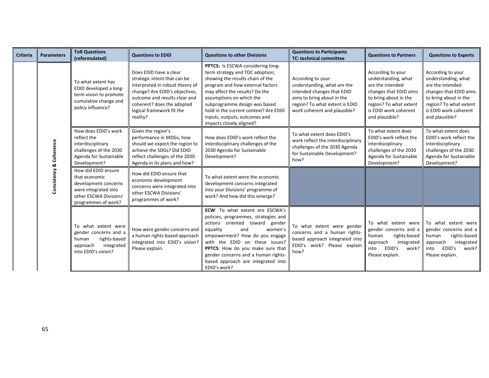| <b>Criteria</b> | <b>Parameters</b> | <b>ToR Questions</b><br>(reformulated)                                                                                                | <b>Questions to EDID</b>                                                                                                                                                                                                            | <b>Questions to other Divisions</b>                                                                                                                                                                                                                                                                                                                 | <b>Questions to Participants</b><br><b>TC: technical committee</b>                                                                                                             | <b>Questions to Partners</b>                                                                                                                                                         | <b>Questions to Experts</b>                                                                                                                                                          |
|-----------------|-------------------|---------------------------------------------------------------------------------------------------------------------------------------|-------------------------------------------------------------------------------------------------------------------------------------------------------------------------------------------------------------------------------------|-----------------------------------------------------------------------------------------------------------------------------------------------------------------------------------------------------------------------------------------------------------------------------------------------------------------------------------------------------|--------------------------------------------------------------------------------------------------------------------------------------------------------------------------------|--------------------------------------------------------------------------------------------------------------------------------------------------------------------------------------|--------------------------------------------------------------------------------------------------------------------------------------------------------------------------------------|
|                 |                   | To what extent has<br>EDID developed a long-<br>term vision to promote<br>cumulative change and<br>policy influence?                  | Does EDID have a clear<br>strategic intent that can be<br>interpreted in robust theory of<br>change? Are EDID's objectives,<br>outcome and results clear and<br>coherent? does the adopted<br>logical framework fit the<br>reality? | PPTCS: Is ESCWA considering long-<br>term strategy and TOC adoption;<br>showing the results chain of the<br>program and how external factors<br>may affect the results? Do the<br>assumptions on which the<br>subprogramme design was based<br>hold in the current context? Are EDID<br>inputs, outputs, outcomes and<br>impacts closely aligned?   | According to your<br>understanding, what are the<br>intended changes that EDID<br>aims to bring about in the<br>region? To what extent is EDID<br>work coherent and plausible? | According to your<br>understanding, what<br>are the intended<br>changes that EDID aims<br>to bring about in the<br>region? To what extent<br>is EDID work coherent<br>and plausible? | According to your<br>understanding, what<br>are the intended<br>changes that EDID aims<br>to bring about in the<br>region? To what extent<br>is EDID work coherent<br>and plausible? |
|                 | Coherence         | How does EDID's work<br>reflect the<br>interdisciplinary<br>challenges of the 2030<br>Agenda for Sustainable<br>Development?          | Given the region's<br>performance in MDGs, how<br>should we expect the region to<br>achieve the SDGs? Did EDID<br>reflect challenges of the 2030<br>Agenda in its plans and how?                                                    | How does EDID's work reflect the<br>interdisciplinary challenges of the<br>2030 Agenda for Sustainable<br>Development?                                                                                                                                                                                                                              | To what extent does EDID's<br>work reflect the interdisciplinary<br>challenges of the 2030 Agenda<br>for Sustainable Development?<br>how?                                      | To what extent does<br>EDID's work reflect the<br>interdisciplinary<br>challenges of the 2030<br>Agenda for Sustainable<br>Development?                                              | To what extent does<br>EDID's work reflect the<br>interdisciplinary<br>challenges of the 2030<br>Agenda for Sustainable<br>Development?                                              |
|                 | Consistency &     | How did EDID ensure<br>that economic<br>development concerns<br>were integrated into<br>other ESCWA Divisions'<br>programmes of work? | How did EDID ensure that<br>economic development<br>concerns were integrated into<br>other ESCWA Divisions'<br>programmes of work?                                                                                                  | To what extent were the economic<br>development concerns integrated<br>into your Divisions' programme of<br>work? And how did this emerge?                                                                                                                                                                                                          |                                                                                                                                                                                |                                                                                                                                                                                      |                                                                                                                                                                                      |
|                 |                   | To what extent were<br>gender concerns and a<br>rights-based<br>human<br>integrated<br>approach<br>into EDID's vision?                | How were gender concerns and<br>a human rights-based approach<br>integrated into EDID's vision?<br>Please explain.                                                                                                                  | <b>ECW:</b> To what extent are ESCWA's<br>policies, programmes, strategies and<br>actions oriented toward gender<br>equality<br>and<br>women's<br>empowerment? How do you engage<br>with the EDID on these issues?<br>PPTCS: How do you make sure that<br>gender concerns and a human rights-<br>based approach are integrated into<br>EDID's work? | To what extent were gender<br>concerns and a human rights-<br>based approach integrated into<br>EDID's work? Please explain<br>how?                                            | To what extent were<br>gender concerns and a<br>rights-based<br>human<br>approach<br>integrated<br>EDID's<br>work?<br>into<br>Please explain.                                        | To what extent were<br>gender concerns and a<br>rights-based<br>human<br>approach<br>integrated<br>EDID's<br>work?<br>into<br>Please explain.                                        |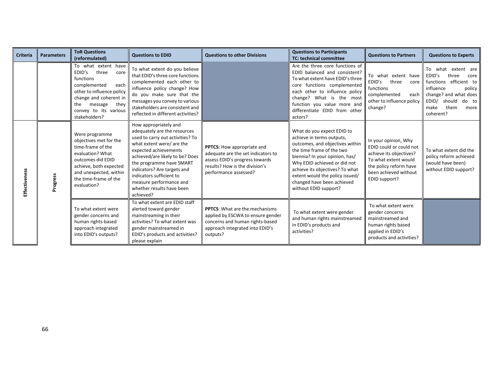| <b>Criteria</b> | <b>Parameters</b> | <b>ToR Questions</b><br>(reformulated)                                                                                                                                                                         | <b>Questions to EDID</b>                                                                                                                                                                                                                                                                                                                       | <b>Questions to other Divisions</b>                                                                                                                           | <b>Questions to Participants</b><br><b>TC: technical committee</b>                                                                                                                                                                                                                                                     | <b>Questions to Partners</b>                                                                                                                                           | <b>Questions to Experts</b>                                                                                                                                                                 |
|-----------------|-------------------|----------------------------------------------------------------------------------------------------------------------------------------------------------------------------------------------------------------|------------------------------------------------------------------------------------------------------------------------------------------------------------------------------------------------------------------------------------------------------------------------------------------------------------------------------------------------|---------------------------------------------------------------------------------------------------------------------------------------------------------------|------------------------------------------------------------------------------------------------------------------------------------------------------------------------------------------------------------------------------------------------------------------------------------------------------------------------|------------------------------------------------------------------------------------------------------------------------------------------------------------------------|---------------------------------------------------------------------------------------------------------------------------------------------------------------------------------------------|
|                 |                   | To what extent have<br>EDID's<br>three<br>core<br>functions<br>complemented<br>each<br>other to influence policy<br>change and coherent in<br>message<br>they<br>the<br>convey to its various<br>stakeholders? | To what extent do you believe<br>that EDID's three core functions<br>complemented each other to<br>influence policy change? How<br>do you make sure that the<br>messages you convey to various<br>stakeholders are consistent and<br>reflected in different activities?                                                                        |                                                                                                                                                               | Are the three core functions of<br>EDID balanced and consistent?<br>To what extent have EDID's three<br>functions complemented<br>core<br>each other to influence policy<br>change? What is the most<br>function you value more and<br>differentiate EDID from other<br>actors?                                        | To what extent have<br>three<br>EDID's<br>core<br>functions<br>complemented<br>each<br>other to influence policy<br>change?                                            | To what<br>extent are<br>EDID's<br>three<br>core<br>functions efficient to<br>influence<br>policy<br>change? and what does<br>EDID/<br>should<br>do to<br>them<br>make<br>more<br>coherent? |
| Effectiveness   | Progress          | Were programme<br>objectives met for the<br>time-frame of the<br>evaluation? What<br>outcomes did EDID<br>achieve, both expected<br>and unexpected, within<br>the time-frame of the<br>evaluation?             | How appropriately and<br>adequately are the resources<br>used to carry out activities? To<br>what extent were/ are the<br>expected achievements<br>achieved/are likely to be? Does<br>the programme have SMART<br>indicators? Are targets and<br>indicators sufficient to<br>measure performance and<br>whether results have been<br>achieved? | PPTCS: How appropriate and<br>adequate are the set indicators to<br>assess EDID's progress towards<br>results? How is the division's<br>performance assessed? | What do you expect EDID to<br>achieve in terms outputs,<br>outcomes, and objectives within<br>the time frame of the two<br>biennia? In your opinion, has/<br>Why EDID achieved or did not<br>achieve its objectives? To what<br>extent would the policy issued/<br>changed have been achieved<br>without EDID support? | In your opinion, Why<br>EDID could or could not<br>achieve its objectives?<br>To what extent would<br>the policy reform have<br>been achieved without<br>EDID support? | To what extent did the<br>policy reform achieved<br>(would have been)<br>without EDID support?                                                                                              |
|                 |                   | To what extent were<br>gender concerns and<br>human rights-based<br>approach integrated<br>into EDID's outputs?                                                                                                | To what extent are EDID staff<br>alerted toward gender<br>mainstreaming in their<br>activities? To what extent was<br>gender mainstreamed in<br>EDID's products and activities?<br>please explain                                                                                                                                              | <b>PPTCS:</b> What are the mechanisms<br>applied by ESCWA to ensure gender<br>concerns and human rights-based<br>approach integrated into EDID's<br>outputs?  | To what extent were gender<br>and human rights mainstreamed<br>in EDID's products and<br>activities?                                                                                                                                                                                                                   | To what extent were<br>gender concerns<br>mainstreamed and<br>human rights based<br>applied in EDID's<br>products and activities?                                      |                                                                                                                                                                                             |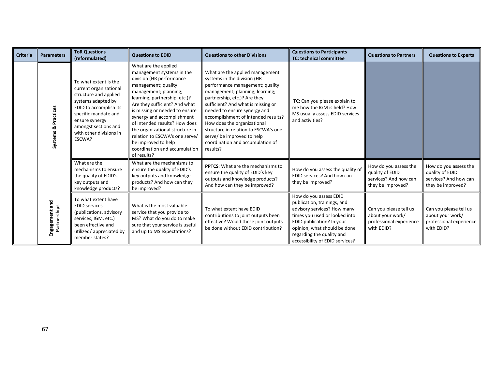| <b>Criteria</b> | <b>Parameters</b>              | <b>ToR Questions</b><br>(reformulated)                                                                                                                                                                                          | <b>Questions to EDID</b>                                                                                                                                                                                                                                                                                                                                                                                                                     | <b>Questions to other Divisions</b>                                                                                                                                                                                                                                                                                                                                                                                                    | <b>Questions to Participants</b><br><b>TC: technical committee</b>                                                                                                                                                                                 | <b>Questions to Partners</b>                                                           | <b>Questions to Experts</b>                                                            |
|-----------------|--------------------------------|---------------------------------------------------------------------------------------------------------------------------------------------------------------------------------------------------------------------------------|----------------------------------------------------------------------------------------------------------------------------------------------------------------------------------------------------------------------------------------------------------------------------------------------------------------------------------------------------------------------------------------------------------------------------------------------|----------------------------------------------------------------------------------------------------------------------------------------------------------------------------------------------------------------------------------------------------------------------------------------------------------------------------------------------------------------------------------------------------------------------------------------|----------------------------------------------------------------------------------------------------------------------------------------------------------------------------------------------------------------------------------------------------|----------------------------------------------------------------------------------------|----------------------------------------------------------------------------------------|
|                 | Systems & Practices            | To what extent is the<br>current organizational<br>structure and applied<br>systems adapted by<br>EDID to accomplish its<br>specific mandate and<br>ensure synergy<br>amongst sections and<br>with other divisions in<br>ESCWA? | What are the applied<br>management systems in the<br>division (HR performance<br>management; quality<br>management; planning;<br>learning; partnership, etc.)?<br>Are they sufficient? And what<br>is missing or needed to ensure<br>synergy and accomplishment<br>of intended results? How does<br>the organizational structure in<br>relation to ESCWA's one serve/<br>be improved to help<br>coordination and accumulation<br>of results? | What are the applied management<br>systems in the division (HR<br>performance management; quality<br>management; planning; learning;<br>partnership, etc.)? Are they<br>sufficient? And what is missing or<br>needed to ensure synergy and<br>accomplishment of intended results?<br>How does the organizational<br>structure in relation to ESCWA's one<br>serve/ be improved to help<br>coordination and accumulation of<br>results? | TC: Can you please explain to<br>me how the IGM is held? How<br>MS usually assess EDID services<br>and activities?                                                                                                                                 |                                                                                        |                                                                                        |
|                 |                                | What are the<br>mechanisms to ensure<br>the quality of EDID's<br>key outputs and<br>knowledge products?                                                                                                                         | What are the mechanisms to<br>ensure the quality of EDID's<br>key outputs and knowledge<br>products? And how can they<br>be improved?                                                                                                                                                                                                                                                                                                        | <b>PPTCS:</b> What are the mechanisms to<br>ensure the quality of EDID's key<br>outputs and knowledge products?<br>And how can they be improved?                                                                                                                                                                                                                                                                                       | How do you assess the quality of<br>EDID services? And how can<br>they be improved?                                                                                                                                                                | How do you assess the<br>quality of EDID<br>services? And how can<br>they be improved? | How do you assess the<br>quality of EDID<br>services? And how can<br>they be improved? |
|                 | Engagement and<br>Partnerships | To what extent have<br><b>EDID services</b><br>(publications, advisory<br>services, IGM, etc.)<br>been effective and<br>utilized/appreciated by<br>member states?                                                               | What is the most valuable<br>service that you provide to<br>MS? What do you do to make<br>sure that your service is useful<br>and up to MS expectations?                                                                                                                                                                                                                                                                                     | To what extent have EDID<br>contributions to joint outputs been<br>effective? Would these joint outputs<br>be done without EDID contribution?                                                                                                                                                                                                                                                                                          | How do you assess EDID<br>publication, trainings, and<br>advisory services? How many<br>times you used or looked into<br>EDID publication? In your<br>opinion, what should be done<br>regarding the quality and<br>accessibility of EDID services? | Can you please tell us<br>about your work/<br>professional experience<br>with EDID?    | Can you please tell us<br>about your work/<br>professional experience<br>with EDID?    |